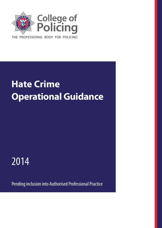

# **Hate Crime Operational Guidance**

# 2014

Pending inclusion into Authorised Professional Practice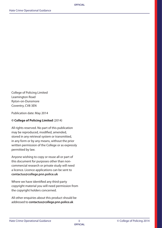College of Policing Limited Leamington Road Ryton-on-Dunsmore Coventry, CV8 3EN

Publication date: May 2014

#### **© College of Policing Limited** (2014)

All rights reserved. No part of this publication may be reproduced, modified, amended, stored in any retrieval system or transmitted, in any form or by any means, without the prior written permission of the College or as expressly permitted by law.

Anyone wishing to copy or reuse all or part of this document for purposes other than noncommercial research or private study will need a licence. Licence applications can be sent to **contactus@college.pnn.police.uk**

Where we have identified any third-party copyright material you will need permission from the copyright holders concerned.

All other enquiries about this product should be addressed to **contactus@college.pnn.police.uk**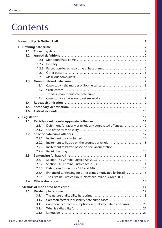# <span id="page-2-0"></span>**Contents**

|              | <b>Foreword by Dr Nathan Hall</b><br>1 |                                              |                                                                 |    |
|--------------|----------------------------------------|----------------------------------------------|-----------------------------------------------------------------|----|
| $\mathbf{1}$ |                                        | <b>Defining hate crime</b><br>$\overline{2}$ |                                                                 |    |
|              | 1.1                                    |                                              |                                                                 |    |
|              | 1.2                                    |                                              |                                                                 |    |
|              |                                        | 1.2.1                                        |                                                                 |    |
|              |                                        | 1.2.2                                        |                                                                 |    |
|              |                                        | 1.2.3                                        |                                                                 |    |
|              |                                        | 1.2.4                                        |                                                                 |    |
|              |                                        | 1.2.5                                        |                                                                 |    |
|              | 1.3                                    |                                              |                                                                 |    |
|              |                                        | 1.3.1                                        | Case study – the murder of Sophie Lancaster  8                  |    |
|              |                                        | 1.3.2                                        |                                                                 |    |
|              |                                        | 1.3.3                                        |                                                                 |    |
|              |                                        | 1.3.4                                        |                                                                 |    |
|              | 1.4                                    |                                              |                                                                 |    |
|              | 1.5                                    |                                              |                                                                 |    |
|              | 1.6                                    |                                              |                                                                 |    |
| $\mathbf{2}$ | <b>Legislation</b>                     |                                              |                                                                 | 11 |
|              | 2.1                                    |                                              |                                                                 |    |
|              |                                        | 2.1.1                                        | Definitions for racially or religiously aggravated offences 12  |    |
|              |                                        | 2.1.2                                        |                                                                 |    |
|              | 2.2                                    |                                              |                                                                 |    |
|              |                                        | 2.2.1                                        |                                                                 |    |
|              |                                        | 2.2.2                                        | Incitement to hatred on the grounds of religion  13             |    |
|              |                                        | 2.2.3                                        |                                                                 |    |
|              | 2.3                                    | 2.2.4                                        |                                                                 |    |
|              |                                        |                                              |                                                                 |    |
|              |                                        | 2.3.2                                        |                                                                 |    |
|              |                                        | 2.3.3                                        |                                                                 |    |
|              |                                        | 2.3.4                                        | Enhanced sentencing for other crimes motivated by hostility  15 |    |
|              |                                        | 2.3.5                                        | The Criminal Justice (No.2) (Northern Ireland) Order 2004 15    |    |
|              | 2.4                                    |                                              |                                                                 |    |
|              |                                        |                                              |                                                                 |    |
| 3            | 3.1                                    |                                              | <b>Strands of monitored hate crime</b>                          | 17 |
|              |                                        | 3.1.1                                        |                                                                 |    |
|              |                                        | 3.1.2                                        |                                                                 |    |
|              |                                        | 3.1.3                                        | Common incorrect assumptions in disability hate crime cases 20  |    |
|              |                                        | 3.1.4                                        |                                                                 |    |
|              |                                        | 3.1.5                                        |                                                                 |    |
|              |                                        |                                              |                                                                 |    |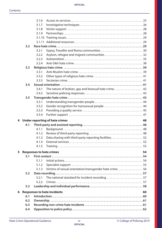|    |     | 3.1.6  |                                                         |    |
|----|-----|--------|---------------------------------------------------------|----|
|    |     | 3.1.7  |                                                         |    |
|    |     | 3.1.8  |                                                         |    |
|    |     | 3.1.9  |                                                         |    |
|    |     | 3.1.10 |                                                         |    |
|    |     |        |                                                         |    |
|    | 3.2 |        |                                                         |    |
|    |     | 3.2.1  |                                                         |    |
|    |     | 3.2.2  |                                                         |    |
|    |     | 3.2.3  |                                                         |    |
|    |     | 3.2.4  |                                                         |    |
|    | 3.3 |        |                                                         |    |
|    |     | 3.3.1  |                                                         |    |
|    |     | 3.3.2  |                                                         |    |
|    |     | 3.3.3  |                                                         |    |
|    | 3.4 |        |                                                         |    |
|    |     | 3.4.1  | The nature of lesbian, gay and bisexual hate crime 42   |    |
|    |     | 3.4.2  |                                                         |    |
|    | 3.5 |        |                                                         |    |
|    |     | 3.5.1  |                                                         |    |
|    |     | 3.5.2  | Gender recognition for transsexual people  44           |    |
|    |     | 3.5.3  |                                                         |    |
|    |     |        |                                                         |    |
|    |     | 3.5.4  |                                                         |    |
| 4  |     |        | <b>Under-reporting of hate crimes</b>                   | 48 |
|    | 4.1 |        |                                                         |    |
|    |     | 4.1.1  |                                                         |    |
|    |     | 4.1.2  |                                                         |    |
|    |     | 4.1.3  | Data sharing with third-party reporting facilities 52   |    |
|    |     | 4.1.4  |                                                         |    |
|    |     | 4.1.5  |                                                         |    |
| 5. |     |        | <b>Responses to hate crimes</b>                         | 54 |
|    | 5.1 |        |                                                         |    |
|    |     | 5.1.1  |                                                         |    |
|    |     | 5.1.2  |                                                         |    |
|    |     | 5.1.3  | Victims of sexual orientation/transgender hate crime 56 |    |
|    | 5.2 |        |                                                         |    |
|    |     | 5.2.1  |                                                         |    |
|    |     | 5.2.2  |                                                         |    |
|    | 5.3 |        |                                                         |    |
| 6  |     |        | <b>Responses to hate incidents</b>                      | 60 |
|    | 6.1 |        |                                                         |    |
|    | 6.2 |        |                                                         |    |
|    | 6.3 |        |                                                         |    |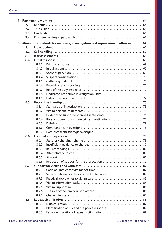| $\overline{\mathbf{z}}$ |     | <b>Partnership working</b><br>64 |                                                                           |    |
|-------------------------|-----|----------------------------------|---------------------------------------------------------------------------|----|
|                         | 7.1 |                                  |                                                                           |    |
|                         | 7.2 |                                  |                                                                           |    |
|                         | 7.3 |                                  |                                                                           |    |
|                         | 7.4 |                                  |                                                                           |    |
| 8                       |     |                                  | Minimum standards for response, investigation and supervision of offences | 67 |
|                         | 8.1 |                                  |                                                                           |    |
|                         | 8.2 |                                  |                                                                           |    |
|                         | 8.3 |                                  |                                                                           |    |
|                         | 8.4 |                                  |                                                                           |    |
|                         |     | 8.4.1                            |                                                                           |    |
|                         |     | 8.4.2                            |                                                                           |    |
|                         |     | 8.4.3                            |                                                                           |    |
|                         |     | 8.4.4                            |                                                                           |    |
|                         |     | 8.4.5                            |                                                                           |    |
|                         |     | 8.4.6                            |                                                                           |    |
|                         |     | 8.4.7                            |                                                                           |    |
|                         |     | 8.4.8                            |                                                                           |    |
|                         |     | 8.4.9                            |                                                                           |    |
|                         | 8.5 |                                  |                                                                           |    |
|                         |     | 8.5.1                            |                                                                           |    |
|                         |     | 8.5.2                            |                                                                           |    |
|                         |     | 8.5.3                            |                                                                           |    |
|                         |     | 8.5.4                            |                                                                           |    |
|                         |     | 8.5.5                            |                                                                           |    |
|                         |     | 8.5.6                            |                                                                           |    |
|                         |     | 8.5.7                            |                                                                           |    |
|                         | 8.6 |                                  |                                                                           |    |
|                         |     |                                  |                                                                           |    |
|                         |     | 8.6.2                            |                                                                           |    |
|                         |     | 8.6.3                            |                                                                           |    |
|                         |     | 8.6.4                            |                                                                           |    |
|                         |     | 8.6.5                            |                                                                           |    |
|                         |     | 8.6.6                            |                                                                           |    |
|                         | 8.7 |                                  |                                                                           |    |
|                         |     | 8.7.1                            |                                                                           |    |
|                         |     | 8.7.2                            | Service delivery for the victims of hate crime  82                        |    |
|                         |     | 8.7.3                            |                                                                           |    |
|                         |     | 8.7.4                            |                                                                           |    |
|                         |     | 8.7.5                            |                                                                           |    |
|                         |     | 8.7.6                            |                                                                           |    |
|                         |     | 8.7.7                            |                                                                           |    |
|                         | 8.8 |                                  |                                                                           |    |
|                         |     | 8.8.1                            |                                                                           |    |
|                         |     | 8.8.2                            | Identification of risk and the police response  87                        |    |
|                         |     | 8.8.3                            |                                                                           |    |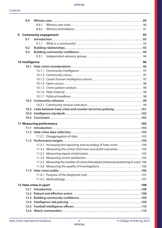|   | 8.9                    |                                                                                     |     |
|---|------------------------|-------------------------------------------------------------------------------------|-----|
|   |                        | 8.9.1                                                                               |     |
|   |                        | 8.9.2                                                                               |     |
| 9 |                        | <b>Community engagement</b>                                                         | 93  |
|   | 9.1                    |                                                                                     |     |
|   |                        | 9.1.1                                                                               |     |
|   | 9.2                    |                                                                                     |     |
|   | 9.3                    |                                                                                     |     |
|   |                        | 9.3.1                                                                               |     |
|   | <b>10 Intelligence</b> |                                                                                     | 96  |
|   |                        |                                                                                     |     |
|   |                        |                                                                                     |     |
|   |                        |                                                                                     |     |
|   |                        |                                                                                     |     |
|   |                        |                                                                                     |     |
|   |                        |                                                                                     |     |
|   |                        |                                                                                     |     |
|   |                        |                                                                                     |     |
|   |                        |                                                                                     |     |
|   |                        |                                                                                     |     |
|   | 10.3                   | Links between hate crime and counter-terrorism policing101                          |     |
|   | 10.4                   |                                                                                     |     |
|   |                        |                                                                                     |     |
|   |                        | <b>11 Measuring performance</b>                                                     | 103 |
|   | 11.1                   |                                                                                     |     |
|   |                        |                                                                                     |     |
|   |                        |                                                                                     |     |
|   |                        |                                                                                     |     |
|   |                        | 11.3.1 Increasing the reporting and recording of hate crime  104                    |     |
|   |                        | 11.3.2 Measuring the crimes that have successful outcomes 105                       |     |
|   |                        |                                                                                     |     |
|   |                        |                                                                                     |     |
|   |                        | 11.3.5 Measuring the number of crimes that attract enhanced sentencing in court 106 |     |
|   |                        | 11.3.6 Measuring the quality of investigations 106                                  |     |
|   |                        |                                                                                     |     |
|   |                        |                                                                                     |     |
|   |                        |                                                                                     |     |
|   | 12 Hate crime in sport |                                                                                     | 108 |
|   | 12.1                   | $Introduction \dots 108$                                                            |     |
|   | 12.2                   |                                                                                     |     |
|   | 12.3                   |                                                                                     |     |
|   | 12.4                   |                                                                                     |     |
|   | 12.5                   |                                                                                     |     |
|   | 12.6                   |                                                                                     |     |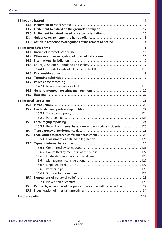| 13 Inciting hatred<br>111 |                                                                     |  |  |
|---------------------------|---------------------------------------------------------------------|--|--|
|                           |                                                                     |  |  |
| 13.2                      | Incitement to hatred on the grounds of religion 112                 |  |  |
| 13.3                      | Incitement to hatred based on sexual orientation113                 |  |  |
|                           | 13.4 Guidance on incitement to hatred offences113                   |  |  |
|                           | 13.5 Action in response to allegations of incitement to hatred 114  |  |  |
|                           | <b>14 Internet hate crime</b><br>115                                |  |  |
| 14.1                      |                                                                     |  |  |
|                           | 14.2 Offences and investigation of internet hate crime 116          |  |  |
|                           |                                                                     |  |  |
|                           |                                                                     |  |  |
|                           |                                                                     |  |  |
| 14.5                      |                                                                     |  |  |
| 14.6                      |                                                                     |  |  |
|                           |                                                                     |  |  |
|                           |                                                                     |  |  |
|                           |                                                                     |  |  |
|                           |                                                                     |  |  |
|                           | 15 Internal hate crime<br>123                                       |  |  |
|                           |                                                                     |  |  |
|                           |                                                                     |  |  |
|                           |                                                                     |  |  |
|                           |                                                                     |  |  |
|                           |                                                                     |  |  |
|                           | 15.3.1 Recording internal hate crime and non-crime incidents 125    |  |  |
| 15.4                      |                                                                     |  |  |
| 15.5                      | Legal duties to protect staff from harassment 125                   |  |  |
|                           |                                                                     |  |  |
|                           |                                                                     |  |  |
|                           |                                                                     |  |  |
|                           |                                                                     |  |  |
|                           |                                                                     |  |  |
|                           |                                                                     |  |  |
|                           |                                                                     |  |  |
|                           |                                                                     |  |  |
|                           |                                                                     |  |  |
| 15.7                      |                                                                     |  |  |
|                           |                                                                     |  |  |
| 15.8                      | Refusal by a member of the public to accept an allocated officer129 |  |  |
| 15.9                      |                                                                     |  |  |
| <b>Further reading</b>    | 132                                                                 |  |  |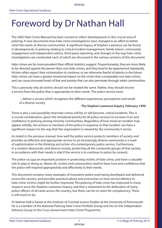# <span id="page-7-0"></span>Foreword by Dr Nathan Hall

The 2005 Hate Crime Manual has been revised to reflect developments in this crucial area of policing. It now documents how hate crime investigations have changed in an effort to better meet the needs of diverse communities. A significant legacy of Stephen Lawrence can be found in developments in policing relating to critical incident management, family liaison, community engagement and independent advice, third-party reporting, and changes in the way hate crime investigations are conducted, each of which are discussed in the various sections of this document.

Hate crimes are far more prevalent than official statistics suggest. Proportionately, they are more likely to be directed against the person than non-hate crimes, and they tend to be experienced repeatedly. Victims often expect their victimisation to continue, or are otherwise fearful of attacks in the future. Hate crimes can have a greater emotional impact on the victim than comparable non-hate crimes, and can cause increased levels of fear and anxiety that can also permeate through wider communities.

This is precisely why all victims should not be treated the same. Rather, they should receive a service from the police that is appropriate to their needs. The police service must:

…deliver a service which recognises the different experiences, perceptions and needs of a diverse society.

#### **The Stephen Lawrence Inquiry, February 1999**

There is also a real possibility that hate crimes will be, or will become, critical incidents. This is a crucial consideration, given the ministerial priority for all police services to increase trust and confidence in policing among minority communities. Regardless of how trivial an incident may appear initially, the actions or inactions of the police in response to that incident can have a significant impact on the way that the organisation is viewed by the community it serves.

As noted in the previous manual, how well the police service protects members of society and provides an effective and appropriate service to an increasingly diverse community is a mark of sophistication in the thinking and action of a contemporary police service. Furthermore, in a modern democratic and diverse society, protecting all the composite groups of that society in accordance with their needs is vital if the service is to continue to police by consent.

The police occupy an important position in protecting victims of hate crime, and have a valuable role to play in doing so. Above all, victims and communities need to have trust and confidence that the police will respond appropriately and effectively to their needs.

This document contains many examples of innovative police work being developed and delivered across the country, and provides practical advice and instruction on how service delivery to hate crime victims might be further improved. The policing of hate crime has improved in many respects since the Stephen Lawrence Inquiry, and that is testament to the dedication of many police officers of all ranks across the country, but there can be no room for complacency. There is still much to do.

Dr Nathan Hall is based at the Institute of Criminal Justice Studies at the University of Portsmouth. He is a member of the National Policing Hate Crime Portfolio Group and sits on the Independent Advisory Group to the Cross-Government Hate Crime Programme.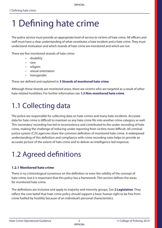# <span id="page-8-0"></span>1 Defining hate crime

The police service must provide an appropriate level of service to victims of hate crime. All officers and staff must have a clear understanding of what constitutes a hate incident and a hate crime. They must understand motivation and which strands of hate crime are monitored and which are not.

There are five monitored strands of hate crime:

- • disability
- race
- religion
- • sexual orientation
- transgender.

These are defined and explained in **[3 Strands of monitored hate crime](#page-23-0)**.

Although these strands are monitored areas, there are victims who are targeted as a result of other hate-related hostilities. For further information see **[1.3 Non-monitored hate crime](#page-13-1)**.

# <span id="page-8-1"></span>1.1 Collecting data

The police are responsible for collecting data on hate crimes and many hate incidents. Accurate data for hate crime is difficult to maintain as any hate crime fits into another crime category as well. This 'secondary' recording has led to inconsistency and contributed to the under-recording of hate crime, making the challenge of reducing under-reporting from victims more difficult. All criminal justice system (CJS) agencies share the common definition of monitored hate crime. A widespread understanding of this definition and compliance with crime recording rules helps to provide an accurate picture of the extent of hate crime and to deliver an intelligence-led response.

# <span id="page-8-2"></span>1.2 Agreed definitions

# <span id="page-8-3"></span>**1.2.1 Monitored hate crime**

There is no criminological consensus on the definition or even the validity of the concept of hate crime, but it is important that this policy has a framework. This section defines the areas for monitored hate crime.

The definitions are inclusive and apply to majority and minority groups. See **[2 Legislation](#page-17-0)**. They reflect the core belief that hate crime policy should support a basic human right to be free from crime fuelled by hostility because of an individual's personal characteristics.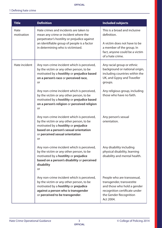| <b>Title</b>       | <b>Definition</b>                                                                                                                                                                                                  | <b>Included subjects</b>                                                                                                                                        |
|--------------------|--------------------------------------------------------------------------------------------------------------------------------------------------------------------------------------------------------------------|-----------------------------------------------------------------------------------------------------------------------------------------------------------------|
| Hate<br>motivation | Hate crimes and incidents are taken to<br>mean any crime or incident where the<br>perpetrator's hostility or prejudice against                                                                                     | This is a broad and inclusive<br>definition.                                                                                                                    |
|                    | an identifiable group of people is a factor<br>in determining who is victimised.                                                                                                                                   | A victim does not have to be<br>a member of the group. In<br>fact, anyone could be a victim<br>of a hate crime.                                                 |
| Hate incident      | Any non-crime incident which is perceived,<br>by the victim or any other person, to be<br>motivated by a hostility or prejudice based<br>on a person's race or perceived race,<br>or                               | Any racial group or ethnic<br>background or national origin,<br>including countries within the<br>UK, and Gypsy and Traveller<br>groups.                        |
|                    | Any non-crime incident which is perceived,<br>by the victim or any other person, to be<br>motivated by a hostility or prejudice based<br>on a person's religion or perceived religion<br>or                        | Any religious group, including<br>those who have no faith.                                                                                                      |
|                    | Any non-crime incident which is perceived,<br>by the victim or any other person, to be<br>motivated by a hostility or prejudice<br>based on a person's sexual orientation<br>or perceived sexual orientation<br>or | Any person's sexual<br>orientation.                                                                                                                             |
|                    | Any non-crime incident which is perceived,<br>by the victim or any other person, to be<br>motivated by a hostility or prejudice<br>based on a person's disability or perceived<br>disability<br>or                 | Any disability including<br>physical disability, learning<br>disability and mental health.                                                                      |
|                    | Any non-crime incident which is perceived,<br>by the victim or any other person, to be<br>motivated by a hostility or prejudice<br>against a person who is transgender<br>or perceived to be transgender.          | People who are transsexual,<br>transgender, transvestite<br>and those who hold a gender<br>recognition certificate under<br>the Gender Recognition<br>Act 2004. |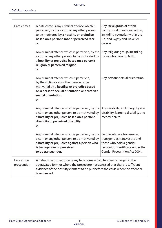| Hate crimes               | A hate crime is any criminal offence which is<br>perceived, by the victim or any other person,<br>to be motivated by a hostility or prejudice<br>based on a person's race or perceived race<br>or                                                            | Any racial group or ethnic<br>background or national origin,<br>including countries within the<br>UK, and Gypsy and Traveller<br>groups.                     |
|---------------------------|--------------------------------------------------------------------------------------------------------------------------------------------------------------------------------------------------------------------------------------------------------------|--------------------------------------------------------------------------------------------------------------------------------------------------------------|
|                           | Any criminal offence which is perceived, by the<br>victim or any other person, to be motivated by<br>a hostility or prejudice based on a person's<br>religion or perceived religion<br>or                                                                    | Any religious group, including<br>those who have no faith.                                                                                                   |
|                           | Any criminal offence which is perceived,<br>by the victim or any other person, to be<br>motivated by a hostility or prejudice based<br>on a person's sexual orientation or perceived<br>sexual orientation<br>or                                             | Any person's sexual orientation.                                                                                                                             |
|                           | Any criminal offence which is perceived, by the<br>victim or any other person, to be motivated by<br>a hostility or prejudice based on a person's<br>disability or perceived disability<br>or                                                                | Any disability, including physical<br>disability, learning disability and<br>mental health.                                                                  |
|                           | Any criminal offence which is perceived, by the<br>victim or any other person, to be motivated by<br>a hostility or prejudice against a person who<br>is transgender or perceived<br>to be transgender.                                                      | People who are transsexual,<br>transgender, transvestite and<br>those who hold a gender<br>recognition certificate under the<br>Gender Recognition Act 2004. |
| Hate crime<br>prosecution | A hate crime prosecution is any hate crime which has been charged in the<br>aggravated form or where the prosecutor has assessed that there is sufficient<br>evidence of the hostility element to be put before the court when the offender<br>is sentenced. |                                                                                                                                                              |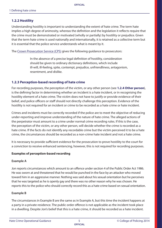## <span id="page-11-0"></span>**1.2.2 Hostility**

Understanding hostility is important to understanding the extent of hate crime. The term hate implies a high degree of animosity, whereas the definition and the legislation it reflects require that the crime must be demonstrated or motivated (wholly or partially) by hostility or prejudice. Given that the term hate crime is used nationally and internationally, it is retained as a collective term but it is essential that the police service understands what is meant by it.

The [Crown Prosecution Service \(CPS\)](http://www.cps.gov.uk/legal/d_to_g/disability_hate_crime/index.html#a26) gives the following guidance to prosecutors:

In the absence of a precise legal definition of hostility, consideration should be given to ordinary dictionary definitions, which include ill-will, ill-feeling, spite, contempt, prejudice, unfriendliness, antagonism, resentment, and dislike.

## <span id="page-11-1"></span>**1.2.3 Perception-based recording of hate crime**

For recording purposes, the perception of the victim, or any other person (see **[1.2.4 Other person](#page-12-0)**), is the defining factor in determining whether an incident is a hate incident, or in recognising the hostility element of a hate crime. The victim does not have to justify or provide evidence of their belief, and police officers or staff should not directly challenge this perception. Evidence of the hostility is not required for an incident or crime to be recorded as a hate crime or hate incident.

Crimes and incidents must be correctly recorded if the police are to meet the objective of reducing under-reporting and improve understanding of the nature of hate crime. The alleged actions of the perpetrator must amount to a crime under normal crime recording rules. If this is the case, the perception of the victim, or any other person, will decide whether the crime is recorded as a hate crime. If the facts do not identify any recordable crime but the victim perceived it to be a hate crime, the circumstances should be recorded as a non-crime hate incident and not a hate crime.

It is necessary to provide sufficient evidence for the prosecution to prove hostility to the court for a conviction to receive enhanced sentencing, however, this is not required for recording purposes.

### **Examples of perception-based recording**

### **Example A**

Jon reports circumstances which amount to an offence under section 4 of the Public Order Act 1986. He was sworn at and threatened that he would be punched in the face by an attacker who moved toward him in an aggressive manner. Nothing was said about his sexual orientation but he perceives that he was targeted as he is openly gay and there was no other reason why he was chosen. He reports this to the police who should correctly record this as a hate crime based on sexual orientation.

#### **Example B**

The circumstances in Example B are the same as in Example A, but this time the incident happens at a party in a private residence. The public order offence is not applicable as the incident took place in a dwelling. Despite Jon's belief that this is a hate crime, it should be recorded as a hate incident.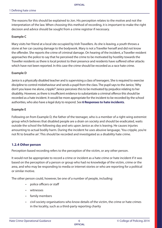The reasons for this should be explained to Jon. His perception relates to the motive and not the interpretation of the law. When choosing this method of recording, it is important to make the right decision and advice should be sought from a crime registrar if necessary.

#### **Example C**

Mary visits her friend at a local site occupied by Irish Travellers. As she is leaving, a youth throws a stone at her car causing damage to the bodywork. Mary is not a Traveller herself and did not know the offender. She reports the crime of criminal damage. On hearing of the incident, a Traveller resident approaches the police to say that he perceived the crime to be motivated by hostility towards the Traveller residents as there is local protest to their presence and residents have suffered other attacks which have not been reported. In this case the crime should be recorded as a race hate crime.

#### **Example D**

Janice is a physically disabled teacher and is supervising a class of teenagers. She is required to exercise discipline to control misbehaviour and sends a pupil from the class. The pupil says to the Janice, 'Why don't you leave me alone, cripple?' Janice perceives this to be motivated by prejudice relating to her disability. However, as there is insufficient evidence to substantiate a criminal offence this should be recorded as a hate incident. It would be more appropriate for the incident to be recorded by the school authorities, who also have a legal duty to respond. See **[6 Responses to hate incidents](#page-66-0)**.

#### **Example E**

Following on from Example D, the father of the teenager, who is a member of a right-wing extremist group which believes that disabled people are a drain on society and should be eradicated, waits outside the school the following day and sets upon Janice as she is leaving. He causes injuries amounting to actual bodily harm. During the incident he uses abusive language, 'You cripple, you're not fit to breathe air'. This should be recorded and investigated as a disability hate crime.

#### <span id="page-12-0"></span>**1.2.4 Other person**

Perception-based recording refers to the perception of the victim, or any other person.

It would not be appropriate to record a crime or incident as a hate crime or hate incident if it was based on the perception of a person or group who had no knowledge of the victim, crime or the area, and who may be responding to media or internet stories or who are reporting for a political or similar motive.

The other person could, however, be one of a number of people, including:

- police officers or staff
- witnesses
- family members
- civil society organisations who know details of the victim, the crime or hate crimes in the locality, such as a third-party reporting charity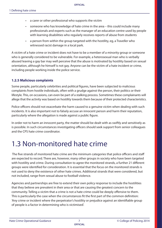- • a carer or other professional who supports the victim
- someone who has knowledge of hate crime in the area this could include many professionals and experts such as the manager of an education centre used by people with learning disabilities who regularly receives reports of abuse from students
- a person from within the group targeted with the hostility, eg, a Traveller who witnessed racist damage in a local park.

A victim of a hate crime or incident does not have to be a member of a minority group or someone who is generally considered to be vulnerable. For example, a heterosexual man who is verbally abused leaving a gay bar may well perceive that the abuse is motivated by hostility based on sexual orientation, although he himself is not gay. Anyone can be the victim of a hate incident or crime, including people working inside the police service.

# <span id="page-13-0"></span>**1.2.5 Malicious complaints**

Some people, particularly celebrities and political figures, have been subjected to malicious complaints from hostile individuals, often with a grudge against the person, their politics or their lifestyle. This, on occasions, can even be part of a stalking process. Sometimes these complainants will allege that the activity was based on hostility towards them because of their protected characteristics.

Police officers should not exacerbate the harm caused to a genuine victim when dealing with such incidents. It is also important not to falsely accuse an innocent person and harm their reputation, particularly where the allegation is made against a public figure.

In order not to harm an innocent party, the matter should be dealt with as swiftly and sensitively as is possible. In such circumstances investigating officers should seek support from senior colleagues and the CPS hate crime coordinator.

# <span id="page-13-1"></span>1.3 Non-monitored hate crime

 The five strands of monitored hate crime are the minimum categories that police officers and staff are expected to record. There are, however, many other groups in society who have been targeted with hostility and crime. During consultation to agree the monitored strands, a further 21 different groups were identified for consideration. It is essential that the focus on the monitored strands is not used to deny the existence of other hate crimes. Additional strands that were considered, but not included, range from sexual abuse to football violence.

Agencies and partnerships are free to extend their own policy response to include the hostilities that they believe are prevalent in their area or that are causing the greatest concern to the community. Telling a victim that a crime is not a hate crime could be deeply offensive to them. This is particularly the case when the circumstances fit the first part of the common definition: 'Any crime or incident where the perpetrator's hostility or prejudice against an identifiable group of people is a factor in determining who is victimised'.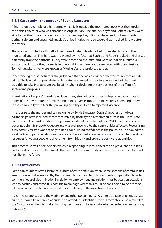## <span id="page-14-0"></span>**1.3.1 Case study – the murder of Sophie Lancaster**

A high-profile example of a hate crime which falls outside the monitored areas was the murder of Sophie Lancaster who was attacked in August 2007. She and her boyfriend Robert Maltby were attacked without provocation by a group of teenage boys. Both suffered serious head injuries during a violent and sustained attack. Sophie's injuries were so severe that she died 13 days after the attack.

The motivation cited for this attack was one of hate or hostility, but not related to one of the monitored strands. This hate was motivated by the fact that Sophie and Robert looked and dressed differently from their attackers. They were described as Goths, and were part of an 'alternative' subculture. As such, they wore distinctive clothing and make-up associated with their lifestyle. To their attackers they were known as 'Moshers' and, therefore, a target.

In sentencing the perpetrators, the judge said that he was convinced that the murder was a hate crime. The law did not provide for a dedicated enhanced sentencing provision, but the court was able to take into account the hostility when calculating the seriousness of the offence for sentencing purposes.

Examination of Sophie's murder produces many similarities to other high-profile hate crimes in terms of the devastation to families, and in the adverse impact on the victims' peers, and others in the community who fear the prevailing hostility will lead to repeated violence.

In response to the murder and campaigning by Sylvia Lancaster, Sophie's mother, some local partnerships have included crimes motivated by hostility to alternative cultures in their local hate crime policy. The most notable example was Greater Manchester Police in 2013. Their new policy generated significant public debate and was well received by the communities affected. Recognising such hostility existed was not only valuable for building confidence in the police, it also enabled the local partnerships to benefit from the work of the [Sophie Lancaster Foundation,](http://www.sophielancasterfoundation.com) which has produced resources for young people to divert them from bigotry and promote positive relationships.

This practice shows a partnership which is responding to local concerns and prevalent hostilities, and includes a response that meets the needs of the community and helps to prevent all forms of hostility in the future.

### <span id="page-14-1"></span>**1.3.2 Caste crimes**

Some communities have a historical culture of caste definition where some sections of communities are considered to be less worthy than others. This can lead to isolation of subgroups within broader communities and discrimination in relation to employment and relationships but can, on occasions, lead to hostility and crime. It is possible to envisage where this could be considered to be a race or religious hate crime, but also where it does not fit any of the monitored strands.

If a crime is reported and the victim, or any other person, perceives it to be a race or religious hate crime, it should be recorded as such. If an offender is identified, the full facts should be referred to the CPS to allow them to make charging decisions and to ascertain whether enhanced sentencing may apply.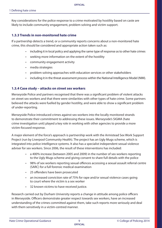Key considerations for the police response to a crime motivated by hostility based on caste are likely to include community engagement, problem solving and victim support.

### <span id="page-15-0"></span>**1.3.3 Trends in non-monitored hate crime**

If a partnership detects a trend, or a community reports concerns about a non-monitored hate crime, this should be considered and appropriate action taken such as:

- including it in local policy and applying the same type of response as to other hate crimes
- seeking more information on the extent of the hostility
- • community engagement activity
- • media strategies
- problem solving approaches with education services or other stakeholders
- including it in the threat assessment process within the National Intelligence Model (NIM).

## <span id="page-15-1"></span>**1.3.4 Case study – attacks on street sex workers**

Merseyside Police and partners recognised that there was a significant problem of violent attacks on street sex workers and that there were similarities with other types of hate crime. Some partners believed the attacks were fuelled by gender hostility, and were able to show a significant problem of under-reporting.

Merseyside Police introduced crimes against sex workers into the locally monitored strands to demonstrate their commitment to addressing these issues. Merseyside's SIGMA (hate crime investigation unit) played a key role in working with other agencies to provide a more victim-focused response.

A major element of the force's approach is partnership work with the Armistead Sex Work Support Project (run by Liverpool Community Health). The project has an Ugly Mugs scheme, which is integrated into police intelligence systems. It also has a specialist independent sexual violence adviser for sex workers. Since 2006, the result of these interventions has included:

- a 400% increase (between 2005 and 2009) in the number of sex workers reporting to the Ugly Mugs scheme and giving consent to share full details with the police
- • 98% of sex workers reporting sexual offences accessing a sexual assault referral centre (SARC) for a full forensic medical examination
- • 25 offenders have been prosecuted
- an increased conviction rate of 75% for rape and/or sexual violence cases going to court where the victim is a sex worker
- • 32 known victims to have received justice.

Research carried out by Durham University reports a change in attitude among police officers in Merseyside. Officers demonstrate greater respect towards sex workers, have an increased understanding of the crimes committed against them, take such reports more seriously and deal with them sensitively in a victim-centred manner.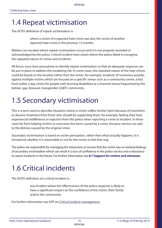# <span id="page-16-0"></span>1.4 Repeat victimisation

The ACPO definition of repeat victimisation is:

where a victim of a reported hate crime was also the victim of another reported hate crime in the previous 12 months.

Matters can escalate where repeat victimisation occurs and it is not properly recorded or acknowledged by the police. Critical incident have arisen where the police failed to recognise the repeated nature of crimes and incidents.

All forces must have procedures to identify repeat victimisation so that an adequate response can be put in place to address the escalating risk. In some cases, the repeated nature of the hate crimes could be based on the location rather than the victim, for example, incidents of numerous assaults against multiple victims which are focused on a specific venue such as a community centre, a fast food outlet, a day centre for people with learning disabilities or a licensed venue frequented by the lesbian, gay, bisexual, transgender (LGBT) community.

# <span id="page-16-1"></span>1.5 Secondary victimisation

This is a term used to describe situations where a victim suffers further harm because of insensitive or abusive treatment from those who should be supporting them, for example, feeling they have experienced indifference or rejection from the police when reporting a crime or incident. In these cases far from helping victims to overcome the harm caused by a crime, the poor service can add to the distress caused by the original crime.

Secondary victimisation is based on victim perception, rather than what actually happens. It is immaterial whether it is reasonable or not for the victim to feel that way.

The police are responsible for managing the interaction to ensure that the victim has no residual feelings of secondary victimisation which can result in a loss of confidence in the police service and a reluctance to report incidents in the future. For further information see **[8.7 Support for victims and witnesses](#page-88-1)**.

# <span id="page-16-2"></span>1.6 Critical incidents

The ACPO definition of a critical incident is:

any incident where the effectiveness of the police response is likely to have a significant impact on the confidence of the victim, their family and/or the community.

For further information see APP on [Critical incident management](http://www.app.college.police.uk/app-content/critical-incident-management/?s=).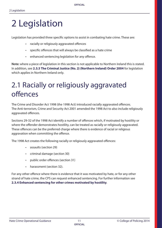# <span id="page-17-0"></span>2 Legislation

Legislation has provided three specific options to assist in combating hate crime. These are:

- racially or religiously aggravated offences
- • specific offences that will always be classified as a hate crime
- • enhanced sentencing legislation for any offence.

**Note:** where a piece of legislation in this section is not applicable to Northern Ireland this is stated. In addition, see **[2.3.5 The Criminal Justice \(No. 2\) \(Northern Ireland\) Order 2004](#page-21-2)** for legislation which applies in Northern Ireland only.

# <span id="page-17-1"></span>2.1 Racially or religiously aggravated offences

The Crime and Disorder Act 1998 (the 1998 Act) introduced racially aggravated offences. The Anti-terrorism, Crime and Security Act 2001 amended the 1998 Act to also include religiously aggravated offences.

Sections 29-32 of the 1998 Act identify a number of offences which, if motivated by hostility or where the offender demonstrates hostility, can be treated as racially or religiously aggravated. These offences can be the preferred charge where there is evidence of racial or religious aggravation when committing the offence.

The 1998 Act creates the following racially or religiously aggravated offences:

- assaults (section 29)
- • criminal damage (section 30)
- • public order offences (section 31)
- harassment (section 32).

For any other offence where there is evidence that it was motivated by hate, or for any other strand of hate crime, the CPS can request enhanced sentencing. For further information see **[2.3.4 Enhanced sentencing for other crimes motivated by hostility](#page-21-1)**.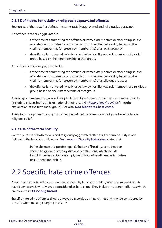# <span id="page-18-0"></span>**2.1.1 Definitions for racially or religiously aggravated offences**

Section 28 of the 1998 Act defines the terms racially aggravated and religiously aggravated.

An offence is racially aggravated if:

- at the time of committing the offence, or immediately before or after doing so, the offender demonstrates towards the victim of the offence hostility based on the victim's membership (or presumed membership) of a racial group, or
- the offence is motivated (wholly or partly) by hostility towards members of a racial group based on their membership of that group.

An offence is religiously aggravated if:

- at the time of committing the offence, or immediately before or after doing so, the offender demonstrates towards the victim of the offence hostility based on the victim's membership (or presumed membership) of a religious group, or
- the offence is motivated (wholly or partly) by hostility towards members of a religious group based on their membership of that group.

A racial group means any group of people defined by reference to their race, colour, nationality (including citizenship), ethnic or national origins (see  $R$  v Rogers [\[2007\] 2 AC 62](http://www.publications.parliament.uk/pa/ld200607/ldjudgmt/jd070228/rogers.htm) for further explanation of the term racial group). See also **[1.2.1 Monitored hate crime](#page-8-3)**.

A religious group means any group of people defined by reference to religious belief or lack of religious belief.

# <span id="page-18-1"></span>**2.1.2 Use of the term hostility**

For the purpose of both racially and religiously aggravated offences, the term hostility is not defined in the legislation. However, [Guidance on Disability Hate Crime](http://www.cps.gov.uk/legal/d_to_g/disability_hate_crime) states that:

> In the absence of a precise legal definition of hostility, consideration should be given to ordinary dictionary definitions, which include ill-will, ill-feeling, spite, contempt, prejudice, unfriendliness, antagonism, resentment and dislike.

# <span id="page-18-2"></span>2.2 Specific hate crime offences

A number of specific offences have been created by legislation which, when the relevant points have been proved, will always be considered as hate crime. They include incitement offences which are covered in **[13 Inciting hatred](#page-116-2)**.

Specific hate crime offences should always be recorded as hate crimes and may be considered by the CPS when making charging decisions.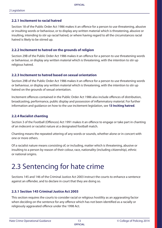### <span id="page-19-0"></span>**2.2.1 Incitement to racial hatred**

Section 18 of the Public Order Act 1986 makes it an offence for a person to use threatening, abusive or insulting words or behaviour, or to display any written material which is threatening, abusive or insulting, intending to stir up racial hatred, or where having regard to all the circumstances racial hatred is likely to be stirred up.

## <span id="page-19-1"></span>**2.2.2 Incitement to hatred on the grounds of religion**

Section 29B of the Public Order Act 1986 makes it an offence for a person to use threatening words or behaviour, or display any written material which is threatening, with the intention to stir up religious hatred.

### <span id="page-19-2"></span>**2.2.3 Incitement to hatred based on sexual orientation**

Section 29B of the Public Order Act 1986 makes it an offence for a person to use threatening words or behaviour, or display any written material which is threatening, with the intention to stir up hatred on the grounds of sexual orientation.

Incitement offences contained in the Public Order Act 1986 also include offences of distribution, broadcasting, performance, public display and possession of inflammatory material. For further information and guidance on how to the use incitement legislation, see **[13 Inciting hatred](#page-116-2)**.

# <span id="page-19-3"></span>**2.2.4 Racialist chanting**

Section 3 of the Football (Offences) Act 1991 makes it an offence to engage or take part in chanting of an indecent or racialist nature at a designated football match.

Chanting means the repeated uttering of any words or sounds, whether alone or in concert with one or more others.

Of a racialist nature means consisting of, or including, matter which is threatening, abusive or insulting to a person by reason of their colour, race, nationality (including citizenship), ethnic or national origins.

# <span id="page-19-4"></span>2.3 Sentencing for hate crime

Sections 145 and 146 of the Criminal Justice Act 2003 instruct the courts to enhance a sentence against an offender, and to declare in court that they are doing so.

# <span id="page-19-5"></span>**2.3.1 Section 145 Criminal Justice Act 2003**

This section requires the courts to consider racial or religious hostility as an aggravating factor when deciding on the sentence for any offence which has not been identified as a racially or religiously aggravated offence under the 1998 Act.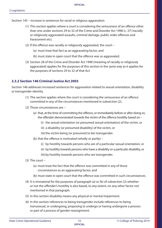Section 145 – increase in sentences for racial or religious aggravation

- (1) This section applies where a court is considering the seriousness of an offence other than one under sections 29 to 32 of the Crime and Disorder Act 1998 (c. 37) (racially or religiously aggravated assaults, criminal damage, public order offences and harassment etc).
- (2) If the offence was racially or religiously aggravated, the court
	- (a) must treat that fact as an aggravating factor, and
	- (b) must state in open court that the offence was so aggravated.
- (3) Section 28 of the Crime and Disorder Act 1998 (meaning of racially or religiously aggravated) applies for the purposes of this section in the same way as it applies for the purposes of sections 29 to 32 of that Act.

# <span id="page-20-0"></span>**2.3.2 Section 146 Criminal Justice Act 2003**

Section 146 addresses increased sentences for aggravation related to sexual orientation, disability or transgender identity.

- (1) This section applies where the court is considering the seriousness of an offence committed in any of the circumstances mentioned in subsection (2).
- (2) Those circumstances are
	- (a) that, at the time of committing the offence, or immediately before or after doing so, the offender demonstrated towards the victim of the offence hostility based on –
		- (i) the sexual orientation (or presumed sexual orientation) of the victim, or
		- (ii) a disability (or presumed disability) of the victim, or
		- (iii) the victim being (or presumed to be) transgender.
	- (b) that the offence is motivated (wholly or partly)
		- (i) by hostility towards persons who are of a particular sexual orientation, or
		- (ii) by hostility towards persons who have a disability or a particular disability, or
		- (iii) by hostility towards persons who are transgender.
- (3) The court
	- (a) must treat the fact that the offence was committed in any of those circumstances as an aggravating factor, and
	- (b) must state in open court that the offence was committed in such circumstances.
- (4) It is immaterial for the purposes of paragraph (a) or (b) of subsection (2) whether or not the offender's hostility is also based, to any extent, on any other factor not mentioned in that paragraph.
- (5) In this section disability means any physical or mental impairment.
- (6) In this section references to being transgender include references to being transsexual, or undergoing, proposing to undergo or having undergone a process or part of a process of gender reassignment.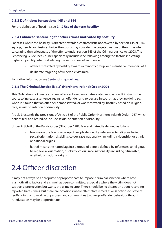### <span id="page-21-0"></span>**2.3.3 Definitions for sections 145 and 146**

For the definition of hostility, see **[2.1.2 Use of the term hostility](#page-18-1)**.

#### <span id="page-21-1"></span>**2.3.4 Enhanced sentencing for other crimes motivated by hostility**

For cases where the hostility is directed towards a characteristic not covered by section 145 or 146, eg, age, gender or lifestyle choice, the courts may consider the targeted nature of the crime when calculating the seriousness of the offence under section 143 of the Criminal Justice Act 2003. The Sentencing Guidelines Council specifically includes the following among the 'factors indicating higher culpability' when calculating the seriousness of an offence:

- offence motivated by hostility towards a minority group, or a member or members of it
- deliberate targeting of vulnerable victim(s).

For further information see [Sentencing guidelines](http://www.sentencing-guidelines.gov.uk/docs/Seriousness_guideline.pdf ).

## <span id="page-21-2"></span>**2.3.5 The Criminal Justice (No.2) (Northern Ireland) Order 2004**

This Order does not create any new offences based on a hate-related motivation. It instructs the courts to increase a sentence against an offender, and to declare in court that they are doing so, when it is found that an offender demonstrated, or was motivated by, hostility based on religion, race, sexual orientation or disability.

Article 3 extends the provisions of Article 8 of the Public Order (Northern Ireland) Order 1987, which defines fear and hatred, to include sexual orientation or disability.

Under Article 8 of the Public Order (NI) Order 1987, fear and hatred is defined as follows:

- fear means the fear of a group of people defined by references to religious belief, sexual orientation, disability, colour, race, nationality (including citizenship) or ethnic or national origins
- hatred means the hatred against a group of people defined by references to religious belief, sexual orientation, disability, colour, race, nationality (including citizenship) or ethnic or national origins.

# <span id="page-21-3"></span>2.4 Officer discretion

It may not always be appropriate or proportionate to impose a criminal sanction where hate is a motivating factor and a crime has been committed, especially where the victim does not support a prosecution but wants the crime to stop. There should be no discretion about recording reported hate crimes, but there are occasions where alternative remedies or sanctions to prevent reoffending, or to work with partners and communities to change offender behaviour through re-education may be proportionate.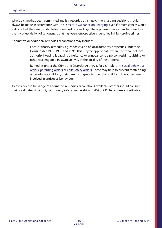[Where a crime has been committed and it is recorded as a hate crime, charging decisions should](#page-2-0)  always be made in accordance with [The Director's Guidance on Charging,](https://www.cps.gov.uk/publications/directors_guidance/dpp_guidance_5.html) even if circumstances would indicate that the case is suitable for non-court proceedings. These provisions are intended to reduce the risk of escalation of seriousness that has been retrospectively identified in high-profile crimes.

Alternative or additional remedies or sanctions may include:

- Local authority remedies, eg, repossession of local authority properties under the Housing Act 1985, 1988 and 1996. This may be appropriate where the tenant of local authority housing is causing a nuisance or annoyance to a person residing, visiting or otherwise engaged in lawful activity in the locality of the property.
- Remedies under the Crime and Disorder Act 1998, for example, anti-social behaviour [orders](https://www.gov.uk/asbo), [parenting orders](https://www.gov.uk/if-my-child-gets-in-trouble-with-police) or c[hild safety orders](https://www.gov.uk/child-under-10-breaks-law). These may help to prevent reoffending or re-educate children, their parents or guardians, so that children do not become involved in antisocial behaviour.

To consider the full range of alternative remedies or sanctions available, officers should consult their local hate crime unit, community safety partnerships (CSPs) or CPS hate crime coordinator.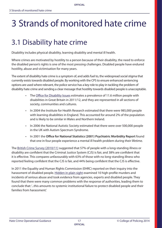# <span id="page-23-0"></span>3 Strands of monitored hate crime

# <span id="page-23-1"></span>3.1 Disability hate crime

Disability includes physical disability, learning disability and mental ill health.

Where crimes are motivated by hostility to a person because of their disability, the need to enforce the disabled person's rights is one of the most pressing challenges. Disabled people have endured hostility, abuse and victimisation for many years.

The extent of disability hate crime is a symptom of, and adds fuel to, the widespread social stigma that currently exists towards disabled people. By working with the CPS to ensure enhanced sentencing options are used where relevant, the police service has a key role to play in tackling the problem of disability hate crime and sending a clear message that hostility towards disabled people is unacceptable.

- The [Office for Disability Issues](http://odi.dwp.gov.uk/docs/res/factsheets/disability-prevalence.pdf) estimates a prevalence of 11.6 million people with disabilities in Great Britain in 2011/12, and they are represented in all sections of society, communities and cultures.
- In 2004 the Institute for Health Research estimated that there were 985,000 people with learning disabilities in England. This accounted for around 2% of the population and is likely to be similar in Wales and Northern Ireland.
- In 2006 the National Autistic Society estimated that there were over 500,000 people in the UK with Autism Spectrum Syndrome.
- In 2001 the Office for National Statistics (2001) Psychiatric Morbidity Report found that one in four people experience a mental ill health problem during their lifetime.

The [British Crime Survey \(2010/11\)](https://www.gov.uk/government/publications/crime-in-england-and-wales-2010-to-2011) suggested that 57% of people with a long-standing illness or disability are confident that the Criminal Justice System (CJS) is fair, and 38% are confident that it is effective. This compares unfavourably with 63% of those with no long-standing illness who reported feeling confident that the CJS is fair, and 44% being confident that the CJS is effective.

In 2011 the Equality and Human Rights Commission (EHRC) reported on their inquiry into the harassment of disabled people. [Hidden in plain sight](http://www.equalityhumanrights.com/uploaded_files/dhfi_main_report_finalweb.pdf) examined 10 high-profile murders and incidents of serious abuse and took evidence from agencies, experts and disabled people. They found that there were many common problems with the response of authorities, leading them to conclude that: '...this amounts to systemic institutional failure to protect disabled people and their families from harassment'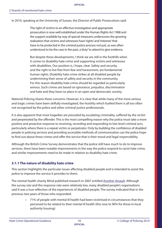In 2010, speaking at the University of Sussex, the Director of Public Prosecutions said:

The right of victims to an effective investigation and appropriate prosecution is now well established under the Human Rights Act 1988 and the support available by way of special measures underscores the growing realisation that victims and witnesses have 'rights' and 'interests' that have to be protected in the criminal justice process not just, as was often understood to be the case in the past, a 'duty' to attend to give evidence.

But despite these developments, I think we are still in the foothills when it comes to disability hate crime and supporting victims and witnesses with disabilities. Our position is, I hope, clear. Safety and security, and the right to live free from fear and harassment, are fundamental human rights. Disability hate crime strikes at all disabled people by undermining their sense of safety and security in the community. For this reason disability hate crime should be regarded as particularly serious. Such crimes are based on ignorance, prejudice, discrimination and hate and they have no place in an open and democratic society.

National Policing shares these concerns. However, it is clear that while many of the more serious and tragic crimes have been skilfully investigated, the hostility which fuelled them is all too often not recognised by the police and other criminal justice professionals.

It is also apparent that most tragedies are preceded by escalating criminality, suffered by the victim and perpetrated by the offender. This is the most compelling reason why the police must take a more positive and proactive response to receiving, recording and responding to low-level criminal acts, particularly where there is a repeat victim or perpetrator. Only by building the confidence of disabled people in policing services and providing accessible methods of communication can the police hope to find out about these crimes and offer the service that is their moral and legal responsibility.

Although the British Crime Survey demonstrates that the police still have much to do to improve services, there have been notable improvements in the way the police respond to racist hate crime, and similar improvements need to be made in relation to disability hate crime.

# <span id="page-24-0"></span>**3.1.1 The nature of disability hate crime**

This section highlights the particular issues affecting disabled people and is intended to assist the police to improve the service it provides to them.

The mental health charity Mind published research in 2007 entitled [Another Assault.](http://www.mind.org.uk/media/273466/another-assault.pdf) Although the survey size and the response rate were relatively low, many disabled people's organisations said it was a true reflection of the experiences of disabled people. The survey indicated that in the previous two years of those who responded:

> 71% of people with mental ill health had been victimised in circumstances that they perceived to be related to their mental ill health (this rose to 90% for those in local authority housing)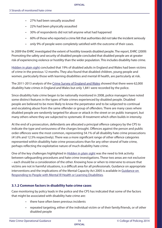- • 27% had been sexually assaulted
- • 22% had been physically assaulted
- • 30% of respondents did not tell anyone what had happened
- • 60% of those who reported a crime felt that authorities did not take the incident seriously
- only 9% of people were completely satisfied with the outcome of their cases.

In 2009 the EHRC investigated the extent of hostility towards disabled people. The report, EHRC (2009) Promoting the safety and security of disabled people concluded that disabled people are at greater risk of experiencing violence or hostility than the wider population. This includes disability hate crime.

[Hidden in plain sight](http://www.equalityhumanrights.com/uploaded_files/dhfi_main_report_finalweb.pdf) concluded that 19% of disabled adults in England and Wales had been victims of crime in the previous 12 months. They also found that disabled children, young people and women, particularly those with learning disabilities and mental ill health, are particularly at risk.

The 2011-2013 analysis of the [Crime Survey of England and Wales](http://www.ons.gov.uk/ons/rel/crime-stats/crime-statistics/period-ending-september-2013/stb-crime-in-england-and-wales--year-ending-sept-2013.html) showed that there were 62,000 disability hate crimes in England and Wales but only 1,841 were recorded by the police.

Since disability hate crime began to be nationally monitored in 2008, police managers have noted some distinct features in the types of hate crimes experienced by disabled people. Disabled people are believed to be more likely to know the perpetrator and to be subjected to continual and escalating abuse from the same offender or group of offenders. There are many cases where disabled people are randomly targeted for abuse or attack in the street or on public transport, but many others where they are subjected to systematic ill-treatment which often builds in intensity.

At the end of a prosecution, defendants are allocated a principal offence category by the CPS to indicate the type and seriousness of the charges brought. Offences against the person and public order offences were the most common, representing 54.1% of all disability hate crime prosecutions (41.6% and 12.5% respectively). There was a more significant range of other offence categories represented within disability hate crime prosecutions than for any other strand of hate crime, perhaps reflecting the exploitative nature of much disability hate crime.

One of the key challenges highlighted in **Hidden in plain sight** was the need to link activity between safeguarding procedures and hate crime investigations. These two areas are not exclusive – each should be a consideration of the other. Knowing how or when to intervene to ensure that victims are not in harmful situations, is a difficult area for all professionals. Guidance on appropriate interventions and the implications of the Mental Capacity Act 2005 is available in [Guidance on](http://library.college.police.uk/docs/acpo/Guidance-mental-ill-health-2010.pdf)  [Responding to People with Mental Ill Health or Learning Disabilities](http://library.college.police.uk/docs/acpo/Guidance-mental-ill-health-2010.pdf).

# <span id="page-25-0"></span>**3.1.2 Common factors in disability hate crime cases**

Case monitoring by policy leads in the police and the CPS has indicated that some of the factors that might be associated with disability hate crime are:

- there have often been previous incidents
- repeated targeting, either of the individual victim or of their family/friends, or of other disabled people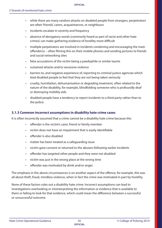- while there are many random attacks on disabled people from strangers, perpetrators are often 'friends', carers, acquaintances, or neighbours
- incidents escalate in severity and frequency
- absence of derogatory words (commonly heard as part of racist and other hate crimes) can make gathering evidence of hostility more difficult
- multiple perpetrators are involved in incidents condoning and encouraging the main offender(s) – often filming this on their mobile phones and sending pictures to friends and social networking sites
- false accusations of the victim being a paedophile or similar taunts
- sustained attacks and/or excessive violence
- barriers to, and negative experience of, reporting to criminal justice agencies which lead disabled people to feel that they are not being taken seriously
- • cruelty, humiliation, dehumanisation or degrading treatment, often related to the nature of the disability, for example, blindfolding someone who is profoundly deaf or destroying mobility aids
- disabled people have a tendency to report incidents to a third party rather than to the police.

### <span id="page-26-0"></span>**3.1.3 Common incorrect assumptions in disability hate crime cases**

It is often incorrectly assumed that a crime cannot be a disability hate crime because the:

- • offender is the victim's carer, friend or family member
- • victim does not have an impairment that is easily identifiable
- • offender is also disabled
- matter has been treated as a safeguarding issue
- victim gave consent or returned to the abusers following earlier incidents
- • offender has targeted other people and they were not disabled
- • victim was just in the wrong place at the wrong time
- • offender was motivated by drink and/or anger.

The emphasis in the above circumstances is on another aspect of the offence, for example, this was all about theft, fraud, mindless violence, when in fact the crime was motivated in part by hostility.

<span id="page-26-1"></span>None of these factors rules out a disability hate crime. Incorrect assumptions can lead to investigations overlooking or misinterpreting the information or evidence that is available to them or failing to look for that evidence, which could mean the difference between a successful or unsuccessful outcome.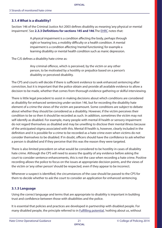# **3.1.4 What is a disability?**

Section 146 of the Criminal Justice Act 2003 defines disability as meaning 'any physical or mental impairment'. See **[2.3.3 Definitions for sections 145 and 146](#page-21-0)**.The [EHRC](http://www.equalityhumanrights.com) notes that:

> A physical impairment is a condition affecting the body, perhaps through sight or hearing loss, a mobility difficulty or a health condition. A mental impairment is a condition affecting 'mental functioning', for example a learning disability or mental health condition such as manic depression.

The CJS defines a disability hate crime as:

Any criminal offence, which is perceived, by the victim or any other person, to be motivated by a hostility or prejudice based on a person's disability or perceived disability.

The CPS and courts will decide if there is sufficient evidence to seek enhanced sentencing after conviction, but it is important that the police obtain and provide all available evidence to allow a decision to be made, whether that comes from thorough evidence gathering or skilful interviewing.

There is little legal precedent to assist in making decisions about which conditions are considered as disability for enhanced sentencing under section 146, but for recording the disability hate element of a crime the views of the victim are paramount. Some conditions are subject to debate about whether they should be considered as a disability. However, if the victim perceives their condition to be so then it should be recorded as such. In addition, sometimes the victim may not self-identify as disabled. For example, many people with mental ill health or sensory impairment do not regard themselves as disabled and may be unwilling to disclose their mental illness because of the anticipated stigma associated with this. Mental ill health is, however, clearly included in the definition and it is possible for a crime to be recorded as a hate crime even when victims do not consider themselves to be disabled. If in doubt, officers should have the confidence to ask whether a person is disabled and if they perceive that this was the reason they were targeted.

There is also limited precedent on what would be considered to be hostility in cases of disability hate crime. Although the CPS will need to assess the quality of any evidence before asking the court to consider sentence enhancements, this is not the case when recording a hate crime. Positive recording allows the police to focus on the issues at appropriate decision points, and the views of the victim or 'any other person' should be respected, even if they appear to be incorrect.

Whenever a suspect is identified, the circumstances of the case should be passed to the CPS for them to decide whether to ask the court to consider an application for enhanced sentencing.

# <span id="page-27-0"></span>**3.1.5 Language**

Using the correct language and terms that are appropriate to disability is important in building trust and confidence between those with disabilities and the police.

It is essential that policies and practices are developed in partnership with disabled people. For many disabled people, the principle referred to in **Fulfilling potential**, 'nothing about us, without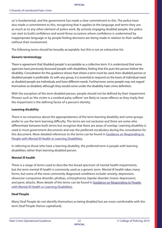us' is fundamental, and the government has made a clear commitment to this. The police have also made a commitment to this, recognising that it applies to the language and terms they use as much as to any other element of police work. By actively engaging disabled people, the police can start to build confidence and avoid those occasions where confidence is undermined by inappropriate language or by people feeling decisions are being made in relation to their welfare without their involvement.

The following terms should be broadly acceptable, but this is not an exhaustive list.

### **Generic terminology**

There is agreement that 'disabled people' is acceptable as a collective term. It is understood that some agencies have previously favoured 'people with disabilities', feeling that this puts the person before the disability. Consultation for this guidance shows that where a term must be used, then disabled person or disabled people is preferable. As with any group, it is essential to respond on the basis of individual need as disabled people are individuals and have different needs. Furthermore, some people may not regard themselves as disabled, although they would come under the disability hate crime definition.

With the exception of the term disabled person, people should not be defined by their impairment. Phrases such as 'the victim is a cerebral palsy sufferer' are likely to cause offence as they imply that the impairment is the defining factor of a person's identity.

### **Learning disability**

There is no consensus about the appropriateness of the term learning disability and some groups prefer to use the term learning difficulty. The terms are not exclusive and there are some who differentiate between both terms but recognise that there are areas of overlap. Learning disability is used in most government documents and was the preferred vocabulary during the consultation for this document. More detailed references to the terms can be found in Guidance on Responding to [People with Mental Ill Health or Learning Disabilities](http://library.college.police.uk/docs/acpo/Guidance-mental-ill-health-2010.pdf).

In referring to those who have a learning disability, the preferred term is people with learning disabilities rather than learning disabled person.

### **Mental ill health**

There is a range of terms used to describe the broad spectrum of mental health impairments, but the term mental ill health is commonly used as a generic term. Mental ill health takes many forms, but some of the most commonly diagnosed conditions include: anxiety, depression, obsessive-compulsive disorder, phobias, schizophrenia, bipolar disorder (manic depression), and panic attacks. More details of the terms can be found in [Guidance on Responding to People](http://library.college.police.uk/docs/acpo/Guidance-mental-ill-health-2010.pdf)  [with Mental Ill Health or Learning Disabilities](http://library.college.police.uk/docs/acpo/Guidance-mental-ill-health-2010.pdf).

### **Deaf People**

Many Deaf People do not identify themselves as being disabled but are more comfortable with the term Deaf People (hence capitalised).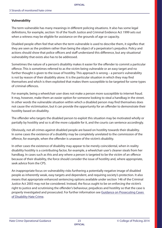#### **Vulnerability**

The term vulnerable has many meanings in different policing situations. It also has some legal definitions, for example, section 16 of the Youth Justice and Criminal Evidence Act 1999 sets out when a witness may be eligible for assistance on the grounds of age or capacity.

Disabled people often feel that when the term vulnerable is used to describe them, it signifies that they are seen as the problem rather than being the object of a perpetrator's prejudice. Policy and actions should show that police officers and staff understand this difference, but any situational vulnerability that exists also has to be addressed.

Sometimes the nature of a person's disability makes it easier for the offender to commit a particular offence. This is sometimes referred to as the victim being vulnerable or an easy target and no further thought is given to the issue of hostility. This approach is wrong – a person's vulnerability is not by reason of their disability alone. It is the particular situation in which they may find themselves and which is then exploited that makes them susceptible to be targeted for some types of criminal offences.

For example, being a wheelchair user does not make a person more susceptible to internet fraud. It may, however, make them an easier option for someone looking to steal a handbag in the street. In other words the vulnerable situation within which a disabled person may find themselves does not cause the victimisation, but it can provide the opportunity for an offender to demonstrate their hostility based on disability.

The offender who targets the disabled person to exploit this situation may be motivated wholly or partially by hostility and so is all the more culpable for it, and the courts can sentence accordingly.

Obviously, not all crimes against disabled people are based on hostility towards their disability. In some cases the existence of a disability may be completely unrelated to the commission of the offence, for example, when the offender is unaware of the victim's disability.

In other cases the existence of disability may appear to be merely coincidental, when in reality disability hostility is a contributing factor, for example, a wheelchair user's cleaner steals from her handbag. In cases such as this and any where a person is targeted to be the victim of an offence because of their disability, the force should consider the issue of hostility and, where appropriate, seek advice from the CPS.

An inappropriate focus on vulnerability risks furthering a potentially negative image of disabled people as inherently weak, easy targets and dependent, and requiring society's protection. It also means that appropriate enhanced sentencing options available under section 146 of the Criminal Justice Act 2003 may not be considered. Instead, the focus ought to be on enforcing the victim's right to justice and scrutinising the offender's behaviour, prejudices and hostility so that the case is properly investigated and prosecuted. For further information see [Guidance on Prosecuting Cases](http://www.cps.gov.uk/legal/d_to_g/disability_hate_crime/)  [of Disability Hate Crime.](http://www.cps.gov.uk/legal/d_to_g/disability_hate_crime/)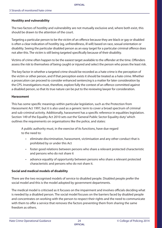#### **Hostility and vulnerability**

The two factors of hostility and vulnerability are not mutually exclusive and, where both exist, this should be drawn to the attention of the court.

Targeting a particular person to be the victim of an offence because they are black or gay or disabled is often a clear indication of hostility (eg, unfriendliness, ill will) based on race, sexual orientation or disability. Seeing the particular disabled person as an easy target for a particular criminal offence does not alter this. The victim is still being targeted specifically because of their disability.

Victims of crime often happen to be the easiest target available to the offender at the time. Offenders assess the risk to themselves of being caught or injured and select the person who poses the least risk.

The key factor in whether a targeted crime should be recorded as a hate crime is the perception of the victim or other person, and if that perception exists it should be treated as a hate crime. Whether a prosecution can proceed to consider enhanced sentencing is a matter for later consideration by the CPS. Investigations must, therefore, explore fully the context of an offence committed against a disabled person, so that its true nature can be put to the reviewing lawyer for consideration.

#### **Harassment**

This has some specific meanings within particular legislation, such as the Protection from Harassment Act 1997, but it is also used as a generic term to cover a broad spectrum of criminal and sub-criminal activity. Additionally, harassment has a specific reference in equalities legislation. Section 149 of the Equality Act 2010 sets out the 'General Public Sector Equality duty' which outlines the requirements on organisations like the police, and states:

A public authority must, in the exercise of its functions, have due regard to the need to:

- eliminate discrimination, harassment, victimisation and any other conduct that is prohibited by or under this Act
- foster good relations between persons who share a relevant protected characteristic and persons who do not share it
- advance equality of opportunity between persons who share a relevant protected characteristic and persons who do not share it.

#### **Social and medical models of disability**

There are the two recognised models of service to disabled people. Disabled people prefer the social model and this is the model adopted by government departments.

The medical model is criticised as it focuses on the impairment and involves officials deciding what is needed by a disabled person. The social model focuses on the barriers faced by disabled people and concentrates on working with the person to respect their rights and the need to communicate with them to offer a service that removes the factors preventing them from sharing the same freedom as others.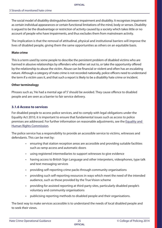The social model of disability distinguishes between impairment and disability. It recognises impairment as certain individual appearances or certain functional limitations of the mind, body or senses. Disability is argued to be the disadvantage or restriction of activity caused by a society which takes little or no account of people who have impairments, and thus excludes them from mainstream activity.

The implication is that the removal of attitudinal, physical and institutional barriers will improve the lives of disabled people, giving them the same opportunities as others on an equitable basis.

#### **Mate crime**

This is a term used by some people to describe the persistent problem of disabled victims who are harmed in abusive relationships by offenders who either set out to, or take the opportunity offered by the relationship to abuse the victim. Abuse can be financial or violent and often has an escalating nature. Although a category of mate crime is not recorded nationally, police officers need to understand the term if a victim uses it, and that such a report is likely to be a disability hate crime or incident.

#### **Other terminology**

Phrases such as, 'He had a mental age of 5' should be avoided. They cause offence to disabled people and are seen as a barrier to fair service delivery.

### <span id="page-31-0"></span>**3.1.6 Access to services**

For disabled people to access police services, and to comply with legal obligations under the Equality Act 2010, it is important to ensure that fundamental issues such as access to police premises are addressed. For further information on reasonable adjustments, see the [Equality and](http://www.equalityhumanrights.com)  [Human Rights Commission.](http://www.equalityhumanrights.com)

The police service has a responsibility to provide an accessible service to victims, witnesses and defendants. This can be met by:

- ensuring that station reception areas are accessible and providing suitable facilities such as ramp access and automatic doors
- • using registered intermediaries to support witnesses to give evidence
- having access to British Sign Language and other interpreters, videophones, type talk and text messaging services
- providing self-reporting crime packs through community organisations
- providing such self-reporting resources in ways which meet the need of the intended audience, such as those provided by the True Vision scheme
- providing for assisted reporting at third-party sites, particularly disabled people's voluntary and community organisations
- publicising reporting methods to disabled people and their organisations.

The best way to make services accessible is to understand the needs of local disabled people and to seek their views.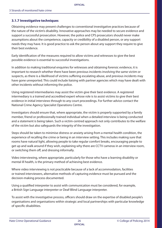## <span id="page-32-0"></span>**3.1.7 Investigative techniques**

Obtaining evidence may present challenges to conventional investigative practices because of the nature of the victim's disability. Innovative approaches may be needed to secure evidence and support a successful prosecution. However, the police and CPS prosecutors should never make assumptions about the competence, capacity or credibility of a disabled person, or any support needs they may have. It is good practice to ask the person about any support they require to give their best evidence.

Early identification of the measures required to allow victims and witnesses to give the best possible evidence is essential to successful investigations.

In addition to making traditional enquiries for witnesses and obtaining forensic evidence, it is important to research whether there have been previous incidents involving the same victim or suspects, as there is a likelihood of victims suffering escalating abuse, and previous incidents may have gone unreported. This could include liaising with partner agencies which may have dealt with other incidents without informing the police.

Using registered intermediaries may assist the victim give their best evidence. A registered intermediary is a trained and accredited expert whose role is to assist victims to give their best evidence in initial interviews through to any court proceedings. For further advice contact the National Crime Agency Specialist Operations Centre.

Investigators should ensure that, where appropriate, the victim is properly supported by a family member, friend or professionally trained individual when a detailed interview is being conducted and a statement is being taken. Such a victim-centred approach not only contributes to the welfare of the victim but also safeguards the integrity of the investigation.

Steps should be taken to minimise distress or anxiety arising from a mental health condition, the experience of recalling the crime or being in an interview setting. This includes making sure that rooms have natural light, allowing people to take regular comfort breaks, encouraging people to get up and walk around if they wish, explaining why there are CCTV cameras in an interview room, or switching them off, and dressing informally.

Video interviewing, where appropriate, particularly for those who have a learning disability or mental ill health, is the primary method of achieving best evidence.

Where video interviewing is not practicable because of a lack of accommodation, facilities or trained interviewers, alternative methods of capturing evidence must be pursued and the decision-making process documented.

Using a qualified interpreter to assist with communication must be considered, for example, a British Sign Language interpreter or Deaf-Blind Language interpreter.

To assist with the investigative process, officers should draw on the expertise of disabled people's organisations and organisations within strategic and local partnerships with particular knowledge of specific disabilities.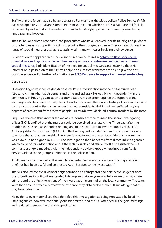Staff within the force may also be able to assist. For example, the Metropolitan Police Service (MPS) has developed its Cultural and Communities Resource Unit which provides a database of life skills possessed by individual staff members. This includes lifestyle, specialist community knowledge, languages and hobbies.

The CPS has appointed hate crime lead prosecutors who have received specific training and guidance on the best ways of supporting victims to provide the strongest evidence. They can also discuss the range of special measures available to assist victims and witnesses in giving their evidence.

Guidance on the application of special measures can be found in Achieving Best Evidence in [Criminal Proceedings: Guidance on interviewing victims and witnesses, and guidance on using](http://www.justice.gov.uk/downloads/victims-and-witnesses/vulnerable-witnesses/achieving-best-evidence-criminal-proceedings.pdf)  [special measures](http://www.justice.gov.uk/downloads/victims-and-witnesses/vulnerable-witnesses/achieving-best-evidence-criminal-proceedings.pdf). Early identification of the need for special measures and ensuring that this information is passed on to the CPS will help to ensure that witnesses are able to give the best possible evidence. For further information see **[8.5.3 Evidence to support enhanced sentencing](#page-82-1)**.

#### **Case study**

Operation Eager was the Greater Manchester Police investigation into the brutal murder of a 42-year-old man who had Asperger syndrome and epilepsy. He was living independently in the community in housing association accommodation. His disorder required the support of the learning disabilities team who regularly attended his home. There was a history of complaints made by the victim about antisocial behaviour from other residents. He himself had suffered varying degrees of harassment from different people. His murder was declared a critical incident by the force.

Enquiries revealed that another tenant was responsible for the murder. The senior investigating officer (SIO) identified that the murder could be perceived as a hate crime. Three days after the murder, the SIO held an extended briefing and made a decision to invite members of the Local Authority Adult Services Team (LAAST) to the briefing and include them in the process. This was to ensure that strong partnership links were formed from the outset. A confidentiality agreement was drawn up and signed by LAAST. The investigation then benefited from direct links to agencies which could obtain information about the victim quickly and efficiently. It also assisted the BCU commander at gold meetings with the independent advisory group where input from Adult Services added to the group's confidence in the police action.

Adult Services commented at the final debrief, 'Adult Services attendance at the major incident briefings had been useful and connected Adult Services to the investigation'.

The SIO also invited the divisional neighbourhood chief inspector and a detective sergeant from the force diversity unit to the extended briefings so that everyone was fully aware of what a hate crime is and the effect the actions of the investigation team had on the local community. The team were then able to effectively review the evidence they obtained with the full knowledge that this may be a hate crime.

No evidence ever materialised that identified this investigation as being motivated by hostility. Other agencies, however, continually questioned this, and the SIO attended all the gold meetings and updated members on this area specifically.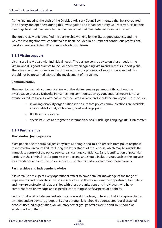At the final meeting the chair of the Disabled Advisory Council commented that he appreciated the honesty and openness during this investigation and it had been very well received. He felt the meetings held had been excellent and issues raised had been listened to and addressed.

The force review unit identified the partnership working by the SIO as good practice, and the way the investigation was conducted has been included in a number of continuous professional development events for SIO and senior leadership teams.

### <span id="page-34-0"></span>**3.1.8 Victim support**

Victims are individuals with individual needs. The best person to advise on these needs is the victim, and it is good practice to include them when agreeing victim and witness support plans. There may be other professionals who can assist in the provision of support services, but this should not be presumed without the involvement of the victim.

#### **Communication**

The need to maintain communication with the victim remains paramount throughout the investigative process. Difficulty in maintaining communication by conventional means is not an excuse for failure to do so. Alternative methods are available and should be employed. These include:

- involving disability organisations to ensure that police communications are available in a suitable format, such as easy read and large print
- • Braille and audiotape
- specialists such as a registered intermediary or a British Sign Language (BSL) interpreter.

# <span id="page-34-1"></span>**3.1.9 Partnerships**

#### **The criminal justice process**

Most people see the criminal justice system as a single end-to-end process from police response to a conviction in court. Failure during the latter stages of the process, which may be outside the immediate control of the police service, can damage confidence. Early identification of potential barriers in the criminal justice process is important, and should include issues such as the logistics for attendance at court. The police service must play its part in overcoming these barriers.

#### **Partnerships and independent advice**

It is unrealistic to expect every operational officer to have detailed knowledge of the range of impairments and disabilities. The police service must, therefore, seize the opportunity to establish and nurture professional relationships with those organisations and individuals who have comprehensive knowledge and expertise concerning specific aspects of disability.

Setting up disability independent advisory groups at force level, or having disability representation on independent advisory groups at BCU or borough level should be considered. Local disabled people's user-led organisations or voluntary sector groups offer expertise and links should be established with them.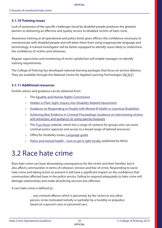### <span id="page-35-0"></span>**3.1.10 Training issues**

Lack of awareness of the specific challenges faced by disabled people produces the greatest barriers to delivering an effective and quality service to disabled victims of hate crime.

Awareness training at all operational and policy levels gives officers the confidence necessary to communicate with disabled people and will deter them from using inappropriate language and terminology. A trained investigator will be better equipped to identify issues likely to undermine the confidence of victims and witnesses.

Regular supervision and monitoring of victim satisfaction will enable managers to identify training requirements.

The College of Policing has developed national learning packages that focus on service delivery. They are available through the National Centre for Applied Learning Technologies [\(NCALT\)](http://www.ncalt.com/).

## <span id="page-35-1"></span>**3.1.11 Additional resources**

Further advice and guidance can be obtained from:

- The [Equality and Human Rights Commission](http://www.equalityhumanrights.com)
- [Hidden in Plain Sight: Inquiry into Disability Related Harassment](http://www.equalityhumanrights.com/legal-and-policy/inquiries-and-assessments/inquiry-into-disability-related-harassment/hidden-in-plain-sight-the-inquiry-final-report/)
- **Guidance on Responding to People with Mental III Health or Learning Disabilities**
- Achieving Best Evidence in Criminal Proceedings: Guidance on interviewing victims [and witnesses, and guidance on using special measures](http://www.justice.gov.uk/downloads/victims-and-witnesses/vulnerable-witnesses/achieving-best-evidence-criminal-proceedings.pdf)
- The [True Vision](http://www.report-it.org.uk) website, which has a range of contacts for groups who can assist criminal justice agencies and access to a broad range of tailored resources
- Office for Disability Issues, Language quide
- [Police and mental health how to get it right locally](http://www.mind.org.uk/media/618027/2013-12-03-Mind_police_final_web.pdf), published by Mind.

# <span id="page-35-2"></span>3.2 Race hate crime

Race hate crime can have devastating consequences for the victim and their families, but it also affects communities in terms of cohesion, tension and fear of crime. Responding to racist hate crime and taking action to prevent it will have a significant impact on the confidence that communities affected have in the police service. Failing to respond adequately to hate crime will damage relationships and make all policing services less effective.

A race hate crime is defined as:

…any criminal offence which is perceived, by the victim or any other person, to be motivated (wholly or partially) by a hostility or prejudice based on a person's race or perceived race.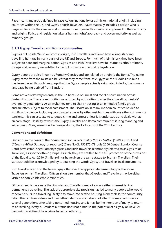Race means any group defined by race, colour, nationality or ethnic or national origin, including countries within the UK, and Gypsy or Irish Travellers. It automatically includes a person who is targeted because they are an asylum seeker or refugee as this is intrinsically linked to their ethnicity and origins. Policy and legislation takes a 'human rights' approach and covers majority as well as minority groups.

### **3.2.1 Gypsy, Traveller and Roma communities**

Gypsies of English, Welsh or Scottish origin, Irish Travellers and Roma have a long-standing travelling heritage in many parts of the UK and Europe. For much of their history, they have been subject to hate and marginalisation. Gypsies and Irish Travellers have full status as ethnic minority groups and, as such, are entitled to the full protection of equality legislation.

Gypsy people are also known as Romany Gypsies and are related by origin to the Roma. The name Gypsy came from the mistaken belief that they came from little Egypt or the Middle East, but it has been traced through language that the Gypsy people actually originated in India, the Romany language being derived from Sanskrit.

Roma arrived relatively recently in the UK because of unrest and racial discrimination across Eastern Europe. These communities were forced by authorities to alter their 'travelling lifestyle' over many generations. As a result, they tend to share housing as an extended family group and are often subject to racial harassment. Their isolation in many modern countries has led to significant violence, including coordinated attacks by other residents. As with any other community tensions, this can escalate to targeted crime and unrest unless it is understood and dealt with at an early stage. Hostility towards the Gypsy, Traveller and Roma communities is long-standing and widespread. Many were killed in Europe during the Holocaust of the 20th Century.

### **Conventions and definitions**

Decisions in the cases of the *Commission for Racial Equality (CRE) v Dutton* [1989] QB 783 and O'Leary v Allied Domecq (unreported) (Case No CL 950275–79) July 2000 Central London County Court have established Romany Gypsies and Irish Travellers (commonly referred to as Gypsies or Travellers) as specific ethnic groups. As such, they are entitled to the full protection of the provisions of the Equality Act 2010. Similar rulings have given the same statue to Scottish Travellers. Their status should be acknowledged by capitalising the words Gypsy and Travellers in all documents.

Irish Travellers can find the term Gypsy offensive. The appropriate terminology is, therefore, Travellers or Irish Travellers. Officers should remember that Gypsies and Travellers may be either visible or non-visible ethnic minorities.

Officers need to be aware that Gypsies and Travellers are not always either site-resident or permanently travelling. The lack of appropriate site provision has led to many people who would otherwise pursue a travelling lifestyle to move into settled housing. Nonetheless, the community retain their cultural values and their ethnic status as such does not alter. This may continue for several generations after taking up settled housing and it may be the intention of many to return to a travelling lifestyle. Residential status does not diminish the potential of a Gypsy or Traveller becoming a victim of hate crime based on ethnicity.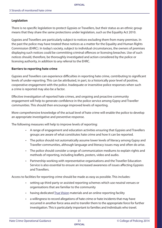### **Legislation**

There is no specific legislation to protect Gypsies or Travellers, but their status as an ethnic group means that they share the same protections under legislation, such as the Equality Act 2010.

Gypsies and Travellers are particularly subject to notices excluding them from many premises. In the past the police may have treated these notices as a matter for the Equality and Human Rights Commission (EHRC). In today's society, subject to individual circumstances, the owners of premises displaying such notices could be committing criminal offences or licensing breaches. Use of such notices should, therefore, be thoroughly investigated and action considered by the police or licensing authority, in addition to any referral to the EHRC.

### **Barriers to reporting hate crime**

Gypsies and Travellers can experience difficulties in reporting hate crime, contributing to significant levels of under-reporting. This can be attributed, in part, to a historically poor level of positive, cooperative engagement with the police. Inadequate or insensitive police responses when such a crime is reported may also be a factor.

Effective investigation of reported hate crimes, and ongoing and proactive community engagement will help to generate confidence in the police service among Gypsy and Traveller communities. This should then encourage improved levels of reporting.

More comprehensive knowledge of the actual level of hate crime will enable the police to develop an appropriate investigative and preventive response.

The following measures will help to improve levels of reporting:

- A range of engagement and education activities ensuring that Gypsies and Travellers groups are aware of what constitutes hate crime and how it can be reported.
- The police should not automatically assume lower levels of literacy among Gypsy and Traveller communities, although language and literacy issues may and often do arise.
- The police should consider a range of communication mediums to explain rights and methods of reporting, including leaflets, posters, video and audio.
- Partnership working with representative organisations and the Traveller Education Service is also essential to ensure an increased awareness of issues affecting Gypsies and Travellers.

Access to facilities for reporting crime should be made as easy as possible. This includes:

- setting up third-party or assisted reporting schemes which use neutral venues or organisations that are familiar to the community
- having dedicated [True Vision](http://www.report-it.org.uk) materials and an online reporting facility
- a willingness to record allegations of hate crime or hate incidents that may have occurred in another force area and to transfer them to the appropriate force for further investigation. This is particularly important to families and individuals who travel.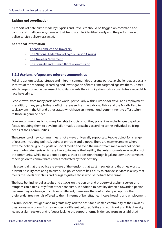### **Tasking and coordination**

All reports of hate crime made by Gypsies and Travellers should be flagged on command and control and intelligence systems so that trends can be identified easily and the performance of police service delivery assessed.

### **Additional information**

- **[Friends, Families and Travellers](http://www.gypsy-traveller.org/)**
- [The National Federation of Gypsy Liaison Groups](http://www.nationalgypsytravellerfederation.org/)
- **[The Traveller Movement](http://www.irishtraveller.org.uk)**
- [The Equality and Human Rights Commission.](http://www.equalityhumanrights.com)

### **3.2.2 Asylum, refugee and migrant communities**

Policing asylum seeker, refugee and migrant communities presents particular challenges, especially in terms of the reporting, recording and investigation of hate crime targeted against them. Crimes which target someone because of hostility towards their immigration status constitutes a recordable race hate crime.

People travel from many parts of the world, particularly within Europe, for travel and employment. In addition, many people flee conflict in areas such as the Balkans, Africa and the Middle East, to seek asylum in the UK and other states which have an international commitment to offer asylum to those in genuine need.

Diverse communities bring many benefits to society but they present new challenges to police forces, requiring them to develop tailor-made approaches according to the individual policing needs of their communities.

The presence of new communities is not always universally supported. People object for a range of reasons, including political, point of principle and bigotry. There are many examples where extreme political groups, posts on social media and even the mainstream media and politicians have made statements which are likely to increase the hostility that exists towards new sections of the community. While most people express their opposition through legal and democratic means, others go on to commit hate crimes motivated by their hostility.

It is essential that the police are aware of the tensions that exist in society and that they work to prevent hostility escalating to crime. The police service has a duty to provide services in a way that meets the needs of victims and brings to justice those who perpetrate hate crime.

The hate behind verbal assaults and attacks on the person and property of asylum seekers and refugees can differ subtly from other hate crime. In addition to hostility directed towards a person because they are foreign or culturally different, there are often unfounded perceptions that preferential treatment is offered to them in terms of benefits, healthcare, housing and employment.

Asylum seekers, refugees and migrants may lack the basis for a unified community of their own as they are usually drawn from a number of different cultures, faiths and ethnic origins. This diversity leaves asylum seekers and refugees lacking the support normally derived from an established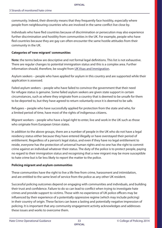community. Indeed, their diversity means that they frequently face hostility, especially where people from neighbouring countries who are involved in the same conflict live close by.

Individuals who have fled countries because of discrimination or persecution may also experience further discrimination and hostility from communities in the UK. For example, people who have fled countries because they are gay can often encounter the same hostile attitudes from their community in the UK.

### **Categories of 'new migrant' communities**

**Note:** the terms below are descriptive and not formal legal definitions. This list is not exhaustive. There are regular changes to potential immigration status and this is a complex area. Further information should, therefore, be sought from [UK Visas and Immigration](https://www.gov.uk/government/organisations/uk-visas-and-immigration).

Asylum seekers – people who have applied for asylum in this country and are supported while their application is assessed.

Failed asylum seekers – people who have failed to convince the government that their need for refugee status is genuine. Some failed asylum seekers are given state support in certain circumstances, such as where they originate from a country that is deemed to be unsafe for them to be deported to, but they have agreed to return voluntarily once it is deemed to be safe.

Refugees – people who have successfully applied for protection from the state and who, for a limited period of time, have most of the rights of indigenous citizens.

Migrant workers – people who have a legal right to enter, live and work in the UK such as those who originate from European Union states.

In addition to the above groups, there are a number of people in the UK who do not have a legal residency status either because they have entered illegally or have overstayed their period of entitlement. Regardless of a person's legal status, and even if they have no legal entitlement to reside, everyone has the protection of universal human rights and no one has the right to commit crime against an individual whatever their status. The duty of the police is to protect people, paying no regard to their immigration status and recognising that a new migrant may be more susceptible to hate crime but is far less likely to report the matter to the police.

### **Policing migrant and asylum communities**

These communities have the right to live a life free from crime, harassment and intimidation, and are entitled to the same level of service from the police as any other UK resident.

Successful policing outcomes depend on engaging with communities and individuals, and building their trust and confidence. Failure to do so can lead to conflict when trying to investigate hate crimes and provide support to victims. Those with no experience of UK police officers may be influenced by their experience of a potentially oppressive regime (which may include policing) in their country of origin. These factors can leave a lasting and potentially negative impression of policing. It is important that any community engagement activity acknowledges and addresses these issues and works to overcome them.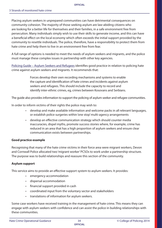Placing asylum seekers in unprepared communities can have detrimental consequences on community cohesion. The majority of those seeking asylum are law-abiding citizens who are looking for a better life for themselves and their families, in a safe environment free from persecution. Many individuals simply wish to use their skills to generate income, and this can have a beneficial effect on the local economy which often exceeds the initial support provided by the community to resettle individuals. The police, therefore, have a responsibility to protect them from hate crime and help them to live in an environment free from fear.

A full range of options is needed to meet the needs of asylum seekers and migrants, and the police must manage these complex issues in partnership with other key agencies.

[Policing Guide – Asylum Seekers and Refugees](http://www.southyorks.police.uk/node/2824) identifies good practice in relation to policing hate crime against asylum seekers and migrants. It recommends that:

> Forces develop their own recording mechanisms and systems to enable the capture and identification of hate crimes and incidents against asylum seekers and refugees. This should include the capacity to record and identify inter-ethnic crimes, eg, crimes between Kosovans and Serbians.

The guide also provides information to support the policing of asylum seeker and refugee communities.

In order to inform victims of their rights the police may wish to:

- develop and make available information and welcome packs in all relevant languages, or establish police surgeries within 'one stop' multi-agency arrangements
- • develop an effective communication strategy which should counter media inaccuracies, dispel myths, promote success stories where, for example, crime has reduced in an area that has a high proportion of asylum seekers and ensure clear communication exists between partnerships.

### **Good practice example**

Recognising that many of the hate crime victims in their force area were migrant workers, Devon and Cornwall Police allocated two 'migrant worker' PCSOs to work under a partnership structure. The purpose was to build relationships and reassure this section of the community.

### **Asylum support**

This service aims to provide an effective support system to asylum seekers. It provides:

- emergency accommodation
- • dispersal accommodation
- • financial support provided in cash
- • coordinated input from the voluntary sector and stakeholders
- • translations of information for asylum seekers.

Some case workers have received training in the management of hate crime. This means they can engage with asylum seekers with confidence and can assist the police in building relationships with these communities.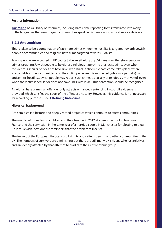### **Further information**

[True Vision](http://www.report-it.org.uk) has a library of resources, including hate crime reporting forms translated into many of the languages that new migrant communities speak, which may assist in local service delivery.

### **3.2.3 Antisemitism**

This is taken to be a combination of race hate crimes where the hostility is targeted towards Jewish people or communities and religious hate crime targeted towards Judaism.

Jewish people are accepted in UK courts to be an ethnic group. Victims may, therefore, perceive crimes targeting Jewish people to be either a religious hate crime or a racist crime, even when the victim is secular or does not have links with Israel. Antisemitic hate crime takes place where a recordable crime is committed and the victim perceives it is motivated (wholly or partially) by antisemitic hostility. Jewish people may report such crimes as racially or religiously motivated, even when the victim is secular or does not have links with Israel. This perception should be recognised.

As with all hate crimes, an offender only attracts enhanced sentencing in court if evidence is provided which satisfies the court of the offender's hostility. However, this evidence is not necessary for recording purposes. See **[1 Defining hate crime](#page-8-0)**.

### **Historical background**

Antisemitism is a historic and deeply rooted prejudice which continues to affect communities.

The murder of three Jewish children and their teacher in 2012 at a Jewish school in Toulouse, France, and the conviction in the same year of a married couple in Manchester for plotting to blow up local Jewish locations are reminders that the problem still exists.

The impact of the European Holocaust still significantly affects Jewish and other communities in the UK. The numbers of survivors are diminishing but there are still many UK citizens who lost relatives and are deeply affected by that attempt to eradicate their entire ethnic group.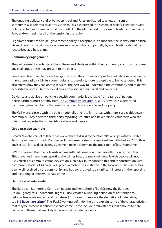The ongoing political conflict between Israel and Palestine has led to a new antisemitism, sometimes also referred to as anti-Zionism. This is expressed in a system of beliefs, convictions and political activities focused around the conflict in the Middle East. This form of hostility often blames Jews and/or Israelis for all of the tension in the region.

Legitimate criticism of Israeli government policy is acceptable in a modern, free society, but political views do not justify criminality. A crime motivated wholly or partially by such hostility should be recognised as a hate crime.

### **Community engagement**

The police need to understand the cultures and lifestyles within the community and how to address any challenges these may present to the police.

Some Jews live their life by strict religious codes. The clothing and practices of religious observance make them easily visible in a community and, therefore, more susceptible to being targeted. This also affects how they can access services. The best way to understand the community and to deliver accessible services is to meet local people to discuss their needs and concerns.

Guidance and advice on policing a Jewish community is available from a range of national police partners, most notably from [The Community Security Trust](http://www.thecst.org.uk) (CST) which is a dedicated community-funded charity that exists to protect Jewish people and property.

The CST works closely with the police nationally and locally, in areas with there is a sizeable Jewish community. They operate a third-party reporting structure and have trained volunteers who can offer physical protection to Jewish locations and people.

### **Good practice example**

Greater Manchester Police (GMP) has worked hard to build cooperative relationships with the sizable Jewish community in north Manchester. It has formed a strong operational link with the local CST office and set up a formal data-sharing agreement to help determine the true extent of local hate crime.

GMP discovered that many Jewish victims suffered crimes on their Sabbath or on festival days. This prevented them from reporting the crimes because many religious Jewish people will not use vehicles or communication devices on such days. In response to this and in consultation with community leaders, GMP regularly places a mobile police station in the local area. The service has been well received by the community and has contributed to a significant increase in the reporting and recording of antisemitic hate crime.

### **Definition of antisemitism**

The European Monitoring Centre on Racism and Xenophobia (EUMC), now the European Union Agency for Fundamental Rights (FRA), created a working definition of antisemitic to help professionals understand its nature. (This does not replace the definition of hate crime, see **[3.2 Race hate crime](#page-35-0)**.) The EUMC working definition helps to explain some of the characteristics that may be present in antisemitic hate crime. These include circumstances that amount to hate crimes and those that are likely to be non-crime hate incidents.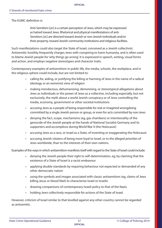The EUMC definition is:

Anti-Semitism [*sic*] is a certain perception of Jews, which may be expressed as hatred toward Jews. Rhetorical and physical manifestations of anti-Semitism [*sic*] are directed toward Jewish or non-Jewish individuals and/or their property, toward Jewish community institutions and religious facilities.

Such manifestations could also target the State of Israel, conceived as a Jewish collectivist. Antisemitic hostility frequently charges Jews with conspiring to harm humanity, and is often used to blame Jewish people for 'why things go wrong'. It is expressed in speech, writing, visual forms and action, and employs negative stereotypes and character traits.

Contemporary examples of antisemitism in public life, the media, schools, the workplace, and in the religious sphere could include, but are not limited to:

- calling for, aiding, or justifying the killing or harming of Jews in the name of a radical ideology or an extremist view of religion
- making mendacious, dehumanising, demonising, or stereotypical allegations about Jews as individuals or the power of Jews as a collective, including especially, but not exclusively, the myth about a world Jewish conspiracy or of Jews controlling the media, economy, government or other societal institutions
- accusing Jews as a people of being responsible for real or imagined wrongdoing committed by a single Jewish person or group, or even for acts committed by non-Jews
- denying the fact, scope, mechanisms (eg, gas chambers) or intentionality of the genocide of the Jewish people at the hands of National Socialist Germany and its supporters and accomplices during World War II (the Holocaust)
- accusing Jews as a race, or Israel as a State, of inventing or exaggerating the Holocaust
- • accusing Jewish citizens of being more loyal to Israel, or to the alleged priorities of Jews worldwide, than to the interests of their own nations.

Examples of the ways in which antisemitism manifests itself with regard to the State of Israel could include:

- denying the Jewish people their right to self-determination, eg, by claiming that the existence of a State of Israel is a racist endeavour
- applying double standards by requiring behaviour not expected or demanded of any other democratic nation
- using the symbols and images associated with classic antisemitism (eg, claims of Jews killing Jesus or blood libel) to characterise Israel or Israelis
- • drawing comparisons of contemporary Israeli policy to that of the Nazis
- holding Jews collectively responsible for actions of the State of Israel.

However, criticism of Israel similar to that levelled against any other country cannot be regarded as antisemitic.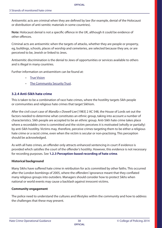Antisemitic acts are criminal when they are defined by law (for example, denial of the Holocaust or distribution of anti-semitic materials in some countries).

**Note:** Holocaust denial is not a specific offence in the UK, although it could be evidence of other offences.

Criminal acts are antisemitic when the targets of attacks, whether they are people or property, eg, buildings, schools, places of worship and cemeteries, are selected because they are, or are perceived to be, Jewish or linked to Jews.

Antisemitic discrimination is the denial to Jews of opportunities or services available to others and is illegal in many countries.

Further information on antisemitism can be found at:

- **[True Vision](http://www.report-it.org.uk)**
- [The Community Security Trust.](http://www.thecst.org.uk/)

### **3.2.4 Anti-Sikh hate crime**

This is taken to be a combination of race hate crimes, where the hostility targets Sikh people or communities and religious hate crimes that target Sikhism.

After the civil court case of *Mandla v Dowell-Lee* [1983] 2 AC 548, the House of Lords set out the factors needed to determine what constitutes an ethnic group, taking into account a number of characteristics. Sikh people are accepted to be an ethnic group. Anti-Sikh hate crime takes place where a recordable crime is committed and the victim perceives it is motivated (wholly or partially) by anti-Sikh hostility. Victims may, therefore, perceive crimes targeting them to be either a religious hate crime or a racist crime, even when the victim is secular or non-practising. This perception should be acknowledged.

As with all hate crimes, an offender only attracts enhanced sentencing in court if evidence is provided which satisfies the court of the offender's hostility. However, this evidence is not necessary for recording purposes. See **[1.2.3 Perception-based recording of hate crime](#page-11-0)**.

### **Historical background**

Many Sikhs have suffered hate crime in retribution for acts committed by other faiths. This occurred after the London bombings of 2005, where the offenders' ignorance meant that they conflated many religious groups into outsiders. Managers should consider how to protect Sikhs when national or world events may cause a backlash against innocent victims.

### **Community engagement**

The police need to understand the cultures and lifestyles within the community and how to address the challenges that these may present.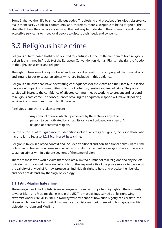Some Sikhs live their life by strict religious codes. The clothing and practices of religious observance make them easily visible in a community and, therefore, more susceptible to being targeted. This also affects how they can access services. The best way to understand the community and to deliver accessible services is to meet local people to discuss their needs and concerns.

## 3.3 Religious hate crime

Religious or faith-based hostility has existed for centuries. In the UK the freedom to hold religious beliefs is enshrined in Article 9 of the European Convention on Human Rights – the right to freedom of thought, conscience and religion.

The right to freedom of religious belief and practice does not justify carrying out the criminal acts and intra-religious or sectarian crimes which are included in this guidance.

Religious hate crime can have devastating consequences for the victim and their family, but it also has a wider impact on communities in terms of cohesion, tension and fear of crime. The police service will increase the confidence of affected communities by working to prevent and respond to religious hate crime. The consequences of failing to adequately respond will make all policing services in communities more difficult to deliver.

A religious hate crime is taken to mean:

Any criminal offence which is perceived, by the victim or any other person, to be motivated by a hostility or prejudice based on a person's religion or perceived religion.

For the purposes of this guidance this definition includes any religious group, including those who have no faith. See also **[1.2.1 Monitored hate crime](#page-8-1)**.

Religion is taken in a broad context and includes traditional and non-traditional beliefs. Hate crime policy has no hierarchy. A crime motivated by hostility to an atheist is a religious hate crime as are sectarian crimes within different sections of the same religion.

There are those who would claim that there are a limited number of real religions and any beliefs outside mainstream religions are cults. It is not the responsibility of the police service to decide on the validity of any belief. UK law protects an individual's right to hold and practise their beliefs, and does not defend any theology or ideology.

### **3.3.1 Anti-Muslim hate crime**

The emergence of the English Defence League and similar groups has highlighted the animosity towards Islam and Muslims that exists in the UK. The mass killings carried out by right-wing extremist Anders Breivik in 2011 in Norway were evidence of how such bigotry can escalate into violence if left unchecked. Breivik had many extremist views but foremost in his bigotry was his objection to Islam and Muslims.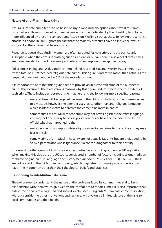### **Nature of anti-Muslim hate crime**

Anti-Muslim hate crime tends to be based on myths and misconceptions about what Muslims do or believe. Those who would commit violence or crime motivated by their hostility tend to be more influenced by these misconceptions. Attacks on Muslims, such as those following the terrorist attacks in London in 2005, ignore the fact that the majority of victims have no influence over, or support for, the actions that have occurred.

Research suggests that Muslim women are often targeted for hate crime and are particularly susceptible when they dress in clothing such as a niqab or burka. There is also a belief that crimes are more prevalent around mosques, particularly when large numbers gather to pray.

Police forces in England, Wales and Northern Ireland recorded 636 anti-Muslim hate crimes in 2011, from a total of 1,829 recorded religious hate crimes. This figure is indicative rather than actual as the target faith was not identified in 613 of the recorded crimes.

It is important to note that this figure does not provide an accurate reflection of the number of crimes that occurred. There are various reasons why this figure underestimates the true extent of such crime. These include under-reporting in general and the following, more specific, reasons:

- many victims will be targeted because of their Muslim clothing or their presence near to a mosque, however, the offender uses racist rather than anti-religious language which leads the victim to perceive the crime to be racist in nature
- some victims of anti-Muslim hate crime may not have English as their first language, and may not find it easy to access police services or have the confidence to tell an official what has happened to them
- many people do not report intra-religious or sectarian crime to the police as they may fear reprisals
- some victims of anti-Muslim hostility are not actually Muslims but are prejudged to be so by a perpetrator whose ignorance is a contributing factor to their hostility.

In contrast to other groups, Muslims are not recognised as an ethnic group under UK legislation. When making this decision, the UK courts considered a number of factors including a long tradition of shared origins, culture, language and history (see Mandla v Dowell-Lee [1983] 2 AC 548). These are not present in the UK Muslim community, which originates from many parts of the world and have little in common other than their theological beliefs and practices.

### **Responding to anti-Muslim hate crime**

The police need to understand the nature of the problems faced by communities and to build relationships with them which give victims the confidence to report crimes. It is also important that hate crime trends are recognised and shared locally. Measuring anti-Muslim hate crime in isolation, without considering other motivations such as race, will give only a limited picture of the risks to local communities and their needs.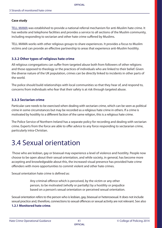### **Case study**

[TELL MAMA](http://tellmamauk.org) was established to provide a national referral mechanism for anti-Muslim hate crime. It has website and telephone facilities and provides a service to all sections of the Muslim community, including responding to sectarian and other hate crime suffered by Muslims.

TELL MAMA works with other religious groups to share experiences. It provides a focus to Muslim victims and can provide an effective partnership to areas that experience anti-Muslim hostility.

### **3.3.2 Other types of religious hate crime**

All religious congregations can suffer from targeted abuse both from followers of other religions and those opposed to theology or the practices of individuals who are linked to their belief. Given the diverse nature of the UK population, crimes can be directly linked to incidents in other parts of the world.

The police should build relationships with local communities so that they hear of, and respond to, concerns from individuals who fear that their safety is at risk through targeted abuse.

### **3.3.3 Sectarian crime**

Particular care needs to be exercised when dealing with sectarian crime, which can be seen as political crime in some circumstances but may be recorded as a religious hate crime in others. If a crime is motivated by hostility to a different faction of the same religion, this is a religious hate crime.

The Police Service of Northern Ireland has a separate policy for recording and dealing with sectarian crime. Experts from the force are able to offer advice to any force responding to sectararian crime, particularly intra-Christian.

### 3.4 Sexual orientation

 Those who are lesbian, gay or bisexual may experience a level of violence and hostility. People now choose to be open about their sexual orientation, and while society, in general, has become more accepting and knowledgeable about this, the increased visual presence has provided hate crime offenders with more opportunities to commit violent and other hate crimes.

Sexual orientation hate crime is defined as:

Any criminal offence which is perceived, by the victim or any other person, to be motivated (wholly or partially) by a hostility or prejudice based on a person's sexual orientation or perceived sexual orientation.

Sexual orientation refers to the person who is lesbian, gay, bisexual or heterosexual. It does not include sexual practice and, therefore, connections to sexual offences or sexual activity are not relevant. See also **[1.2.1 Monitored hate crime](#page-8-1)**.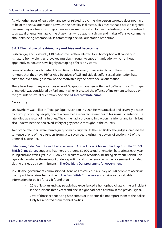As with other areas of legislation and policy related to a crime, the person targeted does not have to be of the sexual orientation at which the hostility is directed. This means that a person targeted because they are friends with gay men, or a woman mistaken for being a lesbian, could be subject to a sexual orientation hate crime. A gay man who assaults a victim and makes offensive comments about him being heterosexual is committing a sexual orientation hate crime.

### **3.4.1 The nature of lesbian, gay and bisexual hate crime**

Lesbian, gay and bisexual (LGB) hate crime is often referred to as homophobia. It can vary in its nature from violent, unprovoked murders through to subtle intimidation which, although apparently minor, can have highly damaging effects on victims.

Some offenders have targeted LGB victims for blackmail, threatening to 'out' them or spread rumours that they have HIV or Aids. Relatives of LGB individuals suffer sexual orientation hate crime too, even though it may not be motivated by their own sexual orientation.

There have been many occasions where LGB groups have been offended by 'hate music'. This type of material was considered by Parliament when it created the offence of incitement to hatred on the grounds of sexual orientation. See also **[14 Internet hate crime](#page-121-0)**.

### **Case study**

Ian Baynham was killed in Trafalgar Square, London in 2009. He was attacked and severely beaten by a group of young people, one of whom made repeated references to his sexual orientation. He later died as a result of his injuries. The crime had a profound impact on his friends and family but also undermined the perceived safety of gay people throughout the country.

Two of the offenders were found guilty of manslaughter. At the Old Bailey, the judge increased the sentence of one of the offenders from six to seven years, using the powers of section 146 of the Criminal Justice Act.

[Hate Crime, Cyber Security and the Experience of Crime Among Children: Findings from the 2010/11](https://www.gov.uk/government/uploads/system/uploads/attachment_data/file/116465/hosb0612snr.pdf)  [British Crime Survey](https://www.gov.uk/government/uploads/system/uploads/attachment_data/file/116465/hosb0612snr.pdf) suggests that there are around 50,000 sexual orientation hate crimes each year in England and Wales, yet in 2011 only 4,500 crimes were recorded, including Northern Ireland. This figure demonstrates the extent of under-reporting and is the reason why the government included closing this gap as a commitment in [The Coalition: Our programme for government](https://www.gov.uk/government/uploads/system/uploads/attachment_data/file/78977/coalition_programme_for_government.pdf)*.* 

In 2008 the government commissioned Stonewall to carry out a survey of LGB people to ascertain the impact hate crime had on them. [The Gay British Crime Survey](http://www.stonewall.org.uk/documents/homophobic_hate_crime__final_report.pdf) contains some valuable information for police forces. It found that:

- 20% of lesbian and gay people had experienced a homophobic hate crime or incident in the previous three years and one in eight had been a victim in the previous year.
- 75% of those experiencing hate crimes or incidents did not report them to the police. Only 6% reported them to third parties.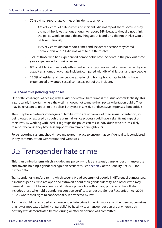- • 70% did not report hate crimes or incidents to anyone
	- 43% of victims of hate crimes and incidents did not report them because they did not think it was serious enough to report, 34% because they did not think the police would or could do anything about it and 27% did not think it would be taken seriously
	- 10% of victims did not report crimes and incidents because they feared homophobia and 7% did not want to out themselves.
- 17% of those who had experienced homophobic hate incidents in the previous three years experienced a physical assault.
- 8% of all black and minority ethnic lesbian and gay people had experienced a physical assault as a homophobic hate incident, compared with 4% of all lesbian and gay people.
- • 12.5% of lesbian and gay people experiencing homophobic hate incidents have experienced unwanted sexual contact as part of the incident.

### **3.4.2 Sensitive policing responses**

One of the challenges of dealing with sexual orientation hate crime is the issue of confidentiality. This is particularly important where the victim chooses not to make their sexual orientation public. They may be reluctant to report to the police if they fear insensitive or dismissive responses from officials.

They may have partners, colleagues or families who are not aware of their sexual orientation, so being outed or exposed through the criminal justice process could have a significant impact on their lives. By working with local LGB groups the police can assist individuals who are less likely to report because they have less support from family or neighbours.

Force reporting systems should have measures in place to ensure that confidentiality is considered in any communication with victims and witnesses.

# 3.5 Transgender hate crime

This is an umbrella term which includes any person who is transsexual, transgender or transvestite and anyone holding a gender recognition certificate. See [section 7](http://www.legislation.gov.uk/ukpga/2010/15/section/7) of the Equality Act 2010 for further detail.

Transgender or 'trans' are terms which cover a broad spectrum of people in different circumstances. It includes people who are open and extrovert about their gender identity, and others who may demand their right to anonymity and to live a private life without any public attention. It also includes those who hold a gender recognition certificate under the Gender Recognition Act 2004 (GRA), where their right to confidentiality is protected by law.

A crime should be recorded as a transgender hate crime if the victim, or any other person, perceives that it was motivated (wholly or partially) by hostility to a transgender person, or where such hostility was demonstrated before, during or after an offence was committed.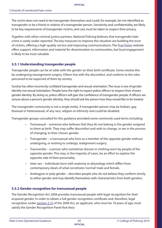The victim does not need to be transgender themselves and could, for example, be mis-identified as transgender or be a friend or relative of a transgender person. Sensitivity and confidentiality are likely to be key requirements of transgender victims, and care must be taken to respect their privacy.

Together with other criminal justice partners, National Policing believes that transgender hate crime is vastly under-reported. The key measures to improve this situation are building the trust of victims, offering a high-quality service and improving communications. The [True Vision](http://www.report-it.org.uk/home) website offers support, information and material for dissemination to communities, but local engagement is likely to be most valuable.

### **3.5.1 Understanding transgender people**

Transgender people can be at odds with the gender on their birth certificate. Some resolve this by undergoing reassignment surgery. Others live with the discomfort, and conform to the roles perceived to be expected of them by society.

Society has often incorrectly conflated transgender and sexual orientation. The issue is one of gender identity not sexual orientation. People have the right to expect police officers to respect their chosen gender identity. By doing so, police officers will gain the confidence of transgender people. If officers are unsure about a person's gender identity, they should ask the person how they would like to be treated.

The transgender community is not a single entity. A transgender person may be lesbian, gay, bisexual or heterosexual, of any race, religion or ethnicity and could be disabled.

Transgender groups consulted for this guidance provided some commonly used terms including:

- Transsexual someone who believes that they do not belong in the gender assigned to them at birth. They may suffer discomfort and wish to change, or are in the process of changing, to their chosen gender.
- Transgender a transsexual who lives as a member of the opposite gender without undergoing, or wishing to undergo, realignment surgery.
- Transvestite a person who sometimes dresses in clothing worn by people of the opposite gender. This may, in the majority of cases, be an effort to explore the opposite side of their personality.
- Inter-sex individuals born with anatomy or physiology which differs from contemporary ideals of what constitutes 'normal' male and female.
- Androgyne or poly-gender describes people who do not believe they conform strictly to either gender and may identify themselves with characteristics from both genders.

### **3.5.2 Gender recognition for transsexual people**

The Gender Recognition Act 2004 provides transsexual people with legal recognition for their acquired gender. In order to obtain a full gender recognition certificate and, therefore, legal recognition under [section 2 \(1\)](http://www.legislation.gov.uk/ukpga/2004/7/section/2) of the 2004 Act, an applicant, who must be 18 years of age, must satisfy the Gender Recognition Panel that they: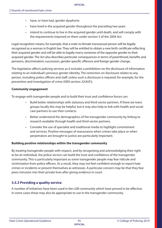- have, or have had, gender dysphoria
- have lived in the acquired gender throughout the preceding two years
- intend to continue to live in the acquired gender until death, and will comply with the requirements imposed on them under section 3 of the 2004 Act.

Legal recognition means, for example, that a male-to-female transsexual person will be legally recognised as a woman in English law. They will be entitled to obtain a new birth certificate reflecting their acquired gender and will be able to legally marry someone of the opposite gender to their acquired gender. The Act also describes particular consequences in terms of parenthood, benefits and pensions, discrimination, succession, gender-specific offences and foreign gender change.

The legislation affects policing services as it includes a prohibition on the disclosure of information relating to an individual's previous gender identity. The restriction on disclosure relates to any person, including police officers and staff, unless such a disclosure is required, for example, for the prevention and investigation of crime (GRA section 22(4)(f)).

### **Community engagement**

To engage with transgender people and to build their trust and confidence forces can:

- Build better relationships with statutory and third-sector partners. If there are trans groups locally this may be helpful, but it may also help to link with health and social care partners to use their contacts.
- Better understand the demographics of the transgender community by linking to research available through health and third-sector partners.
- Consider the use of specialist and traditional media to highlight commitment and services. Positive messages of reassurance when crimes take place or when perpetrators are brought to justice are particularly important.

### **Building positive relationships within the transgender community**

By treating transgender people with respect, and by recognising and acknowledging their right to be an individual, the police service can build the trust and confidence of the transgender community. This is particularly important as some transgender people may fear ridicule and victimisation from police officers. As a result, they may not feel confident enough to report hate crimes or incidents or present themselves as witnesses. A particular concern may be that they fear press intrusion into their private lives after giving evidence in court.

### **3.5.3 Providing a quality service**

A number of initiatives have been used in the LGB community which have proved to be effective. In some cases these may also be appropriate to use in the transgender community.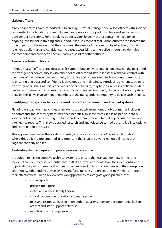### **Liaison officers**

Many police forces have introduced Lesbian, Gay, Bisexual, Transgender liaison officers with specific responsibility for building community links and providing support to victims and witnesses of transgender hate crime. For this role to be successful, forces must recognise the need for an ongoing investment in training and support. It is also essential that liaison officers are allocated the time to perform the role so that they can meet the needs of the community effectively. This liaison role helps build trust and confidence, increases accessibility to the police through an identified contact point and provides a specialist advice point for other officers.

### **Awareness training for staff**

Although liaison officers provide a specific support function, most interaction between the police and the transgender community is with other police officers and staff. It is essential that all contact with members of the transgender community is positive and professional. Such encounters are critical to ensuring that trust and confidence is developed and maintained. Introducing awareness training on transgender issues, as part of the wider diversity training, may help to increase confidence when dealing with crimes and incidents involving the transgender community. It may also be appropriate to draw on the active involvement of members of the transgender community to deliver such training.

### **Identifying transgender hate crimes and incidents on command and control systems**

Flagging transgender hate crimes or incidents separately from homophobic crimes or incidents on command and control systems has been beneficial in some forces. It has helped to identify specific policing issues affecting the transgender community, and to build up accurate crime and intelligence reports. This allows detailed research and analysis to be carried out and fed into tasking and coordination processes.

This approach enhances the ability to identify and respond to issues of repeat victimisation. Where this policy is implemented, it is important that staff are given clear guidelines so that flags are correctly applied.

### **Reviewing standard operating procedures on hate crime**

In addition to having effective technical systems to ensure that transgender hate crimes and incidents are identified, it is essential that staff at all levels appreciate how their role contributes to providing a policing service that meets the needs and builds the confidence of the transgender community. Independent advice on relevant force policies and procedures may help to improve their effectiveness. Such a review offers an opportunity to integrate good practice into:

- crime reporting
- • processing reports
- victim and witness family liaison
- • critical incident identification and management
- roles and responsibilities of independent advisers, transgender community liaison officers and staff support networks
- monitoring and compliance.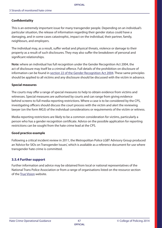### **Confidentiality**

This is an extremely important issue for many transgender people. Depending on an individual's particular situation, the release of information regarding their gender status could have a damaging, and in some cases catastrophic, impact on the individual, their partner, family, neighbours, and employers.

The individual may, as a result, suffer verbal and physical threats, violence or damage to their property as a result of such disclosures. They may also suffer the breakdown of personal and significant relationships.

**Note:** where an individual has full recognition under the Gender Recognition Act 2004, the act of disclosure may itself be a criminal offence. Full details of the prohibition on disclosure of information can be found in [section 22 of the Gender Recognition Act 2004.](http://www.legislation.gov.uk/ukpga/2004/7/section/22) These same principles should be applied to all victims and any disclosure should be discussed with the victim in advance.

### **Special measures**

The courts may offer a range of special measures to help to obtain evidence from victims and witnesses. Special measures are authorised by courts and can range from giving evidence behind screens to full media reporting restrictions. Where a case is to be considered by the CPS, investigating officers should discuss the court process with the victim and alert the reviewing lawyer (on the form MG3) of the individual considerations or requirements of the victim or witness.

Media reporting restrictions are likely to be a common consideration for victims, particularly a person who has a gender recognition certificate. Advice on the possible application for reporting restrictions can be sought from the hate crime lead at the CPS.

### **Good practice example**

Following a critical incident review in 2011, the Metropolitan Police LGBT Advisory Group produced an 'Advice for SIOs on Transgender Issues', which is available as a reference document for use where transgender hate crime is committed.

### **3.5.4 Further support**

Further information and advice may be obtained from local or national representatives of the National Trans Police Association or from a range of organisations listed on the resource section of the [True Vision](http://www.report-it.org.uk) website.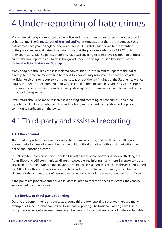# 4 Under-reporting of hate crimes

Many hate crimes go unreported to the police and many others are reported but not recorded as hate crime. The [Crime Survey of England and Wales](http://www.ons.gov.uk/ons/rel/crime-stats/crime-statistics/period-ending-september-2013/stb-crime-in-england-and-wales--year-ending-sept-2013.html) suggests that there are around 278,000 hate crimes each year in England and Wales, some 111,000 of which come to the attention of the police. Yet annual hate crime data shows that the police recorded only 43,927 such offences in 2012-13. The police, therefore, have two challenges: to improve recognition of those crimes that are reported and to close the gap of under-reporting. This is a key strand of the [National Policing Hate Crime Strategy](http://library.college.police.uk/docs/college-of-policing/National-Policing-Hate-Crime-strategy.pdf).

Many people, particularly those in isolated communities, are reluctant to report to the police directly, but some are more willing to report to a community resource. The need to provide facilities for victims to report to a third party was one of the key findings of the Stephen Lawrence Inquiry in 1999. This recommendation was accepted at the time and has had consistent support from successive governments and criminal justice agencies. It remains as a significant part of the broad police response.

Every effort should be made to increase reporting and recording of hate crimes. Increased reporting will help to identify serial offenders, bring more offenders to justice and improve community confidence in the police.

# 4.1 Third-party and assisted reporting

### **4.1.1 Background**

Third-party reporting sites aim to increase hate crime reporting and the flow of intelligence from a community by providing members of the public with alternative methods of contacting the police and reporting a crime.

In 1999 white supremacist David Copeland set off a series of nail bombs in London attacking the Asian, Black and LGB communities, killing three people and injuring many more. In response to the attack on the Admiral Duncan pub in Soho, a mobile police station was placed in the area and staffed by LGB police officers. This encouraged victims and witnesses to come forward, but it also gave victims of other crimes the confidence to report without fear of the adverse reaction from officers.

If the police are proactive and deliver services tailored to meet the needs of victims, they can be encouraged to come forward.

### **4.1.2 Review of third-party reporting**

Despite the commitment, and success, of some third-party reporting schemes, there are many examples of schemes that have failed to increase reporting. The National Policing Hate Crime Group has carried out a review of existing schemes and found that many failed to deliver tangible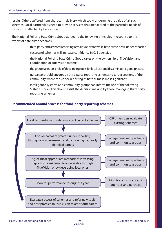results. Others suffered from short-term delivery which could undermine the value of all such schemes. Local partnerships need to provide services that are tailored to the particular needs of those most affected by hate crime.

The National Policing Hate Crime Group agreed to the following principles in response to the review of hate crime schemes:

- third-party and assisted reporting remains relevant while hate crime is still under-reported
- successful schemes will increase confidence in CJS agencies
- the National Policing Hate Crime Group takes on the ownership of True Vision and coordination of True Vision material
- the group takes on a role of developing tools for local use and disseminating good practice
- • guidance should encourage third-party reporting schemes to target sections of the community where the under-reporting of hate crime is most significant
- intelligence systems and community groups can inform the use of the following 5-stage model. This should assist the decision making by those managing third-party reporting schemes.

### **Recommended annual process for third-party reporting schemes**

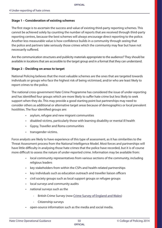#### **Stage 1 – Consideration of existing schemes**

The first stage is to ascertain the success and value of existing third-party reporting schemes. This cannot be achieved solely by counting the number of reports that are received through third-party reporting centres, because the best schemes will always encourage direct reporting to the police. Another less measurable value is how confidence builds in a community through seeing that the police and partners take seriously those crimes which the community may fear but have not necessarily suffered.

Are the communication structures and publicity materials appropriate to the audience? They should be available in locations that are accessible to the target group and in a format that they can understand.

#### **Stage 2 – Deciding on areas to target**

National Policing believes that the most valuable schemes are the ones that are targeted towards individuals or groups who face the highest risk of being victimised, and/or who are least likely to report crimes to the police.

The national cross-government Hate Crime Programme has considered the issue of under-reporting and has identified four groups which are more likely to suffer hate crime but less likely to seek support when they do. This may provide a good starting point but partnerships may need to consider others as additional or alternative target areas because of demographics or local prevalent hostilities. The four identified groups are:

- asylum, refugee and new migrant communities
- • disabled victims, particularly those with learning disability or mental ill health
- Gypsy, Traveller and Roma communities
- transgender victims.

Force analysts are likely to have experience of this type of assessment, as it has similarities to the Threat Assessment process from the National Intelligence Model. Most forces and partnerships will have little difficulty in analysing those hate crimes that the police have recorded, but it is of course more difficult to assess the nature of under-reported crime. Information may be available from:

- local community representatives from various sections of the community, including religious leaders
- key stakeholders from within the CSPs and health-related partnerships
- key individuals such as education outreach and traveller liaison officers
- civil society groups such as local support groups or refugee groups
- local surveys and community audits
- national surveys such as the
	- British Crime Survey (now [Crime Survey of England and Wales\)](http://www.ons.gov.uk/ons/rel/crime-stats/crime-statistics/period-ending-september-2013/stb-crime-in-england-and-wales--year-ending-sept-2013.html)
	- Citizenship surveys
- open-source information such as the media and social media.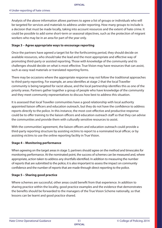Analysis of the above information allows partners to agree a list of groups or individuals who will be targeted for services and materials to address under-reporting. How many groups to include is a decision that must be made locally, taking into account resources and the extent of hate crime. It could be possible to add some short-term or seasonal objectives, such as the protection of migrant workers who may be in an area for part of the year only.

### **Stage 3 – Agree appropriate ways to encourage reporting**

Once the partners have agreed a target list for the forthcoming period, they should decide on available resources, who should take the lead and the most appropriate and effective way of promoting third-party or assisted reporting. Those with knowledge of the community and its challenges should decide on what is most effective. True Vision may have resources that can assist, such as easy read materials or translated reporting forms.

There may be occasions where the appropriate response may not follow the traditional approaches to third-party reporting. For example, an area identifies at stage 2 that the local Traveller community is being targeted for racist abuse, and the local partnership identifies this as one of the priority areas. Partners gather together a group of people who have knowledge of the community and they meet community representatives to discuss how best to address this situation.

It is assessed that local Traveller communities have a good relationship with local authority appointed liaison officers and education outreach, but they do not have the confidence to address reports directly to the police. In this instance, the most cost-effective and productive response could be to offer training to the liaison officers and education outreach staff so that they can advise the communities and provide them with culturally sensitive resources to assist.

With the communities' agreement, the liaison officers and education outreach could provide a third-party reporting structure by assisting victims to report to a nominated local officer, or by assisting victims to use the online reporting facility in True Vision.

### **Stage 4 – Monitoring performance**

When agreeing on the target areas in stage 3, partners should agree on the method and timescales for monitoring performance. At the nominated point, the success of schemes can be measured and, where appropriate, action taken to address any shortfalls identified. In addition to measuring the number of reports that are submitted to the police, it is also important to assess the impact on community confidence and the number of reports that are made through direct reporting to the police.

### **Stage 5 – Sharing good practice**

Where schemes are successful, other areas could benefit from that experience. In addition to sharing practice within the locality, good practice examples and the evidence that demonstrates the benefits should be forwarded to the managers of the True Vision Scheme nationally, so that lessons can be learnt and good practice shared.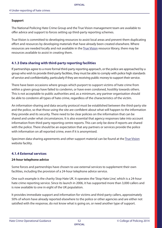### **Support**

The National Poilicing Hate Crime Group and the True Vision management team are available to offer advice and support to forces setting up third-party reporting schemes.

True Vision is committed to developing resources to assist local areas and prevent them duplicating effort and resources by developing materials that have already been created elsewhere. Where resources are needed locally and not available in the [True Vision](http://www.report-it.org.uk) resource library, there may be resources available to assist in creating them.

### **4.1.3 Data sharing with third-party reporting facilities**

If partnerships agree to a more formal third-party reporting approach, or the police are approached by a group who wish to provide third-party facilities, they must be able to comply with police high standards of service and confidentiality, particularly if they are receiving public money to support their service.

There have been occasions where groups which purport to support victims of hate crime from within a given group have failed to condemn, or have even condoned, hostility towards others. This is not acceptable to public authorities and, as a minimum, any partner organisation should be able to condemn all types of hate crime, regardless of the characteristics of the victim.

An information-sharing and data security protocol must be established between the third-party site and the police, so that those using the site are confident about what will happen to the information they provide and its security. There need to be clear policies on the information that can be shared and under what circumstances. It is also essential that agency responses take into account information from third-party reporting centre reports. This can only be done if reports are shared with the police. There should be an expectation that any partners or services provide the police with information on all reported crime, even if it is anonymised.

Specimen data-sharing agreements and other support material can be found at the [True Vision](http://www.report-it.org.uk) website facility.

### **4.1.4 External services**

### **24-hour telephone advice**

Some forces and partnerships have chosen to use external services to supplement their own facilities, including the provision of a 24-hour telephone advice service.

One such example is the charity Stop Hate UK. It operates the 'Stop Hate Line', which is a 24-hour hate crime reporting service. Since its launch in 2006, it has supported more than 3,000 callers and is now available to one in eight of the UK population.

It provides immediate support and information for victims and third-party callers, approximately 50% of whom have already reported elsewhere to the police or other agencies and are either not satisfied with the response, do not know what is going on, or need another type of support.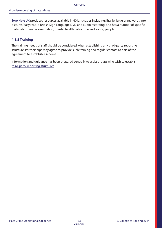[Stop Hate UK](http://www.stophateuk.org/wp-content/uploads/2010/07/Stop-Hate-UK-Product-Catalogue-Feb-20132.pdf) produces resources available in 40 languages including: Braille, large print, words into pictures/easy read, a British Sign Language DVD and audio recording, and has a number of specific materials on sexual orientation, mental health hate crime and young people.

### **4.1.5 Training**

The training needs of staff should be considered when establishing any third-party reporting structure. Partnerships may agree to provide such training and regular contact as part of the agreement to establish a scheme.

Information and guidance has been prepared centrally to assist groups who wish to establish [third-party reporting structures](http://www.report-it.org.uk/third-party_reporting_support).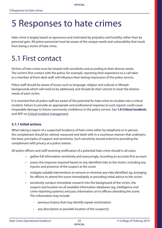# 5 Responses to hate crimes

Hate crime is largely based on ignorance and motivated by prejudice and hostility rather than by personal gain. All police personnel must be aware of the unique needs and vulnerability that result from being a victim of hate crime.

## 5.1 First contact

Victims of hate crime must be treated with sensitivity and according to their diverse needs. The victim's first contact with the police, for example, reporting their experience to a call taker or a member of front-desk staff, will influence their lasting impression of the police service.

Police staff should be aware of issues such as language, religion and cultural or lifestyle backgrounds which will need to be addressed, and should do their utmost to meet the diverse needs of each victim.

It is essential that all police staff are aware of the potential for hate crime to escalate into a critical incident. Failure to provide an appropriate and professional response to such reports could cause irreparable damage to future community confidence in the police service. See **[1.6 Critical incidents](#page-16-0)** and APP on [Critical incident management.](http://www.app.college.police.uk/app-content/critical-incident-management/?s=)

### **5.1.1 Initial actions**

When taking a report of a suspected incidence of hate crime either by telephone or in person, the complainant should be calmed, reassured and dealt with in a courteous manner that underpins the basic principles of support and sensitivity. Such sensitivity should extend to providing the complainant with privacy at a police station.

All police officers and staff receiving notification of a potential hate crime should in all cases:

- gather full information sensitively and reassuringly, recording an accurate first account
- assess the response required based on any identified risks to the victim, including any injuries and presence of the suspect at the scene
- instigate suitable interventions to remove or minimise any risks identified, eg, arranging for officers to attend the scene immediately or providing initial advice to the victim
- sensitively conduct immediate research into the background of the victim, the suspect and location on all available information databases (eg, intelligence and crime reporting systems) and pass information on to officers attending the scene. This information may include
	- previous history that may identify repeat victimisation
	- any description or possible location of the suspect(s)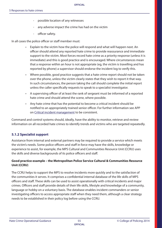- possible location of any witnesses
- any adverse impact the crime has had on the victim
- officer safety.

In all cases the police officer or staff member must:

- Explain to the victim how the police will respond and what will happen next. An officer should attend any reported hate crime to provide reassurance and immediate support to the victim. Most forces record hate crime as a priority response (unless it is immediate) and this is good practice and is encouraged. Where circumstances mean that a response within an hour is not appropriate (eg, the victim is travelling and has reported by phone) a supervisor should endorse the incident log to verify this.
- Where possible, good practice suggests that a hate crime report should not be taken over the phone, unless the victim clearly states that they wish to report it that way. In such circumstances, the person taking the call should complete the initial report unless the caller specifically requests to speak to a specialist investigator.
- A supervising officer of at least the rank of sergeant must be informed of a reported hate crime and should attend the scene, where possible.
- Any hate crime that has the potential to become a critical incident should be notified to an appropriately trained senior officer. For further information see APP on [Critical incident management](http://www.app.college.police.uk/app-content/critical-incident-management/?s=) to be consistent.

Command and control systems should, ideally, have the ability to monitor, retrieve and review information on all recorded hate crimes to identify trends and victims who are targeted repeatedly.

### **5.1.2 Specialist support**

Assistance from internal and external partners may be required to provide a service which meets the victim's needs. Some police officers and staff in force may have the skills, knowledge or experience to assist, for example, the MPS Cultural and Communities Resource Unit (CCRU) uses the skills and diverse backgrounds of its police officers and staff.

### **Good practice example – the Metropolitan Police Service Cultural & Communities Resource Unit (CCRU)**

The CCRU helps to support the MPS to resolve incidents more quickly and to the satisfaction of the communities it serves. It comprises a confidential internal database of the life skills of MPS officers and staff. These skills can be used to assist operationally with critical incidents and major crimes. Officers and staff provide details of their life skills, lifestyle and knowledge of a community, language or hobby on a voluntary basis. The database enables incident commanders or senior investigating officers to access appropriate staff when they need them, although a clear strategy needs to be established in their policy log before using the CCRU.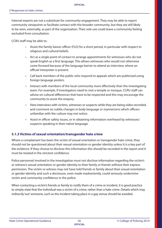Internal experts are not a substitute for community engagement. They may be able to report community viewpoints or facilitate contact with the broader community, but they are still likely to be seen, externally, as part of the organisation. Their sole use could leave a community feeling excluded from consultation.

CCRU staff may be able to:

- • Assist the family liaison officer (FLO) for a short period, in particular with respect to religious and cultural beliefs.
- Act as a single point of contact to arrange appointments for witnesses who do not speak English as a first language. This allows witnesses who would not otherwise come forward because of the language barrier to attend an interview, where an official interpreter is present.
- Call back members of the public who respond to appeals which are publicised using foreign language posters.
- Interact with members of the local community more effectively than the investigating team. For example, if investigators need to visit a temple or mosque, CCRU staff can advise on cultural differences that have to be respected and this may encourage the community to assist the enquiry.
- • View interviews with victims, witnesses or suspects while they are being video-recorded, and comment on subtle changes in body language or mannerisms which officers unfamiliar with the culture may not notice.
- Assist in officer safety issues, or in obtaining information overheard by witnesses/ suspects speaking in their native language.

### **5.1.3 Victims of sexual orientation/transgender hate crime**

Where a complainant has been the victim of sexual orientation or transgender hate crime, they should not be questioned about their sexual orientation or gender identity unless it is a key part of the evidence. If they choose to disclose this information this should be recorded in the report and it must be treated in the strictest confidence.

Police personnel involved in the investigation must not disclose information regarding the victim's or witness's sexual orientation or gender identity to their family or friends without their express permission. The victim or witness may not have told friends or family about their sexual orientation or gender identity and such a disclosure, even made inadvertently, could seriously undermine victim and community confidence in the police.

When contacting a victim's friends or family to notify them of a crime or incident, it is good practice to simply state that the individual was a victim of a crime, rather than a hate crime. Details which may indirectly 'out' someone, such as the incident taking place in a gay venue should be avoided.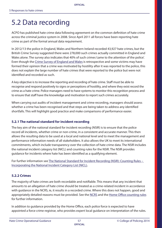## 5.2 Data recording

ACPO has published hate crime data following agreement on the common definition of hate crime across the criminal justice system in 2008. Since April 2011 all forces have been reporting hate crime as part of the formal annual data requirement.

In 2012/13 the police in England, Wales and Northern Ireland recorded 43,927 hate crimes, but the British Crime Survey suggested there were 278,000 such crimes actually committed in England and Wales alone. The survey also indicates that 40% of such crimes 'came to the attention of the police'. Even though the [Crime Survey of England and Wales](http://www.ons.gov.uk/ons/rel/crime-stats/crime-statistics/period-ending-september-2013/stb-crime-in-england-and-wales--year-ending-sept-2013.html) is retrospective and some victims may have formed their opinion that a crime was motivated by hostility after it was reported to the police, this does not explain the large number of hate crimes that were reported to the police but were not identified and recorded as such.

A key objective is to increase the reporting and recording of hate crime. Staff must be able to recognise and respond positively to signs or perceptions of hostility, and where they exist record the crime as a hate crime. Police managers need to have systems to monitor this recognition process and to ensure that staff have the knowledge and motivation to report such crimes accurately.

When carrying out audits of incident management and crime recording, managers should assess whether a crime has been recognised and that steps are being taken to address any identified shortfalls. This will highlight good practice and make comparisons of performance easier.

### **5.2.1 The national standard for incident recording**

The key aim of the national standard for incident recording (NSIR) is to ensure that the police record all incidents, whether crime or non-crime, in a consistent and accurate manner. This then allows the resulting data to be used at a local and national level and to meet the management and performance information needs of all stakeholders. It also allows the UK to meet its international commitments, which include transparency over the collection of hate crime data. The NSIR includes the national incident category list (NICL) and counting rules for the NSIR. The NSIR provides guidance for incidents where hate has been identified as a qualifying element.

For further information see [The National Standard for Incident Recording \(NSIR\): Counting Rules –](http://www.homeoffice.gov.uk/publications/science-research-statistics/research-statistics/crime-research/count-nsir11?view=Binary)  [Incorporating the National Incident Category List \(NICL\)](http://www.homeoffice.gov.uk/publications/science-research-statistics/research-statistics/crime-research/count-nsir11?view=Binary)*.*

### **5.2.2 Crimes**

The majority of hate crimes are both recordable and notifiable. This means that any incident that amounts to an allegation of hate crime should be treated as a crime-related incident in accordance with guidance in the NCRS, ie, it results in a recorded crime. Where this does not happen, good and appropriately detailed reasons must be provided. See the [NCRS](https://www.gov.uk/government/publications/the-national-crime-recording-standard-ncrs-what-you-need-to-know) and the [Home Office counting rules](https://www.gov.uk/government/publications/counting-rules-for-recorded-crime) for further information.

In addition to guidance provided by the Home Office, each police force is expected to have appointed a force crime registrar, who provides expert local guidance on interpretation of the rules.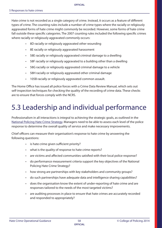Hate crime is not recorded as a single category of crime. Instead, it occurs as a feature of different types of crime. The counting rules include a number of crime types where the racially or religiously aggravated forms of hate crime might commonly be recorded. However, some forms of hate crime fall outside these specific categories. The 2007 counting rules included the following specific crimes where racially or religiously aggravated commonly occurs:

- 8D racially or religiously aggravated other wounding
- 8E racially or religiously aggravated harassment
- 58E racially or religiously aggravated criminal damage to a dwelling
- 58F racially or religiously aggravated to a building other than a dwelling
- • 58G racially or religiously aggravated criminal damage to a vehicle
- • 58H racially or religiously aggravated other criminal damage
- 105B racially or religiously aggravated common assault.

The Home Office has issued all police forces with a Crime Data Review Manual, which sets out self-inspection techniques for checking the quality of the recording of crime data. These checks are to ensure that forces comply with the NCRS.

# 5.3 Leadership and individual performance

Professionalism in all interactions is integral to achieving the strategic goals, as outlined in the [National Policing Hate Crime Strategy](http://library.college.police.uk/docs/college-of-policing/National-Policing-Hate-Crime-strategy.pdf). Managers need to be able to assess each level of the police response to determine the overall quality of service and make necessary improvements.

Chief officers can measure their organisation's response to hate crime by answering the following questions:

- is hate crime given sufficient priority?
- what is the quality of response to hate crime reports?
- are victims and affected communities satisfied with their local police response?
- • do performance measurement criteria support the key objectives of the National Policing Hate Crime Strategy?
- how strong are partnerships with key stakeholders and community groups?
- do such partnerships have adequate data and intelligence sharing capabilities?
- does the organisation know the extent of under-reporting of hate crime and are responses tailored to the needs of the most targeted victims?
- are auditing processes in place to ensure that hate crimes are accurately recorded and responded to appropriately?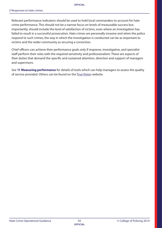Relevant performance indicators should be used to hold local commanders to account for hate crime performance. This should not be a narrow focus on levels of measurable success but, importantly, should include the level of satisfaction of victims, even where an investigation has failed to result in a successful prosecution. Hate crimes are personally invasive and when the police respond to such crimes, the way in which the investigation is conducted can be as important to victims and the wider community as securing a conviction.

Chief officers can achieve their performance goals only if response, investigative, and specialist staff perform their roles with the required sensitivity and professionalism. These are aspects of their duties that demand the specific and sustained attention, direction and support of managers and supervisors.

See **11 Measuring performance** for details of tools which can help managers to assess the quality of service provided. Others can be found on the [True Vision](http://www.report-it.org.uk/home) website.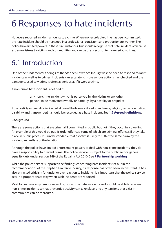# 6 Responses to hate incidents

Not every reported incident amounts to a crime. Where no recordable crime has been committed, the hate incident should be managed in a professional, consistent and proportionate manner. The police have limited powers in these circumstances, but should recognise that hate incidents can cause extreme distress to victims and communities and can be the precursor to more serious crimes.

# 6.1 Introduction

One of the fundamental findings of the Stephen Lawrence Inquiry was the need to respond to racist incidents as well as to crimes. Incidents can escalate to more serious actions if unchecked and the damage caused to victims is often as serious as if it were a crime.

A non-crime hate incident is defined as:

any non-crime incident which is perceived by the victim, or any other person, to be motivated (wholly or partially) by a hostility or prejudice.

If the hostility or prejudice is directed at one of the five monitored strands (race, religion, sexual orientation, disability and transgender) it should be recorded as a hate incident. See **[1.2 Agreed definitions](#page-8-2)**.

### **Background**

There are some actions that are criminal if committed in public but not if they occur in a dwelling. An example of this would be public order offences, some of which are criminal offences if they take place in public places. It is understandable that a victim is likely to suffer the same harm by the incident, regardless of the location.

Although the police have limited enforcement powers to deal with non-crime incidents, they do have a responsibility to prevent crime. The police service is subject to the public sector general equality duty under section 149 of the Equality Act 2010. See **[7 Partnership working](#page-70-0)**.

While the police service supported the findings concerning hate incidents set out in the recommendations of the Stephen Lawrence Inquiry, its response has often been inconsistent. It has also attracted criticism for under or overreaction to incidents. It is important that the police service acts in a proportionate way when such incidents are reported.

Most forces have a system for recording non-crime hate incidents and should be able to analyse non-crime incidents so that preventive activity can take place, and any tensions that exist in communities can be measured.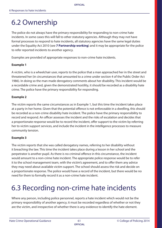# 6.2 Ownership

The police do not always have the primary responsibility for responding to non-crime hate incidents. In some cases this will fall to other statutory agencies. Although they may not have formal processes to respond to hate incidents, all statutory agencies have the same legal duties under the Equality Act 2010 (see **[7 Partnership working](#page-70-0)**) and it may be appropriate for the police to refer reported incidents to another agency.

Examples are provided of appropriate responses to non-crime hate incidents.

### **Example 1**

A victim, who is a wheelchair user, reports to the police that a man approached her in the street and threatened her (in circumstances that amounted to a crime under section 4 of the Public Order Act 1986). In doing so the man made derogatory comments about her disability. This incident would be a recordable crime and, given the demonstrated hostility, it should be recorded as a disability hate crime. The police have the primary responsibility for responding.

#### **Example 2**

The victim reports the same circumstances as in Example 1, but this time the incident takes place at a party in her home. Given that the potential offence is not enforceable in a dwelling, this should be recorded as a non-crime disability hate incident. The police have the primary responsibility to record and respond. An officer assesses the incident and the risks of escalation and decides that a proportionate response would be to record the incident, offer support to the victim by referring her to victim support services, and include the incident in the intelligence processes to measure community tension.

### **Example 3**

The victim reports that she was called derogatory names, referring to her disability without it breaching the law. This time the incident takes place during a lesson in her school and the perpetrator is another pupil. As there is no criminal offence in this circumstance, the incident would amount to a non-crime hate incident. The appropriate police response would be to refer it to the school management team, with the victim's agreement, and to offer them any advice they may need about available victim support. The school should assess the risk and decide on a proportionate response. The police would have a record of the incident, but there would be no need for them to formally record it as a non-crime hate incident.

## 6.3 Recording non-crime hate incidents

Where any person, including police personnel, reports a hate incident which would not be the primary responsibility of another agency, it must be recorded regardless of whether or not they are the victim, and irrespective of whether there is any evidence to identify the hate element.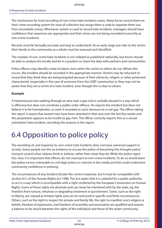The mechanism for local recording of non-crime hate incidents varies. Many forces record them on their crime recording system for ease of collection but assign them a code to separate them out from recordable crimes. Whichever system is used to record hate incidents, managers should have confidence that responses are appropriate and that crimes are not being recorded incorrectly as non-crime incidents.

Records must be factually accurate and easy to understand. At an early stage any risks to the victim, their family or the community as a whole must be assessed and identified.

The number of non-crime hate incidents is not collated or published nationally, but forces should be able to analyse this locally and be in a position to share the data with partners and communities.

Police officers may identify a hate incident, even when the victim or others do not. Where this occurs, the incident should be recorded in the appropriate manner. Victims may be reluctant to reveal that they think they are being targeted because of their ethnicity, religion or other protected characteristic (especially in the case of someone from the LGBT community) or they may not be aware that they are a victim of a hate incident, even though this is clear to others.

### **Example**

A heterosexual man walking through an area near a gay club is verbally abused in a way which is offensive but does not constitute a public order offence. He reports the incident but does not believe it to be homophobic, or want it recorded as such, because he is not gay. The officer taking the report is aware that several men have been attacked in that area over the last few weeks and the perpetrator appears to be hostile to gay men. The officer correctly reports this as a sexual orientation hate incident, recording the reasons in the report.

## 6.4 Opposition to police policy

The recording of, and response to, non-crime hate incidents does not have universal support in society. Some people use this as evidence to accuse the police of becoming 'the thought police', trying to control what citizens think or believe, rather than what they do. While the police reject this view, it is important that officers do not overreact to non-crime incidents. To do so would leave the police service vulnerable to civil legal action or criticism in the media and this could undermine community confidence in policing.

The circumstances of any incident dictate the correct response, but it must be compatible with section 6(1) of the Human Rights Act 1998. The Act states that it is unlawful for a public authority to act in a way which is incompatible with a right conferred by the European Convention on Human Rights. Some of these rights are absolute and can never be interfered with by the state, eg, the freedom from torture, inhuman or degrading treatment or punishment. Some, such as the right to liberty, are classed as limited rights and can be restricted in specific and finite circumstances. Others, such as the right to respect for private and family life, the right to manifest one's religion or beliefs, freedom of expression, and freedom of assembly and association are qualified and require a balance to be struck between the rights of the individual and those of the wider community.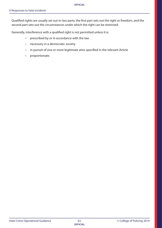Qualified rights are usually set out in two parts, the first part sets out the right or freedom, and the second part sets out the circumstances under which the right can be restricted.

Generally, interference with a qualified right is not permitted unless it is:

- • prescribed by or in accordance with the law
- • necessary in a democratic society
- in pursuit of one or more legitimate aims specified in the relevant Article
- proportionate.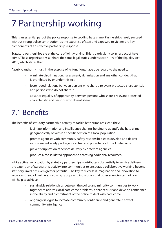# <span id="page-70-0"></span>7 Partnership working

This is an essential part of the police response to tackling hate crime. Partnerships rarely succeed without strong police contribution, as the expertise of staff and exposure to victims are key components of an effective partnership response.

Statutory partnerships are at the core of joint working. This is particularly so in respect of hate crime. These organisations all share the same legal duties under section 149 of the Equality Act 2010, which states that:

A public authority must, in the exercise of its functions, have due regard to the need to:

- eliminate discrimination, harassment, victimisation and any other conduct that is prohibited by or under this Act
- foster good relations between persons who share a relevant protected characteristic and persons who do not share it
- • advance equality of opportunity between persons who share a relevant protected characteristic and persons who do not share it.

## 7.1 Benefits

The benefits of statutory partnership activity to tackle hate crime are clear. They:

- facilitate information and intelligence sharing, helping to quantify the hate crime geographically or within a specific section of a local population
- • prompt agencies with community safety responsibilities to develop and deliver a coordinated safety package for actual and potential victims of hate crime
- prevent duplication of service delivery by different agencies
- produce a consolidated approach to accessing additional resources.

While active participation by statutory partnerships contributes substantially to service delivery, the extension of partnership activity into communities to encourage collaborative working beyond statutory limits has even greater potential. The key to success is imagination and innovation to secure a spread of partners. Involving groups and individuals that other agencies cannot reach will help to achieve:

- sustainable relationships between the police and minority communities to work together to address local hate crime problems, enhance trust and develop confidence in the ability and commitment of the police to deal with hate crime
- ongoing dialogue to increase community confidence and generate a flow of community intelligence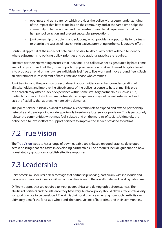- openness and transparency, which provides the police with a better understanding of the impact that hate crime has on the community and at the same time helps the community to better understand the constraints and legal requirements that can hamper police action and prevent successful prosecutions
- joint ownership of problems and solutions, which provides an opportunity for partners to share in the success of hate crime initiatives, promoting further collaborative effort.

Continual appraisal of the impact of hate crime on day-to-day quality of life will help to identify where adjustments to policing policy, priorities and operational practice are required.

Effective partnership working ensures that individual and collective needs generated by hate crime are not only captured but that, more importantly, positive action is taken. Its most tangible benefit is to produce an environment where individuals feel free to live, work and move around freely. Such an environment is less tolerant of hate crime and those who commit it.

Joint training and the provision of secondment opportunities can enhance understanding of all stakeholders and improve the effectiveness of the police response to hate crime. This type of approach may offset a lack of experience within some statutory partnerships such as CSPs, particularly in rural districts where partnership arrangements may not be well established and lack the flexibility that addressing hate crime demands.

The police service is ideally placed to assume a leadership role to expand and extend partnership networks and develop joint working protocols to enhance local service provision. This is particularly relevant to communities which may feel isolated and on the margins of society. Ultimately, the police need to invest effort to support partners to improve the service provided to victims.

# 7.2 True Vision

The [True Vision](http://www.report-it.org.uk) website has a range of downloadable tools (based on good practice developed across policing) that can assist in developing partnerships. The products include guidance on how non-statutory groups can establish effective responses.

# 7.3 Leadership

Chief officers must deliver a clear message that partnership working, particularly with individuals and groups who have real influence within communities, is key to the overall strategy of tackling hate crime.

Different approaches are required to meet geographical and demographic circumstances. The abilities of partners and the influence they have vary, but local policy should allow sufficient flexibility for good practice to be developed. The aim is that good practice emerging from such flexibility can ultimately benefit the force as a whole and, therefore, victims of hate crime and their communities.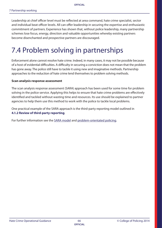Leadership at chief officer level must be reflected at area command, hate crime specialist, sector and individual beat officer levels. All can offer leadership in securing the expertise and enthusiastic commitment of partners. Experience has shown that, without police leadership, many partnership schemes lose focus, energy, direction and valuable opportunities whereby existing partners become disenchanted and prospective partners are discouraged.

## 7.4 Problem solving in partnerships

Enforcement alone cannot resolve hate crime. Indeed, in many cases, it may not be possible because of a host of evidential difficulties. A difficulty in securing a conviction does not mean that the problem has gone away. The police still have to tackle it using new and imaginative methods. Partnership approaches to the reduction of hate crime lend themselves to problem solving methods.

### **Scan analysis response assessment**

The scan analysis response assessment (SARA) approach has been used for some time for problem solving in the police service. Applying this helps to ensure that hate crime problems are effectively identified and tackled without wasting time and resources. Its use should be explained to partner agencies to help them use this method to work with the police to tackle local problems.

One practical example of the SARA approach is the third-party reporting model outlined in **[4.1.2 Review of third-party reporting](#page-54-0)**.

For further information see the [SARA model](http://www.college.police.uk/en/docs/What_works_Problem-oriented_policing.pdf) and [problem-orientated policing](http://www.college.police.uk/en/docs/What_works_Problem-oriented_policing.pdf).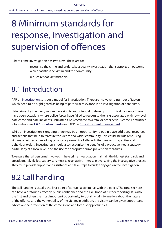# 8 Minimum standards for response, investigation and supervision of offences

A hate crime investigation has two aims. These are to:

- recognise the crime and undertake a quality investigation that supports an outcome which satisfies the victim and the community
- reduce repeat victimisation.

## 8.1 Introduction

[APP on Investigation](http://www.app.college.police.uk/app-content/investigations/?s=) sets out a model for investigation. There are, however, a number of factors which need to be highlighted as being of particular relevance in an investigation of hate crime.

Hate crimes by their very nature have significant potential to develop into critical incidents. There have been occasions where police forces have failed to recognise the risks associated with low-level hate crime and hate incidents until after it has escalated to a fatal or other serious crime. For further information see **[1.6 Critical incidents](#page-16-0)** and APP on [Critical incident management](http://www.app.college.police.uk/app-content/critical-incident-management/?s=).

While an investigation is ongoing there may be an opportunity to put in place additional resources and actions that help to reassure the victim and wider community. This could include rehousing victims or witnesses, revoking tenancy agreements of alleged offenders or using anti-social behaviour orders. Investigators should also recognise the benefits of a proactive media strategy, particularly at a local level, and the use of appropriate crime prevention measures.

To ensure that all personnel involved in hate crime investigation maintain the highest standards and are adequately skilled, supervisors must take an active interest in overseeing the investigative process. They must provide support and assistance and take steps to bridge any gaps in the investigation.

## <span id="page-73-0"></span>8.2 Call handling

The call handler is usually the first point of contact a victim has with the police. The tone set here can have a profound effect on public confidence and the likelihood of further reporting. It is also the first and often the most important opportunity to obtain vital information about the nature of the offence and the vulnerability of the victim. In addition, the victim can be given support and advice on the protection of the crime scene and forensic opportunities.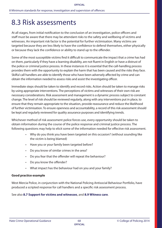## 8.3 Risk assessments

At all stages, from initial notification to the conclusion of an investigation, police officers and staff must be aware that there may be attendant risks to the safety and wellbeing of victims and witnesses. An important risk factor is the potential for further victimisation. Many victims are targeted because they are less likely to have the confidence to defend themselves, either physically or because they lack the confidence or ability to stand up to the offender.

Some of the most susceptible victims find it difficult to communicate the impact that a crime has had on them, particularly if they have a learning disability, are not fluent in English or have a distrust of the police or criminal justice process. In these instances it is essential that the call-handling process provides them with the opportunity to explain the harm that has been caused and the risks they face. Skilful call handlers are able to identify those who have been adversely affected by crime and can obtain the information needed to assess risks and assist the investigating officer.

Immediate steps should be taken to identify and record risks. Action should be taken to manage risks by using appropriate interventions. The perceptions of victims and witnesses of their own risk are necessary considerations. Risk assessment and management is a dynamic process subject to constant change. The level of risk should be reviewed regularly, along with any interventions put in place, to ensure that they remain appropriate to the situation, provide reassurance and reduce the likelihood of further victimisation. To ensure openness and accountability, a record of this risk assessment should be kept and regularly reviewed for quality assurance purposes and identifying trends.

Whichever method of risk assessment police forces use, every opportunity should be taken to obtain information during the course of the police response and criminal justice process. The following questions may help to elicit some of the information needed for effective risk assessment.

- Why do you think you have been targeted on this occasion? (without sounding like the victim is being blamed)
- Have you or your family been targeted before?
- Do you know of similar crimes in the area?
- Do you fear that the offender will repeat the behaviour?
- Do you know the offender?
- What impact has the behaviour had on you and your family?

### **Good practice example**

West Mercia Police, in conjunction with the National Policing Antisocial Behaviour Portfolio, have produced a scripted response for call handlers and a specific risk assessment process.

See also **[8.7 Support for victims and witnesses](#page-88-0)**, and **[8.9 Witness care](#page-95-0)**.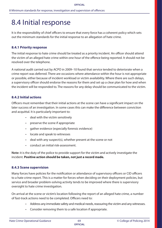## 8.4 Initial response

It is the responsibility of chief officers to ensure that every force has a coherent policy which sets out the minimum standards for the initial response to an allegation of hate crime.

## **8.4.1 Priority response**

The initial response to hate crime should be treated as a priority incident. An officer should attend the victim of an alleged hate crime within one hour of the offence being reported. It should not be resolved over the telephone.

A national audit carried out by ACPO in 2009–10 found that service tended to deteriorate when a crime report was deferred. There are occasions where attendance within the hour is not appropriate or possible, either because of incident workload or victim availability. Where there are such delays, a supervisory officer should endorse the reasons for them and set up a clear plan for how and when the incident will be responded to. The reasons for any delay should be communicated to the victim.

## **8.4.2 Initial actions**

Officers must remember that their initial actions at the scene can have a significant impact on the later success of an investigation. In some cases this can make the difference between conviction and acquittal. It is particularly important to:

- deal with the victim sensitively
- • preserve the scene if appropriate
- gather evidence (especially forensic evidence)
- • locate and speak to witnesses
- deal with any suspect(s), whether present at the scene or not
- • conduct an initial risk-assessment.

**Note:** it is the duty of the police to provide support for the victim and actively investigate the incident. **Positive action should be taken, not just a record made.**

## **8.4.3 Scene supervision**

Many forces have policies for the notification or attendance of supervisory officers or CID officers to a hate crime report. This is a matter for forces when deciding on their deployment policies, but service and broader problem-solving activity tends to be improved where there is supervisory oversight to hate crime investigation.

On arrival at the scene or victim's location following the report of an alleged hate crime, a number of fast-track actions need to be completed. Officers need to:

- • Address any immediate safety and medical needs, reassuring the victim and any witnesses.
- Consider removing them to a safe location if appropriate.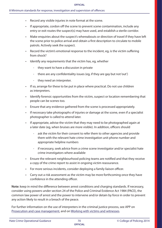- • Record any visible injuries in note format at the scene.
- If appropriate, cordon off the scene to prevent scene contamination, include any entry or exit routes the suspect(s) may have used, and establish a sterile corridor.
- Make enquiries about the suspect's whereabouts or direction of travel if they have left the scene prior to police arrival and obtain a first description to circulate to mobile patrols. Actively seek the suspect.
- Record the victim's emotional response to the incident, eq, is the victim suffering from shock?
- Identify any requirements that the victim has, eg, whether
	- they want to have a discussion in private
	- there are any confidentiality issues (eg, if they are gay but not 'out')
	- they need an interpreter.
- If so, arrange for these to be put in place where practical. Do not use children as interpreters.
- Identify forensic opportunities from the victim, suspect or location remembering that people can be scenes too.
- Ensure that any evidence gathered from the scene is processed appropriately.
- If necessary take photographs of injuries or damage at the scene, even if a specialist photographer is called to attend later.
- If appropriate, advise the victim that they may need to be photographed again at a later date (eg, when bruises are more visible). In addition, officers should
	- ask the victim for their consent to refer them to other agencies and provide them with the relevant hate crime investigation unit phone number and appropriate helpline numbers
	- if necessary, seek advice from a crime scene investigator and/or specialist hate crime investigators where available
- Ensure the relevant neighbourhood policing teams are notified and that they receive a copy of the crime report to assist in ongoing victim reassurance.
- For more serious incidents, consider deploying a family liaison officer.
- Carry out a risk assessment as the victim may be more forthcoming once they have confidence in the attending officer.

**Note:** keep in mind the difference between arrest conditions and charging standards. If necessary, consider using powers under section 24 of the Police and Criminal Evidence Act 1984 (PACE), the common law power of arrest and the power to intervene and/or detain by force in order to prevent any action likely to result in a breach of the peace.

For further information on the use of interpreters in the criminal justice process, see APP on P[rosecution and case management](http://www.app.college.police.uk/app-content/prosecution-and-case-management/?s=), and on [Working with victims and witnesses](http://www.app.college.police.uk/app-content/investigations/victims-and-witnesses/).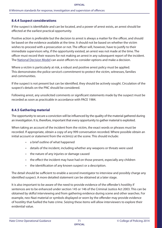#### **OFFICIAL**

### **8.4.4 Suspect considerations**

If the suspect is identifiable and can be located, and a power of arrest exists, an arrest should be effected at the earliest practical opportunity.

Positive action is preferable but the decision to arrest is always a matter for the officer, and should be based on the evidence available at the time. It should not be based on whether the victim wishes to proceed with a prosecution or not. The officer will, however, have to justify to their immediate supervisors why, if the opportunity existed, an arrest was not made at the time. The officer must record their reasons for not making an arrest in any subsequent report of the incident. The [National Decision Model](http://www.app.college.police.uk/app-content/national-decision-model/the-national-decision-model/) can assist officers to consider options and make a decision.

Where a victim is particularly at risk, a robust and positive arrest policy must be applied. This demonstrates the police service's commitment to protect the victim, witnesses, families and communities.

If the suspect is not present but can be identified, they should be actively sought. Circulation of the suspect's details on the PNC should be considered.

Following arrest, any unsolicited comments or significant statements made by the suspect must be recorded as soon as practicable in accordance with PACE 1984.

## **8.4.5 Gathering material**

The opportunity to secure a conviction will be influenced by the quality of the material gathered during an investigation. It is, therefore, important that every opportunity to gather material is exploited.

When taking an account of the incident from the victim, the exact words or phrases must be recorded. If appropriate, obtain a copy of any 999 conversation recorded. Where possible obtain an initial account or statement from the victim(s) at the scene. This should include:

- a brief outline of what happened
- details of the incident, including whether any weapons or threats were used
- • the nature of any injuries or damage caused
- the effect the incident may have had on those present, especially any children
- the identification of any known suspect or a description.

The detail should be sufficient to enable a second investigator to interview and possibly charge any identified suspect. A more detailed statement can be obtained at a later stage.

It is also important to be aware of the need to provide evidence of the offender's hostility if sentences are to be enhanced under section 145 or 146 of the Criminal Justice Act 2003. This can be obtained by skilful interviewing and from gathering evidence during scene and other searches. For example, neo-Nazi material or symbols displayed or worn by the offender may provide evidence of hostility that fuelled the hate crime. Seizing these items will allow interviewers to explore their evidential value.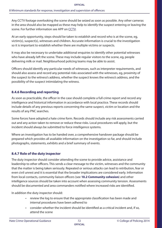Any CCTV footage overlooking the scene should be seized as soon as possible. Any other cameras in the area should also be mapped as these may help to identify the suspect entering or leaving the scene. For further information see APP on [CCTV](http://www.app.college.police.uk/app-content/investigations/investigative-strategies/passive-data-generators/#cctv).

At an early opportunity, steps should be taken to establish and record who is at the scene, eg, victim(s), suspect(s), witnesses and children. Accurate information is crucial to the investigation so it is important to establish whether there are multiple victims or suspects.

It may also be necessary to undertake additional enquiries to identify other potential witnesses who have already left the scene. These may include regular visitors to the scene, eg, people delivering milk or mail. Neighbourhood policing teams may be able to assist.

Officers should identify any particular needs of witnesses, such as interpreter requirements, and should also assess and record any potential risks associated with the witnesses, eg, proximity of the suspect to the witness's address, whether the suspect knows the witness's address, and the possibility of the suspect intimidating the witness.

## **8.4.6 Recording and reporting**

As soon as practicable, the officer in the case should complete a full crime report and record any intelligence and historical information in accordance with local practice. These records should include details of any previous reports concerning the same suspect, victim or location and the results of any PNC searches.

Some forces have adopted a hate crime form. Records should include any risk assessments carried out and any action taken to remove or reduce these risks. Local procedures will apply, but the incident should always be submitted to force intelligence systems.

Where an investigation has to be handed over, a comprehensive handover package should be prepared which provides all available information on the investigation so far, and should include photographs, statements, exhibits and a brief summary of events.

## **8.4.7 Role of the duty inspector**

The duty inspector should consider attending the scene to provide advice, assistance and leadership to other officers. This sends a clear message to the victim, witnesses and the community that the matter is being taken seriously. Repeated or serious attacks can lead to retribution, fear or even civil unrest and it is essential that the broader implications are considered early. Information from local contacts, community liaison officers (see **[10.2 Community cohesion](#page-105-0)**) and other intelligence sources should be taken into account when assessing community tension. Assessments should be documented and area commanders notified where increased risks are identified.

In addition the duty inspector should:

- review the log to ensure that the appropriate classification has been made and internal procedures have been adhered to
- consider whether the incident should be identified as a critical incident and, if so, attend the scene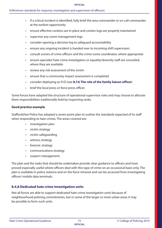**OFFICIAL**

- if a critical incident is identified, fully brief the area commander or on-call commander at the earliest opportunity
- ensure effective cordons are in place and cordon logs are properly maintained
- supervise any scene management logs
- consider opening a decision log to safeguard accountability
- • ensure any ongoing incident is handed over to incoming shift supervisors
- consult scenes of crime officers and the crime scene coordinator, where appropriate
- ensure specialist hate crime investigators or equality/diversity staff are consulted, where they are available
- • review any risk assessment of the victim
- • ensure that a community impact assessment is completed
- • consider deploying an FLO (see **[8.7.6 The role of the family liaison officer](#page-91-0)**)
- brief the local press or force press officer.

Some forces have adapted the structure of operational supervisor roles and may choose to allocate them responsibilities traditionally held by inspecting ranks.

### **Good practice example**

Staffordshire Police has adopted a seven-point plan to outline the standards expected of its staff when responding to hate crimes. The areas covered are:

- • investigation plan
- • victim strategy
- • victim safeguarding
- • witness strategy
- forensic strategy
- • communications strategy
- • suspect management.

The plan and the tasks that should be undertaken provide clear guidance to officers and have proved especially useful where officers deal with this type of crime on an occasional basis only. The plan is available in police stations and on the force intranet and can be accessed from investigating officers' mobile data terminals.

## **8.4.8 Dedicated hate crime investigation units**

Not all forces are able to support dedicated hate crime investigation units because of neighbourhood policing commitments, but in some of the larger or more urban areas it may be possible to form such units.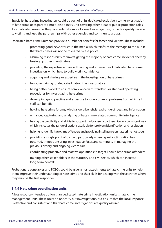Specialist hate crime investigators could be part of units dedicated exclusively to the investigation of hate crime or as part of a multi-disciplinary unit covering other broader public protection roles. As a dedicated resource, they can undertake more focused investigations, provide a quality service to victims and lead the partnerships with other agencies and community groups.

Dedicated hate crime units can provide a number of benefits for forces and victims. These include:

- promoting good news stories in the media which reinforce the message to the public that hate crimes will not be tolerated by the police
- assuming responsibility for investigating the majority of hate crime incidents, thereby freeing up other investigators
- • providing the expertise, enhanced training and experience of dedicated hate crime investigators which help to build victim confidence
- acquiring and sharing an expertise in the investigation of hate crimes
- bespoke training for dedicated hate crime investigators
- being better placed to ensure compliance with standards or standard operating procedures for investigating hate crime
- developing good practice and expertise to solve common problems from which all staff can benefit
- holding hate crime forums, which allow a beneficial exchange of ideas and information
- enhanced capturing and analysing of hate crime-related community intelligence
- having the credibility and ability to support multi-agency partnerships in a consistent way, which increases the range of options available for problem identification and resolution
- helping to identify hate crime offenders and providing intelligence on hate crime hot spots
- providing a single point of contact, particularly when repeat victimisation has occurred, thereby ensuring investigative focus and continuity in managing the previous history and ongoing victim care
- coordinating proactive and reactive operations to target known hate crime offenders
- training other stakeholders in the statutory and civil sector, which can increase long-term benefits.

Probationary constables and PCSOs could be given short attachments to hate crime units to help them improve their understanding of hate crime and their skills for dealing with these crimes where they may be the first responder.

## **8.4.9 Hate crime coordination units**

A less resource-intensive option than dedicated hate crime investigation units is hate crime management units. These units do not carry out investigations, but ensure that the local response is effective and consistent and that hate crime investigations are quality assured.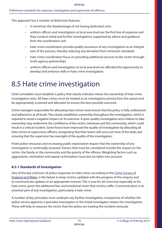This approach has a number of distinctive features:

- it minimises the disadvantage of not having dedicated units
- • uniform officers and investigators at local area level are the first line of response and they conduct initial and further investigations supported by advice and guidance from the coordination unit
- hate crime coordinators provide quality assurance of any investigation as an integral part of the process, thereby reducing any deviation from minimum standards
- hate crime coordinators focus on providing additional services to the victim through multi-agency partnerships
- uniform officers and investigators at local area level are afforded the opportunity to develop and enhance skills in hate crime investigation.

## 8.5 Hate crime investigation

Chief constables must establish a policy that clearly indicates where the ownership of hate crime investigation rests. All hate crimes must be treated as an investigative priority from the outset and be appropriately screened and allocated to ensure the best possible outcome.

Crime managers responsible for allocating hate crimes must ensure that the policy is fully understood and adhered to at all levels. This clearly establishes ownership throughout the investigation, which is required to avoid a negative impact on its outcome. A poor-quality investigation and a failure to take ownership may undermine the confidence of the victim, witnesses and the community, which could result in a critical incident. Some forces have improved the quality of investigation by allocating all hate crimes to supervisory officers, recognising that their teams will carry out most of the tasks, but ensuring that the supervisor has oversight of the quality of the investigation.

Finite police resources and increasing public expectation require that the ownership of any investigation is continually assessed. Factors that must be considered include the impact on the victim, the family or the community and the gravity of the offence. Weighting factors such as aggravation, motivation and repeat victimisation must also be taken into account.

## **8.5.1 Standards of investigation**

One of the key criticisms of police responses to hate crime, according to the Crime Survey of [England and Wales,](http://www.ons.gov.uk/ons/rel/crime-stats/crime-statistics/period-ending-september-2013/stb-crime-in-england-and-wales--year-ending-sept-2013.html) is the failure to keep victims updated with the progress of the enquiry and to communicate updates in an appropriate manner. This is true for all crime but especially so for hate crime, given the additional fear and emotional strain that victims suffer. Communication is an essential part of any investigation, particularly a hate crime.

A number of key principles must underpin any further investigation, irrespective of whether the police service appoints a specialist investigator or the initial investigator retains the investigation. These will help to reassure the victim that the police are treating the incident seriously.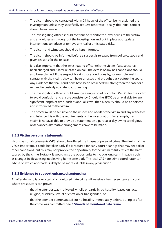- The victim should be contacted within 24 hours of the officer being assigned the investigation unless they specifically request otherwise. Ideally, this initial contact should be in person.
- The investigating officer should continue to monitor the level of risk to the victim and any witnesses throughout the investigation and put in place appropriate interventions to reduce or remove any real or anticipated risks.
- The victim and witnesses should be kept informed.
- The victim should be informed before a suspect is released from police custody and given reasons for the release.
- It is also important that the investigating officer tells the victim if a suspect has been charged and is later released on bail. The details of any bail conditions should also be explained. If the suspect breaks those conditions by, for example, making contact with the victim, they can be re-arrested and brought back before the court. Any evidence that bail conditions have been breached will strengthen the case for a remand in custody at a later court hearing.
- The investigating officer should arrange a single point of contact (SPOC) for the victim to avoid confusion and ensure consistency. Should the SPOC be unavailable for any significant length of time (such as annual leave) then a deputy should be appointed and introduced to the victim.
- The officer must be sensitive to the wishes and needs of the victim and any witnesses and balance this with the requirements of the investigation. For example, if a victim is not available to provide a statement on a particular day owing to religious observances, alternative arrangements have to be made.

## **8.5.2 Victim personal statements**

Victim personal statements (VPS) should be offered in all cases of personal crime. The timing of the VPS is important. It could be taken early if it is required for early court hearings that may set bail or other conditions, but this may not provide the opportunity for the victim to fully reflect the harm caused by the crime. Notably, it would miss the opportunity to include long-term impacts such as changes in lifestyle, eg, not leaving home after dark. The local CPS hate crime coordinator can advise on which approach is likely to be more valuable in any prosecution.

## **8.5.3 Evidence to support enhanced sentencing**

An offender who is convicted of a monitored hate crime will receive a harsher sentence in court where prosecutors can prove:

- that the offender was motivated, wholly or partially, by hostility (based on race, religion, disability, sexual orientation or transgender), or
- that the offender demonstrated such a hostility immediately before, during or after the crime was committed. See **[3 Strands of monitored hate crime](#page-23-0)**.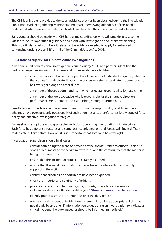The CPS is only able to provide to the court evidence that has been obtained during the investigation either from evidence gathering, witness statements or interviewing offenders. Officers need to understand what can demonstrate such hostility as they plan their investigation and interview.

Early contact should be made with CPS hate crime coordinators who will provide access to the latest prosecutor operational guidance and assist with investigation and interview planning. This is particularly helpful where it relates to the evidence needed to apply for enhanced sentencing under section 145 or 146 of the Criminal Justice Act 2003.

## **8.5.4 Role of supervisors in hate crime investigations**

A national audit of hate crime investigations carried out by ACPO and partners identified that dedicated supervisory oversight is beneficial. Three levels were identified:

- an individual or unit which has operational oversight of individual enquiries, whether that comes from dedicated hate crime officers or a single nominated supervisor who has oversight alongside other duties
- a member of the area command team who has overall responsibility for hate crime
- a member of the force executive who is responsible for the strategic direction, performance measurement and establishing strategic partnerships.

Results tended to be less effective where supervision was the responsibility of all line-supervisors, who may have oversight only occasionally of such enquiries and, therefore, less knowledge of force policy and effective investigation strategies.

Forces should adopt the most applicable model for supervising investigations of hate crime. Each force has different structures and some, particularly smaller rural forces, will find it difficult to dedicate full-time staff. However, it is still important that someone has oversight.

Investigation supervisors should in all cases:

- consider attending the scene to provide advice and assistance to officers this also sends a clear message to the victim, witnesses and the community that the matter is being taken seriously
- • ensure that the incident or crime is accurately recorded
- ensure that the initial investigating officer is taking positive action and is fully supporting the victim
- • confirm that all forensic opportunities have been exploited
- check the integrity and continuity of exhibits
- provide advice to the initial investigating officer(s) on evidence preservation, including evidence of offender hostility (see **[3 Strands of monitored hate crime](#page-23-0)**)
- • identify potential critical incidents and brief the duty officer
- open a critical incident or incident management log, where appropriate, if this has not already been done ( if information emerges during an investigation to indicate a critical incident, the duty inspector should be informed immediately)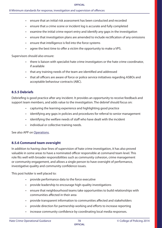**OFFICIAL**

- • ensure that an initial risk assessment has been conducted and recorded
- • ensure that a crime scene or incident log is accurate and fully completed
- • examine the initial crime report entry and identify any gaps in the investigation
- ensure that investigation plans are amended to include rectification of any omissions
- • ensure that intelligence is fed into the force systems
- • agree the best time to offer a victim the opportunity to make a VPS.

Supervisors should also ensure:

- there is liaison with specialist hate crime investigators or the hate crime coordinator, if available
- that any training needs of the team are identified and addressed
- that all officers are aware of force or police service initiatives regarding ASBOs and acceptable behaviour contracts (ABC).

## **8.5.5 Debriefs**

Debriefing is good practice after any incident. It provides an opportunity to receive feedback and support team members, and adds value to the investigation. The debrief should focus on:

- • capturing the learning experience and highlighting good practice
- identifying any gaps in policies and procedures for referral to senior management
- identifying the welfare needs of staff who have dealt with the incident
- individual or collective training needs.

See also APP on [Operations](http://www.app.college.police.uk/app-content/operations/?s=).

## **8.5.6 Command team oversight**

In addition to having clear lines of supervision of hate crime investigation, it has also proved valuable in some areas to have a nominated officer responsible at command team level. This role fits well with broader responsibilities such as community cohesion, crime management or community engagement, and allows a single person to have oversight of performance, investigative quality and community confidence issues.

This post holder is well placed to:

- • provide performance data to the force executive
- provide leadership to encourage high-quality investigations
- • ensure that neighbourhood teams take opportunities to build relationships with communities affected in their area
- provide transparent information to communities affected and stakeholders
- provide direction for partnership working and efforts to increase reporting
- increase community confidence by coordinating local media responses.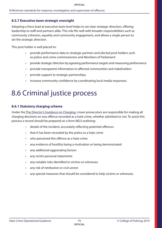### **8.5.7 Executive team strategic oversight**

Adopting a force lead at executive team level helps to set clear strategic direction, offering leadership to staff and partners alike. This role fits well with broader responsibilities such as community cohesion, equality and community engagement, and allows a single person to set the strategic direction.

This post holder is well placed to:

- provide performance data to strategic partners and elected post holders such as police and crime commissioners and Members of Parliament
- provide strategic direction by agreeing performance targets and measuring performance
- • provide transparent information to affected communities and stakeholders
- • provide support to strategic partnerships
- increase community confidence by coordinating local media responses.

## 8.6 Criminal justice process

## <span id="page-85-0"></span>**8.6.1 Statutory charging scheme**

Under the [The Director's Guidance on Charging,](https://www.cps.gov.uk/publications/directors_guidance/dpp_guidance_5.html) crown prosecutors are responsible for making all charging decisions on any offence recorded as a hate crime, whether admitted or not. To assist this process a record should be prepared on a form MG3 outlining:

- details of the incident, accurately reflecting potential offences
- that it has been recorded by the police as a hate crime
- • who perceived this offence as a hate crime
- any evidence of hostility being a motivation or being demonstrated
- any additional aggravating factors
- any victim personal statements
- any notable risks identified to victims or witnesses
- any risk of retribution or civil unrest
- any special measures that should be considered to help victims or witnesses.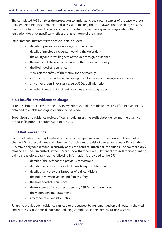The completed MG3 enables the prosecutor to understand the circumstances of the case without detailed reference to statements. It also assists in making the court aware that the charge relates directly to a hate crime. This is particularly important when dealing with charges where the legislation does not specifically reflect the hate nature of the crime.

Other material that assists the prosecution includes:

- • details of previous incidents against the victim
- • details of previous incidents involving the defendant
- the ability and/or willingness of the victim to give evidence
- the impact of the alleged offence on the wider community
- • the likelihood of recurrence
- views on the safety of the victim and their family
- information from other agencies, eg, social services or housing departments
- any other orders in existence, eg, ASBOs, civil injunctions
- whether the current incident breaches any existing order.

## **8.6.2 Insufficient evidence to charge**

Prior to submitting a case to the CPS, every effort should be made to ensure sufficient evidence is obtained to enable a charging decision to be made.

Supervisors and evidence review officers should assess the available evidence and the quality of the case file prior to its submission to the CPS.

## **8.6.3 Bail proceedings**

Victims of hate crime may be afraid of the possible repercussions for them once a defendant is charged. To protect victims and witnesses from threats, the risk of danger or repeat offences, the CPS may apply for a remand in custody or ask the court to attach bail conditions. The court can only remand a suspect in custody if the CPS can show that there are substantial grounds for not granting bail. It is, therefore, vital that the following information is provided to the CPS:

- details of the defendant's previous convictions
- • details of any previous incidents involving the defendant
- • details of any previous breaches of bail conditions
- the police view on victim and family safety
- • the likelihood of recurrence
- the existence of any other orders, eg, ASBOs, civil injunctions
- the victim personal statement
- any other relevant information.

Failure to provide such evidence can lead to the suspect being remanded on bail, putting the victim and witnesses in serious danger and reducing confidence in the criminal justice system.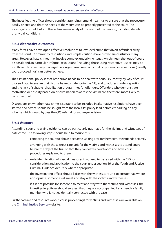The investigating officer should consider attending remand hearings to ensure that the prosecutor is fully briefed and that the needs of the victim can be properly presented to the court. The investigator should inform the victim immediately of the result of the hearing, including details of any bail conditions.

### **8.6.4 Alternative outcomes**

Many forces have developed effective resolutions to low-level crime that divert offenders away from the courts. Community resolutions and simple cautions have proved successful for many areas. However, hate crimes may involve complex underlying issues which mean that out-of-court disposals and, in particular, informal resolutions (including those using restorative justice) may be insufficient to effectively manage the longer-term criminality that only formal interventions (usually court proceedings) can better achieve.

The CPS national policy is that hate crime needs to be dealt with seriously (mostly by way of court proceedings) to ensure that victims have confidence in the CJS, and to address under-reporting and the lack of suitable rehabilitation programmes for offenders. Offenders who demonstrate motivation or hostility based on discrimination towards the victim are, therefore, more likely to be prosecuted.

Discussions on whether hate crime is suitable to be included in alternative resolutions have been started and advice should be sought from the local CPS policy lead before embarking on any scheme which would bypass the CPS referral for a charge decision.

## **8.6.5 At court**

Attending court and giving evidence can be particularly traumatic for the victims and witnesses of hate crime. The following steps should help to reduce this:

- contacting the court to obtain a separate waiting area for the victim, their friends or family
- arranging with the witness care unit for the victims and witnesses to attend court before the day of the trial so that they can view a courtroom and have court procedures explained to them
- early identification of special measures that need to be raised with the CPS for consideration and application to the court under section 46 of the Youth and Justice Criminal Evidence Act 1999 where appropriate
- the investigating officer should liaise with the witness care unit to ensure that, where appropriate, someone will meet and stay with the victims and witnesses
- • if it is not possible for someone to meet and stay with the victims and witnesses, the investigating officer should suggest that they are accompanied by a friend or family member who is not evidentially connected with the case.

Further advice and resources about court proceedings for victims and witnesses are available on the [Criminal Justice Service](http://www.cjsonline.gov.uk/witness/) website.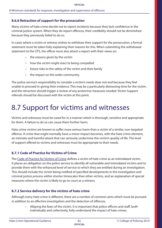## **8.6.6 Retraction of support for the prosecution**

Many victims of hate crime decide not to report incidents because they lack confidence in the criminal justice system. When they do report offences, their credibility should not be diminished because they previously failed to do so.

In cases where a victim or witness wishes to withdraw their support for the prosecution, a formal statement must be taken fully explaining their reasons for this. When submitting the withdrawal statement to the CPS, the officer must also attach a report with their views on:

- the reasons given by the victim
- how the victim might react to being compelled
- • future risks to the safety of the victim and their family
- the impact on the wider community.

The police service's responsibility to consider a victim's needs does not end because they feel unable to proceed in giving their evidence. This may be a particularly distressing time for the victim, and the retraction should trigger a review of any protective measures needed. Victim Support referrals should be discussed with the victim at this point.

## <span id="page-88-0"></span>8.7 Support for victims and witnesses

Victims and witnesses must be cared for in a manner which is thorough, sensitive and appropriate for them. A failure to do so can cause them further harm.

Hate crime victims are known to suffer more serious harm than a victim of a similar, non-targeted offence. A crime that might normally have a minor impact becomes, with the hate crime element, an intimate and harmful attack that can seriously undermine the victim's quality of life. The level of support offered to victims and witnesses must be appropriate to their needs.

## **8.7.1 Code of Practice for Victims of Crime**

The [Code of Practice for Victims of Crime](https://www.cps.gov.uk/publications/docs/victims_code_2013.pdf) defines a victim of hate crime as an intimidated victim. It places an obligation on the police service to identify all vulnerable and intimidated victims and to provide them with the enhanced level of service to which they are entitled during an investigation. This should include the victim being notified of specified developments in the investigation and criminal justice process within shorter timescales than other victims, and an explanation of special measures where the victim is likely to go to court as a witness.

## **8.7.2 Service delivery for the victims of hate crime**

Although every hate crime is different, there are a number of common aims which must be pursued in addition to an effective investigation and the detection of offences.

> Allaying the fears of the victim. It is important that police officers and staff, both individually and collectively, fully understand the impact of hate crimes.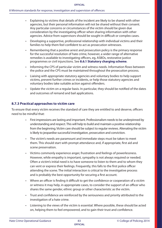- • Explaining to victims that details of the incident are likely to be shared with other agencies, but their personal information will not be shared without their consent. Any particular concerns or circumstances of the victim should be given due consideration by the investigating officer when sharing information with other agencies. Advice from supervisors should be sought in difficult or complex cases.
- Developing a supportive, professional relationship with individual victims and their families to help them feel confident to act as prosecution witnesses.
- • Remembering that a positive arrest and prosecution policy is the primary response for the successful resolution of hate crime, however, a wider range of alternative remedies is available to investigating officers, eg, ASBOs, restorative justice programmes or civil injunctions. See **[8.6.1 Statutory charging scheme](#page-85-0)**.
- Informing the CPS of particular victim and witness needs. Information flows between the police and the CPS must be maintained throughout the prosecution process.
- Liaising with appropriate statutory agencies and voluntary bodies to help support victims, prevent further crimes or incidents, or help those statutory agencies and voluntary bodies take suitable action against offenders.
- Update the victim on a regular basis. In particular, they should be notified of the dates and outcomes of remand and bail applications.

### **8.7.3 Practical approaches to victim care**

To ensure that every victim receives the standard of care they are entitled to and deserve, officers need to be mindful that:

- First impressions are lasting and important. Professionalism needs to be underpinned by understanding and respect. This will help to build and maintain a positive relationship from the beginning. Victim care should be subject to regular reviews. Alienating the victim is likely to jeopardise successful investigation, prosecution and conviction.
- • The victim's needs are paramount and immediate steps must be taken to meet them. This should start with prompt attendance and, if appropriate, first aid and scene preservation.
- Victims commonly experience anger, frustration and feelings of powerlessness. However, while empathy is important, sympathy is not always required or needed. Often a victim's initial need is to have someone to listen to them and to whom they can vent or express their feelings. Frequently, this falls to the first police officer attending the scene. The initial interaction is critical to the investigative process and is probably the best opportunity for securing a first account.
- • Where an officer is finding it difficult to get the confidence or cooperation of a victim or witness it may help, in appropriate cases, to consider the support of an officer who shares the same gender, ethnic group or other characteristic as the victim.
- Trust and confidence are reinforced by the seriousness and priority attributed to the investigation of a hate crime.
- • Listening to the views of the victim is essential. Where possible, these should be acted on, helping them to feel empowered, and to gain their trust and confidence.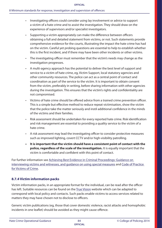- Investigating officers could consider using lay involvement or advice to support a victim of a hate crime and to assist the investigation. They should draw on the experience of supervisors and/or specialist investigators.
- Supporting a victim appropriately can make the difference between officers obtaining a full and detailed statement from victims, or not. Such statements provide comprehensive evidence for the courts, illustrating the impact the hate crime has had on the victim. Careful yet probing questions are essential to help to establish whether this is the first incident, and if there may have been other incidents or other victims.
- • The investigating officer must remember that the victim's needs may change as the investigation progresses.
- A multi-agency approach has the potential to deliver the best level of support and service to a victim of hate crime, eg, Victim Support, local statutory agencies and other community resources. The police can act as a central point of contact and coordination as part of the service to the victim. It is important to obtain consent from the victim, preferably in writing, before sharing information with other agencies during the investigation. This ensures that the victim's rights and confidentiality are not compromised.
- Victims of hate crime should be offered advice from a trained crime prevention officer. This is a simple but effective method to reduce repeat victimisation, show the victim that the police take the matter seriously and instil additional confidence in the minds of the victims and their families.
- Risk assessment should be undertaken for every reported hate crime. Risk identification and risk management are essential to providing a quality service to the victim of a hate crime.
- A risk assessment may lead the investigating officer to consider protective measures such as improved lighting, covert CCTV and/or high-visibility patrolling.
- **• It is important that the victim should have a consistent point of contact with the police, regardless of the scale of the investigation.** It is equally important that the victim is comfortable and confident with this point of contact.

For further information see [Achieving Best Evidence in Criminal Proceedings: Guidance on](http://www.justice.gov.uk/downloads/victims-and-witnesses/vulnerable-witnesses/achieving-best-evidence-criminal-proceedings.pdf)  [interviewing victims and witnesses, and guidance on using special measures](http://www.justice.gov.uk/downloads/victims-and-witnesses/vulnerable-witnesses/achieving-best-evidence-criminal-proceedings.pdf) and [Code of Practice](https://www.cps.gov.uk/publications/docs/victims_code_2013.pdf)  [for Victims of Crime.](https://www.cps.gov.uk/publications/docs/victims_code_2013.pdf)

## **8.7.4 Victim information packs**

Victim information packs, in an appropriate format for the individual, can be read after the officer has left. Suitable resources can be found on the [True Vision](http://www.report-it.org.uk) website which can be adapted to correspond with local policy and contacts. Such packs enable victims to access services related to matters they may have chosen not to disclose to officers.

Generic victim publications (eg, those that cover domestic violence, racist attacks and homophobic incidents in one leaflet) should be avoided as they might cause offence.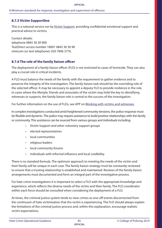#### **OFFICIAL**

## **8.7.5 Victim Supportline**

This is a national service run by [Victim Support,](http://www.victimsupport.org.uk) providing confidential emotional support and practical advice to victims.

Contact details: telephone 0845 30 30 900 TextDirect access number 18001 0845 30 30 90 minicom (or text telephone): 020 7896 3776.

## <span id="page-91-0"></span>**8.7.6 The role of the family liaison officer**

The deployment of a family liaison officer (FLO) is not restricted to cases of homicide. They can also play a crucial role in critical incidents.

A FLO must balance the needs of the family with the requirement to gather evidence and to preserve the integrity of the investigation. The family liaison task should be the overriding role of the selected officer. It may be necessary to appoint a deputy FLO to provide resilience in the role. In cases where the lifestyle, friends and associates of the victim may hold the key to identifying witnesses or suspects, the family liaison role is central to the success of the investigation.

For further information on the use of FLOs, see APP on [Working with victims and witnesses](http://www.app.college.police.uk/app-content/investigations/victims-and-witnesses/).

In complex investigations conducted amid heightened community tensions, the police response must be flexible and dynamic. The police may require assistance to build positive relationships with the family or community. This assistance can be sourced from various groups and individuals including:

- • Victim Support and other voluntary support groups
- elected representatives
- • local communities
- • religious leaders
- • local community forums
- individuals with informal influence and local credibility.

There is no standard formula. The optimum approach to meeting the needs of the victim and their family will be unique in each case. The family liaison strategy must be constantly reviewed to ensure that a trusting relationship is established and maintained. Reviews of the family liaison arrangements must documented and form an integral part of the investigative process.

For hate crime investigations it is important to select a FLO with the appropriate knowledge and experience, which reflects the diverse needs of the victim and their family. The FLO coordinator within each force should be consulted when considering the deployment of a FLO.

At times, the criminal justice system tends to view crimes as one-off events disconnected from the continuum of hate victimisation that the victim is experiencing. The FLO should always explain the limitations of the criminal justice process and, within this explanation, encourage realistic victim expectations.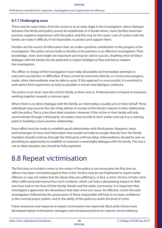#### **OFFICIAL**

## **8.7.7 Challenging cases**

There may be cases when, from the outset or at an early stage in the investigation, direct dialogue between the family and police cannot be established, or it breaks down. Some families have had previous negative experiences with the police, and this may be the cause. Lack of contact with the family can make it difficult, if not impossible, to protect and support them.

Families are the source of information that can make a positive contribution to the progress of an investigation. The police service looks to families to be partners in an effective investigation. Their knowledge, views and insight are important and may be vital to success. Anything short of direct dialogue with the family has the potential to impair intelligence flow and hence weaken the investigation.

The officer in charge of the investigation must make all possible and immediate attempts to overcome any barriers or difficulties. If they cannot be overcome directly, or constructive progress made, other intermediaries may be able to assist. If this approach is unsuccessful, it is essential to seek advice from supervisors as early as possible to ensure that dialogue continues.

The police must never view the victim's family as them and us. Professionalism is based on everyone working together towards a common goal.

Where there is no direct dialogue with the family, an intermediary usually acts on their behalf. These individuals may assume the role of lay adviser or trustee of the family's interest in their relationship with the police. This is a less than ideal situation. However, if the victim or their family will only communicate through a third party, the police must accede to their wishes and use it as a starting point to building a more positive relationship.

Every effort must be made to establish good relationships with third parties. Requests, ideas and exchanges of views and information that would normally be sought directly from the family members should continue through the third party without delay. Intermediaries should be seen as providing an opportunity to establish or maintain a meaningful dialogue with the family. This too is not an ideal situation, but should be fully exploited.

## 8.8 Repeat victimisation

The first time an incident comes to the notice of the police is not necessarily the first time an offence has been committed against that victim. Victims may be too frightened to report earlier offences or may not realise that the abuse they are suffering is, in fact, a crime. Victims of hate crime often suffer personal trauma from such incidents, which can have a devastating impact on their own lives and on the lives of their family, friends and the wider community. It is important that investigators appreciate the devastation that hate crime can cause. An effective, victim-focused investigation, followed by the prosecution of those responsible will help to increase confidence in the criminal justice system, and in the ability of the police to tackle this kind of crime.

Police awareness and response to repeat victimisation has improved. Most police forces have developed repeat victimisation strategies and introduced policies to improve service delivery.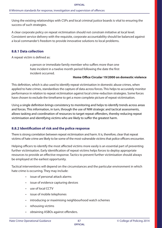Using the existing relationships with CSPs and local criminal justice boards is vital to ensuring the success of such strategies.

A clear corporate policy on repeat victimisation should not constrain initiative at local level. Consistent service delivery with the requisite, corporate accountability should be balanced against a local commander's freedom to provide innovative solutions to local problems.

## **8.8.1 Data collection**

A repeat victim is defined as:

a person or immediate family member who suffers more than one hate incident in a twelve month period following the date the first incident occurred.

### **Home Office Circular 19/2000 on domestic violence**

This definition, which is also used to identify repeat victimisation in domestic abuse crimes, when applied to hate crimes, standardises the capture of data across forces. This helps to accurately monitor performance in relation to repeat victimisation against local crime-reduction strategies. Some forces have chosen to exclude the timeframe to get a more complete picture of repeat victimisation.

Using a single definition brings consistency to monitoring and helps to identify trends across areas and forces. This information, in turn, through the use of NIM strategic and tactical assessments, allows tasking and coordination of resources to target repeat offenders, thereby reducing repeat victimisation and identifying victims who are likely to suffer the greatest harm.

## **8.8.2 Identification of risk and the police response**

There is strong correlation between repeat victimisation and harm. It is, therefore, clear that repeat victims of hate crime are likely to be some of the most vulnerable victims that police officers encounter.

Helping officers to identify the most affected victims more easily is an essential part of preventing further victimisation. Early identification of repeat victims helps forces to deploy appropriate resources to provide an effective response. Tactics to prevent further victimisation should always be employed at the earliest opportunity.

Tactical interventions will depend on the circumstances and the particular environment in which hate crime is occurring. They may include:

- • issue of personal attack alarms
- • issue of evidence capturing devices
- use of local CCTV
- issue of mobile telephones
- • introducing or maximising neighbourhood watch schemes
- • rehousing victims
- obtaining ASBOs against offenders.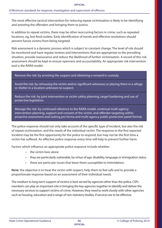The most effective tactical intervention for reducing repeat victimisation is likely to be identifying and arresting the offenders and bringing them to justice.

In addition to repeat victims, there may be other reoccurring factors in crime, such as repeated locations, eg, fast-food outlets. Early identification of trends and effective resolutions should prevent future victims from being targeted.

Risk assessment is a dynamic process which is subject to constant change. The level of risk should be monitored and have regular reviews and interventions that are appropriate to the prevailing situation, provide reassurance and reduce the likelihood of further victimisation. A record of this risk assessment should be kept to ensure openness and accountability. An appropriate risk intervention tool is the RARA model.

Remove the risk: by arresting the suspect and obtaining a remand in custody.

Avoid the risk: by rehousing the victim and/or significant witnesses or placing them in a refuge or shelter in a location unknown to suspect.

Reduce the risk: by joint intervention or victim safety planning, target hardening and use of protective legislation.

Manage the risk: by continued reference to the RARA model, continual multi-agency intervention planning, support and consent of the victim, and offender targeting within proactive assessment and tasking pro forma and multi-agency public protection panel format.

The police response should not only take account of the specific type of incident, but also the risk of repeat victimisation, and the needs of the individual victim. The response to the first reported incident may be the first opportunity for the police to respond, but may not be the first time a victim has suffered. An effective police response every time will help to prevent further harm.

Factors which influence an appropriate police response include whether:

- the victim lives alone
- they are particularly vulnerable, by virtue of age, disability, language or immigration status
- there are particular issues that leave them susceptible to intimidation.

**Note:** the objective is to treat the victim with respect, help them to feel safe and to provide a proportionate response based on an assessment of their individual needs.

The medium to long-term support of victims is best served by agencies other than the police. CSPs members can play an important role in bringing the key agencies together to identify and deliver the necessary services to support victims of crime. However, they need to work closely with other agencies such as housing, education and a range of non-statutory bodies, if services are to be effective.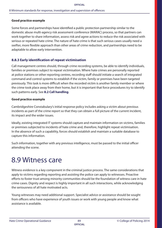#### **OFFICIAL**

### **Good practice example**

Some forces and partnerships have identified a public protection partnership similar to the domestic abuse multi-agency risk assessment conference (MARAC) process, so that partners can work together to share information, assess risk and agree actions to reduce the risk associated with serious or repeated hate crime. The nature of hate crime is that such serious cases usually need a swifter, more flexible approach than other areas of crime reduction, and partnerships need to be adaptable to allow early intervention.

## **8.8.3 Early identification of repeat victimisation**

Call management centres should, through crime recording systems, be able to identify individuals, families or premises subject to repeat victimisation. Where hate crimes are personally reported at police stations or other reporting centres, recording staff should initiate a search of integrated command and control systems to establish if the victim, family or premises have been targeted previously. This task is more difficult when the recorded victim is another family member or where the crime took place away from their home, but it is important that force procedures try to identify such patterns early. See **[8.2 Call handling](#page-73-0)**.

### **Good practice example**

Cambridgeshire Constabulary's initial response policy includes asking a victim about previous incidents as part of the crime report so that they can obtain a full picture of the current incident, its impact and the wider issues.

Ideally, existing integrated IT systems should capture and maintain information on victims, families or premises subjected to incidents of hate crime and, therefore, highlight repeat victimisation. In the absence of such a capability, forces should establish and maintain a suitable database to capture this information.

Such information, together with any previous intelligence, must be passed to the initial officer attending the scene.

## <span id="page-95-0"></span>8.9 Witness care

Witness evidence is a key component in the criminal justice process. The same considerations that apply to victims regarding reporting and assisting the police can apply to witnesses. Proactive efforts to foster trust among minority communities should be the foundation of witness care in hate crime cases. Dignity and respect is highly important in all such interactions, while acknowledging the seriousness of all hate motivated acts.

Young witnesses may need additional support. Specialist advice or assistance should be sought from officers who have experience of youth issues or work with young people and know what assistance is available.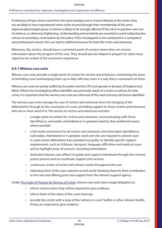If witnesses of hate crimes come from the same background or chosen lifestyle as the victim, they too are likely to have experienced some victim trauma through their membership of the same depersonalised target group. A witness is likely to be strongly affected if the crime in question was one of violence, or otherwise frightening. Understanding and sensitivity are essential to avoid subjecting the witness to secondary victimisation by the police. If the investigation is not conducted in a competent and professional manner, this can lead to additional trauma for both the victim and witnesses.

Witnesses, like victims, should have a consistent point of contact where they can receive information about the progress of the case. They should also be helped to prepare for what many regard as the ordeal of the courtroom experience.

### **8.9.1 Witness care units**

Witness care units provide a single point of contact for victims and witnesses, minimising the stress of attending court and keeping them up to date with any news in a way that is convenient to them.

Witness care units are jointly staffed by the police and the CPS and operate in all areas of England and Wales. Where the investigating officer identifies any particular needs of a victim or witness for hate crime, it is important that the witness care units are informed of this need and any risk factors identified.

The witness care units manage the care of victims and witnesses from the charging of the defendant(s) through to the conclusion of a case, providing support to those victims and witnesses who are in most need of it. The service to victims and witnesses includes:

- a single point of contact for victims and witnesses, communicating with those identified as vulnerable, intimidated or in greatest need by their preferred means where possible
- a full needs assessment for all victims and witnesses who have been identified as vulnerable, intimidated or in greatest need and who are required to attend court in cases where defendants have pleaded not guilty, to identify specific support requirements, such as childcare, transport, language difficulties and medical issues and to highlight areas of concern, including intimidation
- dedicated witness care officers to quide and support individuals through the criminal justice process and to coordinate support and services
- • continuous review of victim and witness needs throughout the case
- informing them of the case outcome or trial result, thanking them for their contribution to the case and offering post-case support from the relevant support agency.

Under The [Code of Practice for Victims of Crime](https://www.cps.gov.uk/publications/docs/victims_code_2013.pdf), witness care units have a legal obligation to:

- inform victims when they will be required to give evidence
- inform them of the dates of the court hearings
- provide the victim with a copy of the 'witness in court' leaflet or other relevant leaflet, if they are required to give evidence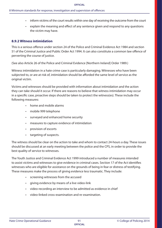- inform victims of the court results within one day of receiving the outcome from the court
- explain the meaning and effect of any sentence given and respond to any questions the victim may have.

## **8.9.2 Witness intimidation**

This is a serious offence under section 24 of the Police and Criminal Evidence Act 1984 and section 51 of the Criminal Justice and Public Order Act 1994. It can also constitute a common law offence of perverting the course of justice.

(See also Article 26 of the Police and Criminal Evidence [Northern Ireland] Order 1989.)

Witness intimidation in a hate crime case is particularly damaging. Witnesses who have been subjected to, or are at risk of, intimidation should be afforded the same level of service as the original victim.

Victims and witnesses should be provided with information about intimidation and the action they can take should it occur. If there are reasons to believe that witness intimidation may occur in a specific case, proactive steps should be taken to protect the witness(es). These include the following measures:

- home and mobile alarms
- • mobile 999 telephone
- • surveyed and enhanced home security
- • measures to capture evidence of intimidation
- • provision of escorts
- targeting of suspects.

The witness should be clear on the action to take and whom to contact 24-hours a day. These issues should be discussed at an early meeting between the police and the CPS, in order to provide the best quality of service to witnesses.

The Youth Justice and Criminal Evidence Act 1999 introduced a number of measures intended to assist victims and witnesses to give evidence in criminal cases. Section 17 of the Act identifies witnesses who are eligible for assistance on the grounds of being in fear or distress of testifying. These measures make the process of giving evidence less traumatic. They include:

- screening witnesses from the accused
- giving evidence by means of a live video-link
- video-recording an interview to be admitted as evidence in chief
- video-linked cross-examination and re-examination.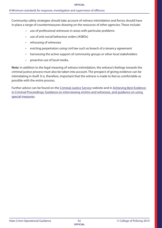Community safety strategies should take account of witness intimidation and forces should have in place a range of countermeasures drawing on the resources of other agencies. These include:

- use of professional witnesses in areas with particular problems
- • use of anti-social behaviour orders (ASBOs)
- • rehousing of witnesses
- evicting perpetrators using civil law such as breach of a tenancy agreement
- harnessing the active support of community groups or other local stakeholders
- • proactive use of local media.

**Note:** in addition to the legal meaning of witness intimidation, the witness's feelings towards the criminal justice process must also be taken into account. The prospect of giving evidence can be intimidating in itself. It is, therefore, important that the witness is made to feel as comfortable as possible with the entire process.

Further advice can be found on the [Criminal Justice Service](http://www.cjsonline.gov.uk/witness/) website and in [Achieving Best Evidence](http://www.justice.gov.uk/downloads/victims-and-witnesses/vulnerable-witnesses/achieving-best-evidence-criminal-proceedings.pdf)  [in Criminal Proceedings: Guidance on interviewing victims and witnesses, and guidance on using](http://www.justice.gov.uk/downloads/victims-and-witnesses/vulnerable-witnesses/achieving-best-evidence-criminal-proceedings.pdf)  [special measures](http://www.justice.gov.uk/downloads/victims-and-witnesses/vulnerable-witnesses/achieving-best-evidence-criminal-proceedings.pdf).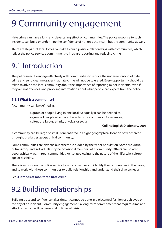# 9 Community engagement

Hate crime can have a long and devastating effect on communities. The police response to such incidents can build or undermine the confidence of not only the victim but the community as well.

There are steps that local forces can take to build positive relationships with communities, which reflect the police service's commitment to increase reporting and reducing crime.

## 9.1 Introduction

The police need to engage effectively with communities to reduce the under-recording of hate crime and send clear messages that hate crime will not be tolerated. Every opportunity should be taken to advise the local community about the importance of reporting minor incidents, even if they are not offences, and providing information about what people can expect from the police.

## **9.1.1 What is a community?**

A community can be defined as:

a group of people living in one locality; equally it can be defined as a group of people who have characteristics in common, for example, cultural, religious, ethnic, physical or social.

### **Collins English Dictionary, 2003**

A community can be large or small, concentrated in a tight geographical location or widespread throughout a larger geographical community.

Some communities are obvious but others are hidden by the wider population. Some are virtual or transitory, and individuals may be occasional members of a community. Others are isolated geographically, eg, in rural communities, or isolated owing to the nature of their lifestyle, culture, age or disability.

There is an onus on the police service to work proactively to identify the communities in their area, and to work with those communities to build relationships and understand their diverse needs.

See **[3 Strands of monitored hate crime](#page-23-0)**.

## 9.2 Building relationships

Building trust and confidence takes time. It cannot be done in a piecemeal fashion or achieved on the day of an incident. Community engagement is a long-term commitment that requires time and effort but which will be beneficial in times of crisis.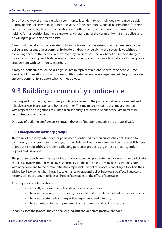One effective way of engaging with a community is to identify key individuals who may be able to provide the police with insight into the views of the community, and also open doors for them. Such individuals may hold formal positions, eg, with a charity or community organisation, or may hold no formal position but have a greater understanding of the community than the police, and be willing to give their time to assist.

Care should be taken not to elevate such key individuals to the extent that they are seen by the police as representative or community leaders – they may be giving their own views without conveying those of the people with whom they are in touch. The key benefit is in their ability to give an insight into possible differing community views, and to act as a facilitator for further police engagement with community members.

It may be ineffective to rely on a single source to represent a broad spectrum of people. Time spent building relationships with communities during everyday engagement will help to provide effective community support when crimes do occur.

## 9.3 Building community confidence

Building and maintaining community confidence relies on the police to deliver a consistent and reliable service, in an open and honest manner. This means that victims of crime are treated with respect and allegations of crime taken seriously. The diverse needs of the victim must be recognised and addressed.

One way of building confidence is through the use of independent advisory groups (IAGs).

## **9.3.1 Independent advisory groups**

The value of these lay advisory groups has been confirmed by their successful contribution to community engagement for several years now. This has been complemented by the establishment of groups to help address problems affecting particular groups, eg, gay, lesbian, transgender, Gypsies and Travellers.

The purpose of such groups is to provide an independent perspective to monitor, observe or participate in police activity without having any responsibility for the outcomes. They make observations both within the force and to the communities they represent. The police service is not obliged to follow their advice. Lay involvement has the ability to enhance operational policy but does not affect the powers, responsibilities or accountabilities to the chief constables or the office of constable.

An independent adviser should:

- • critically appraise the police, its policies and practices
- be able to make a dispassionate, measured and ethical assessment of their experience
- be able to bring relevant expertise, experience and integrity
- be committed to the improvement of community and police relations.

In some cases the process may be challenging, but can generate positive changes.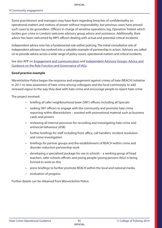Some practitioners and managers may have fears regarding breaches of confidentiality on operational matters and notions of power without responsibility, but previous cases have proved such cases to be groundless. Officers in charge of sensitive operations (eg, Operation Trident which tackles gun crime in London) welcome advisory group advice and assistance. Additionally, their advice has been welcomed by MPS officers dealing with actual and potential critical incidents.

Independent advice now has a fundamental role within policing. The initial consultative role of independent advisers has evolved into a valuable example of partnership in action. Advisers are called on to provide advice across a wide range of policy issues, operational matters and critical incidents.

See also APP on [Engagement and communication](http://www.app.college.police.uk/app-content/engagement-and-communication/?s=) and [Independent Advisory Groups: Advice and](http://www.acpo.police.uk/documents/edhr/2011/20110915%20EDHRBA%20Independent%20Advisory%20Groups%20IAG%20Guidance_Revised_September%202011_Website.pdf)  [Guidance on the Role Function and Governance of IAGs.](http://www.acpo.police.uk/documents/edhr/2011/20110915%20EDHRBA%20Independent%20Advisory%20Groups%20IAG%20Guidance_Revised_September%202011_Website.pdf)

### **Good practice example**

Warwickshire Police began the response and engagement against crimes of hate (REACH) initiative in 2011 to raise awareness of hate crime among colleagues and the local community, to add renewed vigour to the way they deal with hate crime and encourage people to report hate crime.

The project involved:

- briefing all safer neighbourhood team (SNT) officers including all Specials
- tasking SNT officers to engage with the community and promote hate crime reporting within Warwickshire – assisted with promotional material such as business cards and posters
- reviewing all internal processes for recording and investigating hate crime and antisocial behaviour (ASB)
- further briefings for staff including front office, call handlers, incident resolution and crime investigation
- briefings for partner groups and the establishment of REACH within crime and disorder reduction partnership work
- developing a specialised package for use in schools a working group of head teachers, safer schools officers and young people (young persons IAGs) is being formed to work on this
- press briefings to further promote REACH within the local and national media
- evaluation of progress.

Further details can be obtained from Warwickshire Police.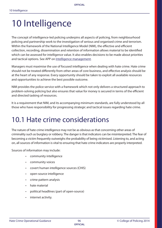# 10 Intelligence

The concept of intelligence-led policing underpins all aspects of policing, from neighbourhood policing and partnership work to the investigation of serious and organised crime and terrorism. Within the framework of the National Intelligence Model (NIM), the effective and efficient collection, recording, dissemination and retention of information allows material to be identified which can be assessed for intelligence value. It also enables decisions to be made about priorities and tactical options. See APP on [Intelligence management.](http://www.app.college.police.uk/app-content/intelligence-management/?s=)

Managers must maximise the use of focused intelligence when dealing with hate crime. Hate crime should not be treated differently from other areas of core business, and effective analysis should be at the heart of any response. Every opportunity should be taken to exploit all available resources and opportunities to achieve the best possible outcome.

NIM provides the police service with a framework which not only delivers a structured approach to problem-solving policing but also ensures that value for money is secured in terms of the efficient and directed tasking of resources.

It is a requirement that NIM, and its accompanying minimum standards, are fully understood by all those who have responsibility for progressing strategic and tactical issues regarding hate crime.

## 10.1 Hate crime considerations

The nature of hate crime intelligence may not be as obvious as that concerning other areas of criminality such as burglary or robbery. The danger is that indicators can be misinterpreted. The fear of becoming a victim frequently outweighs the probability of being victimised. Listening to, and acting on, all sources of information is vital to ensuring that hate crime indicators are properly interpreted.

Sources of information may include:

- community intelligence
- community voices
- covert human intelligence sources (CHIS)
- open-source intelligence
- crime pattern analysis
- hate material
- political headlines (part of open-source)
- internet activity.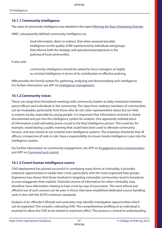## **10.1.1 Community intelligence**

The value of community intelligence was detailed in the report [Winning the Race: Embracing Diversity.](http://www.hmic.gov.uk/media/winning-the-race-embracing-diversity-20010114.pdf)

HMIC subsequently defined community intelligence as:

local information, direct or indirect, that when assessed provides intelligence on the quality of life experienced by individuals and groups, that informs both the strategic and operational perspectives in the policing of local communities.

It also said:

community intelligence should be valued by force managers as highly as criminal intelligence in terms of its contribution to effective policing.

NIM provides the formal system for gathering, analysing and disseminating such intelligence. For further information see APP on [Intelligence management.](http://www.app.college.police.uk/app-content/intelligence-management/?s=)

## **10.1.2 Community voices**

These can range from formalised meetings with community leaders to daily interaction between patrol officers and individuals in the community. The input from ordinary members of communities can be invaluable, particularly from those who do not claim representative status but are held in esteem locally, especially by young people. It is important that information received is clearly documented and put into the intelligence system for analysis. One apparently isolated piece of information could ultimately prove crucial to the final intelligence picture. This could be, for example, raised during a public meeting that could have been used to alleviate community tension, and was missed or not entered onto intelligence systems. The emphasis should be that all officers, irrespective of rank or role, have a responsibility to ensure timely intelligence is put into the intelligence system.

For further information on community engagement, see APP on [Engagement and communication](http://www.app.college.police.uk/app-content/engagement-and-communication/?s=) and APP on [Command and control](http://www.app.college.police.uk/app-content/operations/command-and-control/).

## **10.1.3 Covert human intelligence source**

CHIS deployment has proved successful in combating many forms of criminality. It provides extensive opportunities to tackle hate crime, particularly with the more organised hate groups. Experience has shown that those involved in targeting vulnerable communities tend to broadcast or even exaggerate their exploits. Potential sources of information for other criminality may, therefore, have information relating to hate crime by way of association. The most ethical and efficient use of such sources can be seen in forces that have established dedicated source handling units in line with the ACPO minimum standards.

Analysis of an offender's lifestyle and associates may identify investigative opportunities which can be exploited. This includes cultivating CHIS. The comprehensive profiling of an individual is essential to allow the CHIS to be tasked to maximum effect. This process is central to understanding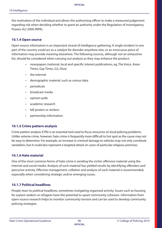[the motivation of the individual and allows the authorising officer to make a measured judgement](#page-2-0)  regarding risk when deciding whether to grant an authority under the Regulation of Investigatory Powers Act 2000 (RIPA).

## <span id="page-104-0"></span>**10.1.4 Open source**

Open-source information is an important strand of intelligence gathering. A single incident in one part of the country could act as a catalyst for disorder anywhere else, or an innocuous piece of information may provide meaning elsewhere. The following sources, although not an exhaustive list, should be considered when carrying out analysis as they may enhance the product:

- newspapers (national, local and specific interest publications, eg, The Voice, Asian Times, Gay Times, G3, Diva)
- • the internet
- demographic material, such as census data
- periodicals
- broadcast media
- opinion polls
- academic research
- bill posters or stickers
- partnership information.

## **10.1.5 Crime pattern analysis**

Crime pattern analysis (CPA) is an essential tool used to focus resources on local policing problems. Unlike volume crime, however, hate crime is frequently more difficult to hot spot as the cause may not be easy to determine. For example, an increase in criminal damage to vehicles may not only constitute vandalism, but it could also represent a targeted attack on users of particular religious premises.

## **10.1.6 Hate material**

One of the most common forms of hate crime is sending the victim offensive material using the internet and social media. Analysis of such material has yielded results by identifying offenders and precursor activity. Effective management, collation and analysis of such material is recommended, especially when considering strategic and/or emerging issues.

## **10.1.7 Political headlines**

People react to political headlines, sometimes instigating organised activity. Issues such as housing for asylum seekers or refugees have the potential to upset community cohesion. Information from open-source research helps to monitor community tension and can be used to develop community policing strategies.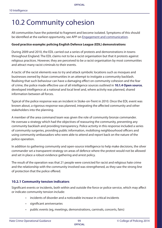## <span id="page-105-0"></span>10.2 Community cohesion

All communities have the potential to fragment and become isolated. Symptoms of this should be identified at the earliest opportunity, see APP on [Engagement and communication.](http://www.app.college.police.uk/app-content/engagement-and-communication/engaging-with-communities/#understanding-communities)

### **Good practice example: policing English Defence League (EDL) demonstrations**

During 2009 and 2010, the EDL carried out a series of protests and demonstrations in towns throughout England. The EDL claims not to be a racist organisation but that it protests against religious practices. However, they are perceived to be a racist organisation by most communities and attract many racist criminals to their events.

A tactic of the racist elements was to try and attack symbolic locations such as mosques and businesses owned by Asian communities in an attempt to instigate a community backlash. Realising that such behaviour can have a damaging effect on community cohesion and the fear of crime, the police made effective use of all intelligence sources outlined in **[10.1.4 Open source](#page-104-0)**, developed intelligence at a national and local level and, where activity was planned, shared information between all forces.

Typical of the police response was an incident in Stoke-on-Trent in 2010. Once the EDL event was known about, a rigorous response was planned, integrating the affected community and other stakeholders into the planning.

A member of the area command team was given the role of community bronze commander. He oversaw a strategy which had the objectives of reassuring the community, preventing any community backlash and providing transparency. Police activity in this response included a series of community surgeries, providing public information, mobilising neighbourhood officers and using community ambassadors who were able to attend and report back on the nature of the police operation.

In addition to gathering community and open-source intelligence to help make decisions, the silver commander set a transparent strategy on areas of defence where the protest would not be allowed and set in place a robust evidence gathering and arrest policy.

The result of the operation was that 21 people were convicted for racist and religious hate crime and the relationship with the community involved was strengthened, as they saw the strong line of protection that the police offered.

## **10.2.1 Community tension indicators**

Significant events or incidents, both within and outside the force or police service, which may affect or indicate community tension include:

- incidents of disorder and a noticeable increase in critical incidents
- significant anniversaries
- public events (eg, meetings, demonstrations, carnivals, concerts, fairs)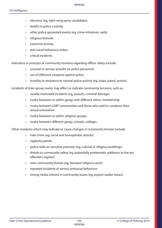- • elections (eg, right-wing party candidates)
- • deaths in police custody
- • other police generated events (eg, crime initiatives, raids)
- • religious festivals
- • extremist activity
- anti-social behaviour orders
- • critical incidents.

Indicators or prompts of community tensions regarding officer safety include:

- • unusual or serious assaults on police personnel
- • use of offensive weapons against police
- hostility or resistance to normal police activity (eg, stops, patrol, arrests).

Incidents of inter-group rivalry may affect or indicate community tensions, such as:

- racially motivated incidents (eg, assaults, criminal damage)
- rivalry between or within gangs with different ethnic membership
- rivalry between LGBT communities and those who seek to condemn their sexual orientation
- • rivalry between or within religious groups
- • rivalry between different gangs, schools, colleges.

Other incidents which may indicate or cause changes in community tension include:

- hate crime (eg, racial and homophobic attacks)
- vigilante patrols
- police raids on sensitive premises (eg, cultural or religious buildings)
- threats to community safety (eg, potentially problematic additions to the sex offenders register)
- inter-community threats (eg, between religious sects)
- • repeated incidents of serious antisocial behaviour
- strong media interest in community issues (eg, asylum seeker issues).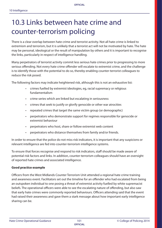## [10.3 Links between hate crime and](#page-2-0)  counter-terrorism policing

There is a clear overlap between hate crime and terrorist activity. Not all hate crime is linked to extremism and terrorism, but it is unlikely that a terrorist act will not be motivated by hate. The hate may be personal, ideological or the result of manipulation by others and it is important to recognise the links, particularly in respect of intelligence handling.

Many perpetrators of terrorist activity commit less serious hate crimes prior to progressing to more serious offending. Not every hate crime offender will escalate to extremist crime, and the challenge is to identify those with the potential to do so, thereby enabling counter-terrorist colleagues to reduce the risk posed.

The following factors may indicate heightened risk, although this is not an exhaustive list:

- crimes fuelled by extremist ideologies, eg, racial supremacy or religious fundamentalism
- crime series which are linked but escalating in seriousness
- • crimes that seek to justify or glorify genocide or other war atrocities
- repeated crimes that target the same victim group (or demographic)
- perpetrators who demonstrate support for regimes responsible for genocide or extremist behaviour
- perpetrators who host, share or follow extremist web content
- perpetrators who distance themselves from family and/or friends.

In order to ensure that the police do not miss risk indicators, it is important that any suspicions or relevant intelligence are fed into counter-terrorism intelligence systems.

To ensure that forces recognise and respond to risk indicators, staff should be made aware of potential risk factors and links. In addition, counter-terrorism colleagues should have an oversight of reported hate crimes and associated intelligence.

### **Good practice example**

Officers from the West Midlands Counter Terrorism Unit attended a regional hate crime training and awareness event. Facilitators set out the timeline for an offender who had escalated from being an outspoken individual to one posing a threat of extremist activity fuelled by white supremacist beliefs. The operational officers were able to see the escalating nature of offending, but also saw that early hate crimes were commonly reported behaviours. Officers attending said that the event had raised their awareness and gave them a stark message about how important early intelligence sharing can be.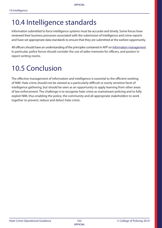# 10.4 Intelligence standards

Information submitted to force intelligence systems must be accurate and timely. Some forces have reviewed their business processes associated with the submission of intelligence and crime reports and have set appropriate data standards to ensure that they are submitted at the earliest opportunity.

All officers should have an understanding of the principles contained in APP on [Information management.](http://www.app.college.police.uk/app-content/information-management/?s=) In particular, police forces should consider the use of aides-memoire for officers, and posters in report-writing rooms.

# 10.5 Conclusion

The effective management of information and intelligence is essential to the efficient working of NIM. Hate crime should not be viewed as a particularly difficult or overly sensitive facet of intelligence gathering, but should be seen as an opportunity to apply learning from other areas of law enforcement. The challenge is to recognise hate crime as mainstream policing and to fully exploit NIM, thus enabling the police, the community and all appropriate stakeholders to work together to prevent, reduce and detect hate crime.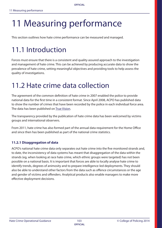# 11 Measuring performance

This section outlines how hate crime performance can be measured and managed.

# 11.1 Introduction

Forces must ensure that there is a consistent and quality assured approach to the investigation and management of hate crime. This can be achieved by producing accurate data to show the prevalence of hate crime, setting meaningful objectives and providing tools to help assess the quality of investigations.

# 11.2 Hate crime data collection

The agreement of the common definition of hate crime in 2007 enabled the police to provide national data for the first time in a consistent format. Since April 2008, ACPO has published data to show the number of crimes that have been recorded by the police in each individual force area. The data has been published on [True Vision](http://www.report-it.org.uk/national_hate_crime_data_released).

The transparency provided by the publication of hate crime data has been welcomed by victims groups and international observers.

From 2011, hate crime has also formed part of the annual data requirement for the Home Office and since then has been published as part of the national crime statistics.

### **11.2.1 Disaggregation of data**

ACPO's national hate crime data only separates out hate crime into the five monitored strands and, to date, the inconsistency of data systems has meant that disaggregation of the data within the strands (eg, when looking at race hate crime, which ethnic groups were targeted) has not been possible on a national basis. It is important that forces are able to locally analyse hate crime to identify trends, degrees of animosity and to prepare intelligence-led deployments. They should also be able to understand other factors from the data such as offence circumstances or the age and gender of victims and offenders. Analytical products also enable managers to make more effective deployment decisions.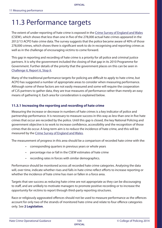# 11.3 Performance targets

The extent of under-reporting of hate crime is exposed in the [Crime Survey of England and Wales](http://www.ons.gov.uk/ons/rel/crime-stats/crime-statistics/period-ending-september-2013/stb-crime-in-england-and-wales--year-ending-sept-2013.html) (CSEW), which shows that less than one in five of the 278,000 actual hate crimes appeared in the 2012/13 ACPO hate crime data. The survey suggests that the police became aware of 40% of those 278,000 crimes, which shows there is significant work to do in recognising and reporting crimes as well as in the challenge of encouraging victims to come forward.

This gap in reporting and recording of hate crime is a priority for all police and criminal justice partners. It is why the government included the closing of that gap in its 2010 Programme for Government. Further details of the priority that the government places on this can be seen in [Challenge it, Report it, Stop it](https://www.gov.uk/government/uploads/system/uploads/attachment_data/file/307624/HateCrimeActionPlanProgressReport.pdf).

Many of the traditional performance targets for policing are difficult to apply to hate crime, but ACPO has suggested a number of appropriate areas to consider when measuring performance. Although some of these factors are not easily measured and some will require the cooperation of CJS partners to gather data, they are true measures of performance rather than merely an easy means of gathering it. Each area for consideration is explained below.

### **11.3.1 Increasing the reporting and recording of hate crime**

Measuring the increase or decrease in numbers of hate crimes is a key indicator of police and partnership performance. It is necessary to measure success in this way as less than one in five hate crimes that occur are recorded by the police. Until this gap is closed, the key National Policing and government objective is to work to increase confidence, accessibility and the recognition of those crimes that do occur. A long-term aim is to reduce the incidence of hate crime, and this will be measured by the [Crime Survey of England and Wales.](http://www.ons.gov.uk/ons/rel/crime-stats/crime-statistics/period-ending-september-2013/stb-crime-in-england-and-wales--year-ending-sept-2013.html)

The measurement of progress in this area should be a comparison of recorded hate crime with the:

- corresponding quarters in previous years or whole years
- percentage rise or fall in the CSEW estimates of hate crime
- • recording rates in forces with similar demographics.

Performance should be monitored across all recorded hate crime categories. Analysing the data will, over time, indicate whether rises and falls in hate crime reflect efforts to increase reporting or whether the incidence of hate crime has risen or fallen in a force area.

Targets that see success as reducing hate crime are not appropriate as they can be discouraging to staff, and are unlikely to motivate managers to promote positive recording or to increase the opportunity for victims to report through third-party reporting structures.

Race or religiously aggravated offences should not be used to measure performance as the offences account for only two of the strands of monitored hate crime and relate to four offence categories only. See **[2 Legislation](#page-17-0)**.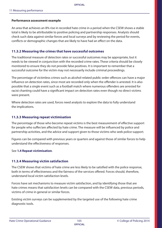#### **Performance assessment example**

An area that achieves an 8% rise in recorded hate crime in a period when the CSEW shows a stable total is likely to be attributable to positive policing and partnership responses. Analysts should check such data against similar forces and local surveys and by reviewing the period for events, conflicts or demographic changes that are likely to have had an effect on the data.

#### **11.3.2 Measuring the crimes that have successful outcomes**

The traditional measure of detection rates or successful outcomes may be appropriate, but it needs to be viewed in conjunction with the recorded crime rates. These criteria should be closely monitored to ensure they do not provide false positives. It is important to remember that a successful outcome for the victim may not necessarily include criminal proceedings.

The percentage of victimless crimes such as alcohol-related public order offences can have a major influence on detection rates, since most are recorded only when the offender is arrested. It is also possible that a single event such as a football match where numerous offenders are arrested for racist chanting could have a significant impact on detection rates even though no direct victims were present.

Where detection rates are used, forces need analysts to explore the data to fully understand the implications.

#### **11.3.3 Measuring repeat victimisation**

The percentage of those who become repeat victims is the best measurement of effective support for people who suffer/are affected by hate crime. The measure will be influenced by police and partnership activities, and the advice and support given to those victims who seek police support.

Figures can be compared with previous years or quarters and against those of similar forces to help understand the effectiveness of responses.

#### See **[1.4 Repeat victimisation](#page-16-0)**.

#### **11.3.4 Measuring victim satisfaction**

The CSEW shows that victims of hate crime are less likely to be satisfied with the police response, both in terms of effectiveness and the fairness of the services offered. Forces should, therefore, understand local victim satisfaction levels.

Forces have set mechanisms to measure victim satisfaction, and by identifying those that are hate crimes means that satisfaction levels can be compared with the CSEW data, previous periods, victims of crime in general or similar forces.

Existing victim surveys can be supplemented by the targeted use of the following hate crime diagnostic tools.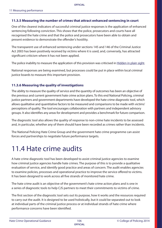#### **11.3.5 Measuring the number of crimes that attract enhanced sentencing in court**

One of the clearest indicators of successful criminal justice responses is the application of enhanced sentencing following conviction. This shows that the police, prosecutors and courts have all recognised the hate crime and that the police and prosecutors have been able to obtain and present evidence to demonstrate the offender's hostility.

The transparent use of enhanced sentencing under sections 145 and 146 of the Criminal Justice Act 2003 has been positively received by victims where it is used, and, conversely, has attracted significant criticism where it has not been applied.

The police inability to measure the application of this provision was criticised in [Hidden in plain sight.](http://www.equalityhumanrights.com/uploaded_files/dhfi_main_report_finalweb.pdf)

National responses are being examined, but processes could be put in place within local criminal justice boards to measure this important provision.

#### **11.3.6 Measuring the quality of investigations**

The ability to measure the quality of service and the quantity of outcomes has been an objective of the previous and current government hate crime action plans. To this end National Policing, criminal justice partners and government departments have developed the hate crime diagnostic tool, which allows qualitative and quantitative factors to be measured and comparisons to be made with victims' perceptions of quality. The tool encourages collaboration with partners and independent advisory groups. It also identifies any areas for development and provides a benchmark for future comparison.

The diagnostic tool also allows the quality of response to non-crime hate incidents to be assessed and, in particular, whether any of them should have been recorded as crimes rather than incidents.

The National Policing Hate Crime Group and the government hate crime programme can assist forces and partnerships to negotiate future performance targets.

### 11.4 Hate crime audits

A hate crime diagnostic tool has been developed to assist criminal justice agencies to examine how criminal justice agencies handle hate crimes. The purpose of this is to provide a qualitative evaluation of service, and identify good practice and areas of concern. The audit enables agencies to examine policies, processes and operational practice to improve the service offered to victims. It has been designed to work across all five strands of monitored hate crime.

The hate crime audit is an objective of the government's hate crime action plans and is one in a series of diagnostic tools to help CJS partners to meet their commitments to victims of crime.

The first section of the diagnostic tool sets out its purpose, how it works and the resources required to carry out the audit. It is designed to be used holistically, but it could be separated out to look at individual parts of the criminal justice process or at individual strands of hate crime where performance concerns have been identified.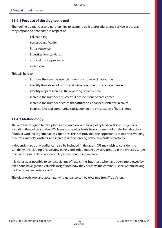### **11.4.1 Purpose of the diagnostic tool**

The tool helps agencies and partnerships to examine policy, procedures and service in the way they respond to hate crime in respect of:

- call handling
- correct classification
- • initial response
- • investigation standards
- criminal justice processes
- victim care.

This will help to:

- improve the way the agencies monitor and record hate crime
- identify the drivers of victim and witness satisfaction and confidence
- • identify ways to increase the reporting of hate crime
- • increase the number of successful prosecutions of hate crimes
- increase the number of cases that attract an enhanced sentence in court
- increase levels of community satisfaction in the prosecution of hate crimes.

#### **11.4.2 Methodology**

The audit is designed to take place in conjunction with local policy leads within CJS agencies, including the police and the CPS. Many such policy leads have commented on the benefits they found of working together across agencies. This has provided the opportunity to improve working practices and relationships, and increase understanding of the demands of partners.

Independent scrutiny bodies can also be included in the audit. CJS may wish to consider the suitability of including CPS scrutiny panels and independent advisory groups in the process, subject to an appropriate data confidentiality agreement being in place.

It is not always possible to contact victims of hate crime, but those who have been interviewed by telephone have given a valuable insight into how they perceive the criminal justice system, having had first-hand experience of it.

The diagnostic tool and accompanying guidance can be obtained from [True Vision](http://www.report-it.org.uk/agency_tools).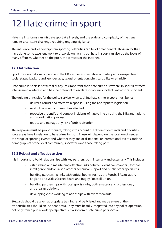# 12 Hate crime in sport

Hate in all its forms can infiltrate sport at all levels, and the scale and complexity of the issue remains a constant challenge requiring ongoing vigilance.

The influence and leadership from sporting celebrities can be of great benefit. Those in football have done some excellent work to break down racism, but hate in sport can also be the focus of many offences, whether on the pitch, the terraces or the internet.

### **12.1 Introduction**

Sport involves millions of people in the UK – either as spectators or participants, irrespective of social status, background, gender, age, sexual orientation, physical ability or ethnicity.

Hate crime in sport is not trivial or any less important than hate crime elsewhere. In sport it attracts intense media interest, and has the potential to escalate individual incidents into critical incidents.

The guiding principles for the police service when tackling hate crime in sport must be to:

- deliver a robust and effective response, using the appropriate legislation
- • work closely with communities affected
- proactively identify and combat incidents of hate crime by using the NIM and tasking and coordination process
- • reduce and manage any risk of public disorder.

The response must be proportionate, taking into account the different demands and priorities force areas have in relation to hate crime in sport. These will depend on the location of venues, the range of sporting events and whether they are local, national or international events and the demographics of the local community, spectators and those taking part.

#### **12.2 Robust and effective action**

It is important to build relationships with key partners, both internally and externally. This includes:

- establishing and maintaining effective links between event commanders, football intelligence and/or liaison officers, technical support and public order specialists
- building partnership links with official bodies such as the Football Association, England and Wales Cricket Board and Rugby Football Union
- building partnerships with local sports clubs, both amateur and professional, and area associations
- developing close working relationships with event stewards.

Stewards should be given appropriate training, and be briefed and made aware of their responsibilities should an incident occur. They must be fully integrated into any police operation, not only from a public order perspective but also from a hate crime perspective.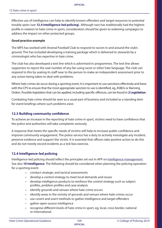Effective use of intelligence can help to identify known offenders and target resources to potential trouble spots (see **[12.4 Intelligence-led policing](#page-115-0)**). Although race has traditionally had the highest profile in relation to hate crime in sport, consideration should be given to widening campaigns to address the impact on other protected groups.

#### **Good practice example**

The MPS has worked with Arsenal Football Club to respond to racism in and around the club's ground. This has included developing a training package which is delivered to stewards by a criminologist who has expertise in hate crime.

The club has also developed a text line which is advertised in programmes. The text line allows supporters to report the seat number of any fan using racist or other hate language. The club can respond to this by seating its staff near to the person to make an independent assessment prior to any action being taken to deal with problems.

Where hate crimes do occur during a sporting event, it is important to use sanctions effectively and liaise with the CPS to ensure that the most appropriate sanction to use is identified, eg, ASBOs or Banning Orders. Possible legislation that can be applied, including specific offences, can be found in **[2 Legislation](#page-17-0)**.

Combating hate crime should be seen as a usual part of business and included as a standing item for event briefings where such problems exist.

#### **12.3 Building community confidence**

To achieve an increase in the reporting of hate crime in sport, victims need to have confidence that the police and authorities will take complaints seriously.

A response that meets the specific needs of victims will help to increase public confidence and improve community engagement. The police service has a duty to actively investigate any incident, preserve evidence and support the victim. It is essential that officers take positive action to do this and do not merely record incidents as a tick-box exercise.

#### <span id="page-115-0"></span>**12.4 Intelligence-led policing**

Intelligence-led policing should reflect the principles set out in APP on [Intelligence management](http://www.app.college.police.uk/app-content/intelligence-management/?s=). See also **10 Intelligence**. The following should be considered when planning the policing operation for a sporting event:

- conduct strategic and tactical assessments
- develop a control strategy to meet local demands and issues
- develop intelligence products to reinforce the control strategy such as subject profiles, problem profiles and case analysis
- • identify grounds and venues where hate crime occurs
- identify areas in the vicinity of grounds and venues where hate crimes occur
- use covert and overt methods to gather intelligence and target offenders
- gather open-source intelligence
- recognise different levels of hate crime in sport, eg, local, cross border, national or international.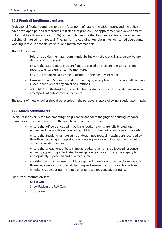#### **12.5 Football intelligence officers**

Professional football continues to be the focal point of hate crime within sport, and the police have developed particular measures to tackle that problem. The appointment and development of football intelligence officers (FIOs) is one such measure that has been central to the effective policing of hate crime in football. They perform a coordination role in intelligence-led operations, working with club officials, stewards and match commanders.

The FIO's key role is to:

- brief and advise the match commander in line with the tactical assessment before, during and post event
- • ensure that appropriate incident flags are placed on incident logs and all crime reports to ensure trends can be monitored
- • ensure all reported hate crime is included in the post-event report
- liaise with the CPS prior to, or at first hearing of, an application for a Football Banning Order in the event of any arrest or summons
- • establish from the host football club whether stewards or club officials have received any reports of hate crimes or incidents.

The results of these enquires should be recorded in the post-event report following a designated match.

#### **12.6 Match commanders**

Overall responsibility for implementing this guidance and for managing the policing response during a sporting event rests with the match commander. They must:

- ensure that officers engaged in policing football events are fully briefed and understand the Positive Action Policy, which must be part of any operational order
- • ensure that incidents of hate crime at designated football matches are recorded by the officer receiving a complaint or witnessing an incident, irrespective of whether suspects are identified or not
- ensure that allegations of hate crime at football events have a focused response, either by appointing a dedicated investigation team or ensuring the enquiry is appropriately supervised and quality assured
- consider the proactive use of evidence gathering teams or other tactics to identify those responsible for any racist chanting and ensure that positive action is taken, whether that be during the match or as part of a retrospective enquiry.

For further information see:

- **[Kick it Out](http://www.kickitout.org)**
- [Show Racism the Red Card](http://www.srtrc.org)
- <span id="page-116-0"></span>**[True Vision.](http://www.report-it.org.uk)**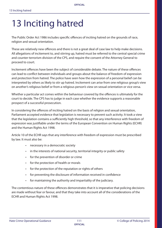# 13 Inciting hatred

The Public Order Act 1986 includes specific offences of inciting hatred on the grounds of race, religion and sexual orientation.

These are relatively new offences and there is not a great deal of case law to help make decisions. All allegations of incitement to, and stirring up, hatred must be referred to the central special crime and counter-terrorism division of the CPS, and require the consent of the Attorney General to proceed to court.

Incitement offences have been the subject of considerable debate. The nature of these offences can lead to conflict between individuals and groups about the balance of freedom of expression and protection from hatred. The police have seen how the expression of a personal belief can be interpreted by others as likely to stir up hatred. Incitement can arise from one religious group's view on another's religious belief or from a religious person's view on sexual orientation or vice versa.

Whether a particular act comes within the behaviour covered by the offences is ultimately for the court to decide. The CPS has to judge in each case whether the evidence supports a reasonable prospect of a successful prosecution.

In considering the offences of inciting hatred on the basis of religion and sexual orientation, Parliament accepted evidence that legislation is necessary to prevent such activity. It took a view that the legislation contains a sufficiently high threshold, so that any interference with freedom of expression was justifiable under the terms of the European Convention on Human Rights (ECHR) and the Human Rights Act 1998.

Article 10 of the ECHR says that any interference with freedom of expression must be prescribed by law. It must also be:

- necessary in a democratic society
- in the interests of national security, territorial integrity or public safety
- for the prevention of disorder or crime
- for the protection of health or morals
- for the protection of the reputation or rights of others
- for preventing the disclosure of information received in confidence
- for maintaining the authority and impartiality of the judiciary.

The contentious nature of these offences demonstrates that it is imperative that policing decisions are made without fear or favour, and that they take into account all of the considerations of the ECHR and Human Rights Act 1998.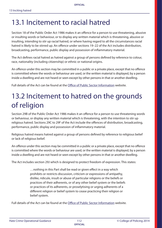## 13.1 Incitement to racial hatred

Section 18 of the Public Order Act 1986 makes it an offence for a person to use threatening, abusive or insulting words or behaviour, or to display any written material which is threatening, abusive or insulting, intending to stir up racial hatred, or where having regard to all the circumstances racial hatred is likely to be stirred up. An offence under sections 19-22 of the Act includes distribution, broadcasting, performance, public display and possession of inflammatory material.

The Act defines racial hatred as hatred against a group of persons defined by reference to colour, race, nationality (including citizenship) or ethnic or national origins.

An offence under this section may be committed in a public or a private place, except that no offence is committed where the words or behaviour are used, or the written material is displayed, by a person inside a dwelling and are not heard or seen except by other persons in that or another dwelling.

Full details of the Act can be found at the [Office of Public Sector Information](http://www.opsi.gov.uk/RevisedStatutes/Acts/ukpga/1986/cukpga_19860064_en_4) website.

# 13.2 Incitement to hatred on the grounds of religion

Section 29B of the Public Order Act 1986 makes it an offence for a person to use threatening words or behaviour, or display any written material which is threatening, with the intention to stir up religious hatred. Sections 29C to 29F of the Act include the offences of distribution, broadcasting, performance, public display and possession of inflammatory material.

Religious hatred means hatred against a group of persons defined by reference to religious belief or lack of religious belief.

An offence under this section may be committed in a public or a private place, except that no offence is committed where the words or behaviour are used, or the written material is displayed, by a person inside a dwelling and are not heard or seen except by other persons in that or another dwelling.

The Act includes section 29J which is designed to protect freedom of expression. This states:

…nothing in this Part shall be read or given effect in a way which prohibits or restricts discussion, criticism or expressions of antipathy, dislike, ridicule, insult or abuse of particular religions or the beliefs or practices of their adherents, or of any other belief system or the beliefs or practices of its adherents, or proselytising or urging adherents of a different religion or belief system to cease practicing their religion or belief system.

Full details of the Act can be found at the [Office of Public Sector Informatio](http://www.opsi.gov.uk/acts/acts2006/ukpga_20060001_en_1#l1g1)n website.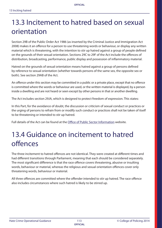# [13.3 Incitement to hatred based on sexual](#page-2-0)  orientation

Section 29B of the Public Order Act 1986 (as inserted by the Criminal Justice and Immigration Act 2008) makes it an offence for a person to use threatening words or behaviour, or display any written material which is threatening, with the intention to stir up hatred against a group of people defined on the grounds of their sexual orientation. Sections 29C to 29F of the Act include the offences of distribution, broadcasting, performance, public display and possession of inflammatory material.

Hatred on the grounds of sexual orientation means hatred against a group of persons defined by reference to sexual orientation (whether towards persons of the same sex, the opposite sex or both). See section 29AB of the Act.

An offence under this section may be committed in a public or a private place, except that no offence is committed where the words or behaviour are used, or the written material is displayed, by a person inside a dwelling and are not heard or seen except by other persons in that or another dwelling.

The Act includes section 29JA, which is designed to protect freedom of expression. This states:

In this Part, for the avoidance of doubt, the discussion or criticism of sexual conduct or practices or the urging of persons to refrain from or modify such conduct or practices shall not be taken of itself to be threatening or intended to stir up hatred.

Full details of the Act can be found at the [Office of Public Sector Information](http://www.opsi.gov.uk/acts/acts2008/ukpga_20080004_en_33) website.

# 13.4 Guidance on incitement to hatred offences

The three incitement to hatred offences are not identical. They were created at different times and had different transitions through Parliament, meaning that each should be considered separately. The most significant difference is that the race offence covers threatening, abusive or insulting words, behaviour or material, whereas the religious and sexual orientation offences cover only threatening words, behaviour or material.

All three offences are committed where the offender intended to stir up hatred. The race offence also includes circumstances where such hatred is likely to be stirred up.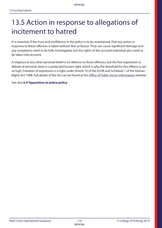# [13.5 Action in response to allegations of](#page-2-0)  incitement to hatred

It is essential, if the trust and confidence in the police is to be maintained, that any action in response to these offences is taken without fear or favour. They can cause significant damage and any complaints need to be fully investigated, but the rights of the accused individual also need to be taken into account.

A religious or any other personal belief is no defence to these offences, but the free expression or debate of personal views is a protected human right, which is why the threshold for this offence is set so high. Freedom of expression is a right under Article 10 of the ECHR and Schedule 1 of the Human Rights Act 1998. Full details of the Act can be found at the [Office of Public Sector Information](http://www.opsi.gov.uk/acts/acts1998/ukpga_19980042_en_3#sch1-pt2) [website](http://www.opsi.gov.uk/acts/acts1998/ukpga_19980042_en_3#sch1-pt2).

See also **[6.4 Opposition to police policy](#page-68-0)**.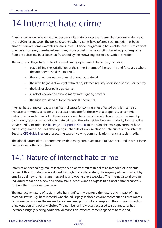# 14 Internet hate crime

Criminal behaviour where the offender transmits material over the internet has become widespread in the UK in recent years. The police response when victims have referred such material has been erratic. There are some examples where successful evidence gathering has enabled the CPS to convict offenders. However, there have been many more occasions where victims have had poor responses from the police and have been left frustrated by their unwillingness to deal with the incident.

The nature of illegal hate material presents many operational challenges, including:

- establishing the jurisdiction of the crime, in terms of the country and force area where the offender posted the material
- the anonymous nature of most offending material
- the unwillingness of, or legal restraint on, internet industry bodies to disclose user identity
- the lack of clear policy quidance
- a lack of knowledge among many investigating officers
- the high workload of force forensic IT specialists.

Internet hate crime can cause significant distress for communities affected by it. It is can also increase community tensions and act as a motivator for those with a propensity to commit hate crime by such means. For these reasons, and because of the significant concerns raised by community groups, responding to hate crime on the internet has become a priority for the police service and is included in [Challenge it, Report it, Stop it](https://www.gov.uk/government/uploads/system/uploads/attachment_data/file/307624/HateCrimeActionPlanProgressReport.pdf)[.](https://www.gov.uk/government/uploads/system/uploads/attachment_data/file/97849/action-plan.pdf) In the plan, the cross-government hate crime programme includes developing a schedule of work relating to hate crime on the internet. See also [CPS Guidelines](https://www.cps.gov.uk/legal/a_to_c/communications_sent_via_social_media/) on prosecuting cases involving communications sent via social media.

The global nature of the internet means that many crimes are found to have occurred in other force areas or even other countries.

# 14.1 Nature of internet hate crime

Information technology makes it easy to send or transmit material to an intended or incidental victim. Although hate mail is still sent through the postal system, the majority of it is now sent by email, social networks, instant messaging and open-source websites. The internet also allows an individual to take on a new and anonymous identity, and to bypass traditional editorial controls, to share their views with millions.

The interactive nature of social media has significantly changed the nature and impact of hate material. Previously, hate material was shared largely in closed environments such as chat rooms. Social media provides the means to post material publicly, for example, to the comments sections of newspapers and other websites. The number of individuals exposed to such material has increased hugely, placing additional demands on law enforcement agencies to respond.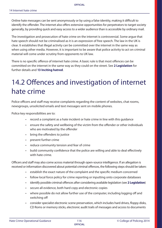Online hate messages can be sent anonymously or by using a false identity, making it difficult to identify the offender. The internet also offers extensive opportunities for perpetrators to target society generally, by providing quick and easy access to a wider audience than is accessible by ordinary mail.

The investigation and prosecution of hate crime on the internet is controversial. Some argue that hate speech should not be criminalised as it is an expression of free speech. The law in the UK is clear. It establishes that illegal activity can be committed over the internet in the same way as when using other media. However, it is important to be aware that police activity to act on criminal material will come under scrutiny from opponents to UK law.

There is no specific offence of internet hate crime. A basic rule is that most offences can be committed on the internet in the same way as they could on the street. See **[2 Legislation](#page-17-0)** for further details and **[13 Inciting hatred](#page-116-0)**.

# 14.2 Offences and investigation of internet hate crime

Police officers and staff may receive complaints regarding the content of websites, chat rooms, newsgroups, unsolicited emails and text messages sent on mobile phones.

Police key responsibilities are to:

- record a complaint as a hate incident or hate crime in line with this quidance
- ensure the safety and wellbeing of the victim from the offender or other individuals who are motivated by the offender
- bring the offenders to justice
- • prevent further crime
- reduce community tension and fear of crime
- build community confidence that the police are willing and able to deal effectively with hate crime.

Officers and staff may also come across material through open-source intelligence. If an allegation is received or information discovered about potential criminal offences, the following steps should be taken:

- • establish the exact nature of the complaint and the specific medium concerned
- follow local force policy for crime reporting or inputting onto corporate databases
- • identify possible criminal offences after considering available legislation (see **[2 Legislation](#page-17-0)**)
- • secure all evidence, both hard copy and electronic copies
- where possible do not allow further use of the computer, including logging off and switching off
- consider specialist electronic scene preservation, which includes hard drives, floppy disks, CD Roms or memory sticks, electronic audit trails of messages and access to documents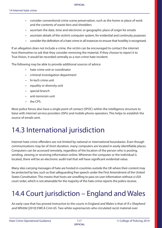- consider conventional crime scene preservation, such as the home or place of work and the contents of waste bins and shredders
- ascertain the date, time and electronic or geographic place of origin for emails
- • ascertain details of the victim's computer system, for evidential and continuity purposes
- consider the definition of a hate crime in all instances to ensure that hostility is recognised.

If an allegation does not include a crime, the victim can be encouraged to contact the internet host themselves to ask that they consider removing the material. If they choose to report it to True Vision, it would be recorded centrally as a non-crime hate incident.

The following may be able to provide additional sources of advice:

- • hate crime unit or coordinator
- • criminal investigation department
- • hi-tech crime unit
- equality or diversity unit
- • special branch
- anti-terrorism unit
- the CPS.

Most police forces also have a single point of contact (SPOC) within the intelligence structure to liaise with internet service providers (ISPs) and mobile phone operators. This helps to establish the source of emails sent.

# 14.3 International jurisdiction

Internet hate crime offenders are not limited by national or international boundaries. Even though communications may be of short duration, many computers are located in easily identifiable places. Computers can be accessed remotely, regardless of the location of the person who is posting, sending, viewing or receiving information online. Wherever the computer or the individual is located, there will be an electronic audit trail that will have significant evidential value.

Many sites carrying messages of hate are hosted in countries outside the UK where their content may be protected by law, such as that safeguarding free speech under the First Amendment of the United States Constitution. This means that hosts are unwilling to pass on user information without a USA court order, which is not attainable for the majority of the hate crime reports the police receive.

# 14.4 Court jurisdiction – England and Wales

An early case that has proved instructive to the courts in England and Wales is that of  $R$  v Shepherd and Whittle [2010] EWCA Crim 65. Two white supremacists who circulated racist material over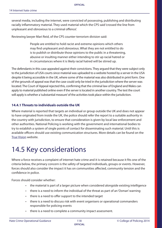several media, including the internet, were convicted of possessing, publishing and distributing racially inflammatory material. They used material which the CPS said 'crossed the line from unpleasant and obnoxious to a criminal offence'.

Reviewing lawyer Mari Reid, of the CPS counter-terrorism division said:

People are entitled to hold racist and extreme opinions which others may find unpleasant and obnoxious. What they are not entitled to do is to publish or distribute those opinions to the public in a threatening, abusive or insulting manner either intending to stir up racial hatred or in circumstances where it is likely racial hatred will be stirred up.

The defendants in this case appealed against their convictions. They argued that they were subject only to the jurisdiction of USA courts since material was uploaded to a website hosted by a server in the USA despite it being accessible in the UK, where some of the material was also distributed in print form. One of the grounds of appeal was that the case could only be tried in the jurisdiction where the server was located. The Court of Appeal rejected this, confirming that the criminal law of England and Wales can apply to material published online even if the server is located in another country. The test the court will apply is whether a 'substantial measure' of the activities took place within the jurisdiction.

### **14.4.1 Threats to individuals outside the UK**

Where material is reported that targets an individual or group outside the UK and does not appear to have originated from inside the UK, the police should refer the report to a suitable authority in the country with jurisdiction, to ensure that consideration is given by local law enforcement and other authorities. National Policing is working with the government and international bodies to try to establish a system of single points of contact for disseminating such material. Until this is available officers should use existing communication structures. More details can be found on the [True Vision](http://www.report-it.org.uk) website.

# 14.5 Key considerations

Where a force receives a complaint of internet hate crime and it is retained because it fits one of the criteria below, the primary concern is the safety of targeted individuals, groups or events. However, forces should also consider the impact it has on communities affected, community tension and the confidence in police.

Forces should consider whether:

- the material is part of a larger picture when considered alongside existing intelligence
- there is a need to inform the individual of the threat as part of an 'Osman' warning
- • there is a need to offer support to the intended target
- there is a need to discuss risk with event organisers or operational commanders responsible for policing events
- there is a need to complete a community impact assessment.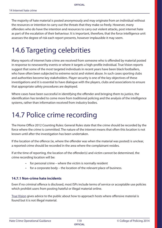The majority of hate material is posted anonymously and may originate from an individual without the resources or intention to carry out the threats that they make so freely. However, many offenders who do have the intention and resources to carry out violent attacks, post internet hate as part of the escalation of their behaviour. It is important, therefore, that the force intelligence unit assesses the degree of risk each report presents, however implausible it may seem.

# 14.6 Targeting celebrities

Many reports of internet hate crime are received from someone who is offended by material posted in response to newsworthy events or where it targets a high-profile individual. True Vision reports suggest that some of the most targeted individuals in recent years have been black footballers, who have often been subjected to extreme racist and violent abuse. In such cases sporting clubs and authorities become key stakeholders. Player security is one of the key objectives of these investigations and it is essential to have dialogue with the players, clubs and associations to ensure that appropriate safety procedures are deployed.

Where cases have been successful in identifying the offender and bringing them to justice, the identification has tended to come more from traditional policing and the analysis of the intelligence systems, rather than information received from industry bodies.

# 14.7 Police crime recording

The Home Office 2012 Counting Rules: General Rules state that the crime should be recorded by the force where the crime is committed. The nature of the internet means that often this location is not known until after the investigation has been undertaken.

If the location of the offence (ie, where the offender was when the material was posted) is unclear, a reported crime should be recorded in the area where the complainant resides.

If at the time of reporting, the location of the offender(s) and victim cannot be determined, the crime recording location will be:

- for personal crime where the victim is normally resident
- for a corporate body the location of the relevant place of business.

#### **14.7.1 Non-crime hate incidents**

Even if no criminal offence is disclosed, most ISPs include terms of service or acceptable use policies which prohibit users from posting hateful or illegal material online.

[True Vision](http://www.report-it.org.uk) gives advice to the public about how to approach hosts where offensive material is found but it is not illegal material.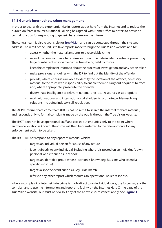#### **14.8 Generic internet hate crime management**

In order to deal with the exponential rise in reports about hate from the internet and to reduce the burden on force resources, National Policing has agreed with Home Office ministers to provide a central function for responding to generic hate crime on the internet.

The central team is also responsible for **True Vision** and can be contacted through the site web address. The remit of the unit is to take reports made through the True Vision website and to:

- assess whether the material amounts to a recordable crime
- record the complaint as a hate crime or non-crime hate incident centrally, preventing large numbers of unsolvable crimes from being held by forces
- keep the complainant informed about the process of investigation and any action taken
- make provisional enquiries with the ISP to find out the identity of the offender
- provide, where enquiries are able to identify the location of the offence, necessary material to the force with responsibility to enable them to carry out enquiries to trace and, where appropriate, prosecute the offender
- • disseminate intelligence to relevant national and local resources as appropriate
- work with national and international stakeholders to promote problem-solving solutions, including industry self-regulation.

The ACPO internet hate crime team (IHCT) has no remit to search the internet for hate material, and responds only to formal complaints made by the public through the True Vision website.

The IHCT does not have operational staff and carries out enquiries only to the point where an offence location is known. The crime will then be transferred to the relevant force for any enforcement action to be taken.

The IHCT will not respond to any report of material which:

- targets an individual person for abuse of any nature
- • is sent directly to any individual, including where it is posted on an individual's own personal website such as Facebook
- targets an identified group whose location is known (eg, Muslims who attend a specific mosque)
- targets a specific event such as a Gay Pride march
- refers to any other report which requires an operational police response.

Where a complaint of internet hate crime is made direct to an individual force, the force may ask the complainant to use the information and reporting facility on the Internet Hate Crime page of the True Vision website, but must not do so if any of the above circumstances apply. See **[Figure 1](#page-127-0)**.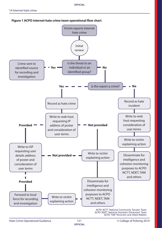**OFFICIAL**

<span id="page-127-0"></span>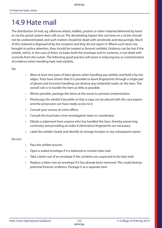## 14.9 Hate mail

The distribution of mail, eg, offensive letters, leaflets, posters or other material delivered by hand or via the postal system does still occur. The devastating impact this can have on a victim should not be underestimated, and such matters should be dealt with sensitively and reassuringly. Much of this material is disposed of by the recipient and they do not report it. Where such items are brought to police attention, they should be treated as forensic exhibits. Evidence can be lost if the exhibit, which, in the case of letter, includes both the envelope and its contents, is not dealt with correctly from the outset. The following good practice will assist in reducing loss or contamination of evidence when handling hate mail exhibits.

Do:

- Wear at least two pairs of latex gloves when handling any exhibit, and hold it by the edges. Tests have shown that it is possible to leave fingerprints through a single pair of gloves and incorrect handling can destroy any evidential marks on the item. The overall rule is to handle the item as little as possible.
- Where possible, package the items at the scene to prevent contamination.
- Photocopy the exhibit if possible so that a copy can be placed with the case papers and the prosecutor can have ready access to it.
- Consult your scenes of crime officer.
- • Consult the local hate crime investigation team or coordinator.
- Obtain a statement from anyone who has handled the item, thereby preserving continuity and providing an index if elimination fingerprints are necessary.
- Label the exhibit clearly and identify its storage location in any subsequent report.

#### Do not:

- Pass the exhibit around.
- Open a sealed envelope if it is believed to contain hate mail.
- Take a letter out of an envelope if the contents are suspected to be hate mail.
- Replace a letter into an envelope if it has already been removed. This could destroy potential forensic evidence. Package it as a separate item.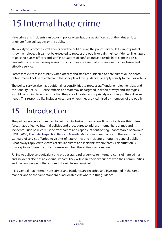# 15 Internal hate crime

Hate crime and incidents can occur in police organisations as staff carry out their duties. It can originate from colleagues or the public.

The ability to protect its staff affects how the public views the police service. If it cannot protect its own employees, it cannot be expected to protect the public or gain their confidence. The nature of policing places officers and staff in situations of conflict and as a result, hate crime is a risk. Prevention and effective responses to such crimes are essential to maintaining an inclusive and effective service.

Forces face extra responsibility when officers and staff are subjected to hate crimes or incidents. Hate crime will not be tolerated and the principles of this guidance will apply equally to them as victims.

The police service also has additional responsibilities to protect staff under employment law and the Equality Act 2010. Police officers and staff may be targeted in different ways and strategies should be put in place to ensure that they are all treated appropriately according to their diverse needs. This responsibility includes occasions where they are victimised by members of the public.

# 15.1 Introduction

The police service is committed to being an inclusive organisation. It cannot achieve this unless forces have effective internal policies and procedures to address internal hate crimes and incidents. Such policies must be transparent and capable of confronting unacceptable behaviour. [HMIC \(2003\) Thematic Inspection Report: Diversity Matters](http://www.hmic.gov.uk/media/diversity-matters-full-report-20030201.pdf) was unequivocal in the view that the standard of service afforded to victims of hate crimes and incidents among the general public is not always applied to victims of similar crimes and incidents within forces. This situation is unacceptable. There is a duty of care even when the victim is a colleague.

Failing to deliver an equivalent and proper standard of service to internal victims of hate crimes and incidents also has an external impact. They will share their experience with their communities, and the confidence of that community will be undermined.

It is essential that internal hate crimes and incidents are recorded and investigated in the same manner, and to the same standard as advocated elsewhere in this guidance.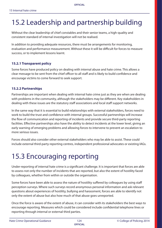# 15.2 Leadership and partnership building

Without the clear leadership of chief constables and their senior teams, a high-quality and consistent standard of internal investigation will not be realised.

In addition to providing adequate resources, there must be arrangements for monitoring, evaluation and performance measurement. Without these it will be difficult for forces to measure success, or to implement lessons learnt.

### **15.2.1 Transparent policy**

Some forces have produced policy on dealing with internal abuse and hate crime. This allows a clear message to be sent from the chief officer to all staff and is likely to build confidence and encourage victims to come forward to seek support.

### <span id="page-130-0"></span>**15.2.2 Partnerships**

Partnerships are important when dealing with internal hate crime just as they are when are dealing with problems in the community, although the stakeholders may be different. Key stakeholders in dealing with these issues are the statutory staff associations and local staff support networks.

In the same way that it is essential to build relationships with external stakeholders, forces need to work to build the trust and confidence with internal groups. Successful partnerships will increase the flow of communication and reporting of incidents and provide secure third-party reporting facilities. Effective partnerships also have the ability to detect incidents at the lower level, giving an early warning of emerging problems and allowing forces to intervene to prevent an escalation to more serious issues.

Forces should also consider other external stakeholders who may be able to assist. These could include external third-party reporting centres, independent professional advocates or existing IAGs.

# 15.3 Encouraging reporting

Under-reporting of internal hate crime is a significant challenge. It is important that forces are able to assess not only the number of incidents that are reported, but also the extent of hostility faced by colleagues, whether from within or outside the organisation.

Some forces have been able to assess the nature of hostility suffered by colleagues by using staff perception surveys. Where such surveys record anonymous personal information and ask relevant questions about experiences of hostility, bullying and harassment, forces are able to identify not only the extent of abuse but also how much of that abuse goes unreported.

Once the force is aware of the extent of abuse, it can consider with its stakeholders the best ways to encourage reporting. Measures which could be considered include confidential telephone lines or reporting through internal or external third parties.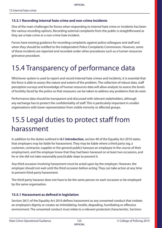#### **15.3.1 Recording internal hate crime and non-crime incidents**

One of the main challenges for forces when responding to internal hate crime or incidents has been the various recording options. Recording external complaints from the public is straightforward as they are a hate crime or a non-crime hate incident.

Forces have existing guidance for recording complaints against police colleagues and staff and when they should be notified to the Independent Police Complaints Commission. However, some of these incidents are reported and recorded under other procedures such as a human resources grievance procedure.

# 15.4 Transparency of performance data

Whichever system is used to report and record internal hate crimes and incidents, it is essential that the force is able to assess the nature and extent of the problem. The collection of robust data, staff perception surveys and knowledge of human resources data will allow analysts to assess the levels of hostility faced by the police so that measures can be taken to address any problems that do exist.

Performance data should be transparent and discussed with relevant stakeholders, although any exchange has to protect the confidentiality of staff. This is particularly important in smaller organisations with lower representation from visible minority or affected groups.

# 15.5 Legal duties to protect staff from harassment

In addition to the duties outlined in **[6.1 Introduction](#page-66-0)**, section 40 of the Equality Act 2010 states that employers may be liable for harassment. They may be liable where a third party (eg, a customer, contractor, supplier or the general public) harasses an employee in the course of their employment, and the employer knew that they had been harassed on at least two occasions, and he or she did not take reasonably practicable steps to prevent it.

Any third occasion involving harassment must be acted upon by the employer. However, the employer should not wait until the third occasion before acting. They can take action at any time to prevent third-party harassment.

The third-party harasser does not have to be the same person on each occasion or be employed by the same organisation.

### **15.5.1 Harassment as defined in legislation**

Section 26(1) of the Equality Act 2010 defines harassment as any unwanted conduct that violates an employee's dignity or creates an intimidating, hostile, degrading, humiliating or offensive environment. The unwanted conduct must relate to a relevant protected characteristic. Sections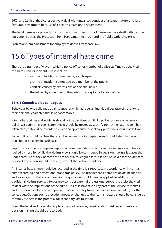26(2) and 26(3) of the Act respectively, deal with unwanted conduct of a sexual nature, and less favourable treatment because of a person's reaction to harassment.

The legal framework protecting individuals from other forms of harassment are dealt with by other legislation such as the Protection from Harassment Act 1997 and the Public Order Act 1986.

Protection from harassment for employees derives from case law.

# 15.6 Types of internal hate crime

There are a number of ways in which a police officer or member of police staff may be the victim of a hate crime or incident. These include:

- a crime or incident committed by a colleague
- • a crime or incident committed by a member of the public
- • conflicts caused by expressions of personal belief
- the refusal by a member of the public to accept an allocated officer.

#### **15.6.1 Committed by colleagues**

Behaviour by one colleague against another which targets an individual because of hostility to their personal characteristics is not acceptable.

Internal hate crimes and incidents should not be dismissed as hijinks, police culture, a bit of fun or bullying. If a crime has been committed it should be treated as such. If a non-crime hate incident has taken place, it should be recorded as such and appropriate disciplinary procedures should be followed.

Force policy should be clear that such behaviour is not acceptable and should identify the action that should be taken in each case.

Reporting a crime or complaint against a colleague is difficult and can be even more so where it is fuelled by hostility. While the victim's view should be considered in decision making, it places them under pressure as they become the arbiter of a colleague's fate. It is not, however, for the victim to decide if any action should be taken, or what that action should be.

An internal hate crime should be recorded at the time it is reported, in accordance with normal crime recording and professional standards policy. The broader considerations of victim support and investigation that are outlined in this guidance should then be applied. In addition to traditional victim's services, forces may consider external professional support to assist the victim to deal with the implications of the crime. Risk assessment is a key part of the service to victims, and this should include how to prevent further hostility from the person complained of, or other colleagues. Options such as location moves or changes to the team structure should be considered carefully as there is the potential for secondary victimisation.

Given the legal and moral duties placed on police forces, considerations, risk assessments and decision making should be recorded.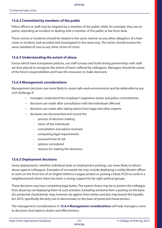#### **15.6.2 Committed by members of the public**

Police officers or staff may be targeted by a member of the public while, for example, they are on patrol, attending an incident or dealing with a member of the public at the front desk.

These crimes or incidents should be treated in the same manner as any other allegation of a hate crime or incident, and recorded and investigated in the same way. The victim should receive the same standard of care as any other victim of crime.

#### **15.6.3 Understanding the extent of abuse**

Forces which have transparent policies, use staff surveys and build strong partnerships with staff are best placed to recognise the extent of harm suffered by colleagues. Managers should be aware of the force's responsibilities and have the resources to make decisions.

#### <span id="page-133-0"></span>**15.6.4 Management considerations**

Management decisions are more likely to create safe work environments and be defensible to any civil challenge if:

- managers understand the employer's legislative duties and policy commitments
- decisions are made after consultation with the individuals affected
- decisions are made after taking advice from legal and other experts
- decisions are documented and record the
	- process of decision making
	- views of the individuals
	- consultation and advice received
	- competing legal requirements
	- assessed level of risk
	- options considered
	- reasons for making the decisions.

#### **15.6.5 Deployment decisions**

Some deployments, whether individual tasks or employment postings, are more likely to attract abuse against colleagues. Examples of increased risk may include deploying a visibly Muslim officer to work on the front line of an English Defence League protest or posting a black PCSO to work in a neighbourhood where there has been a strong support for far-right political groups.

These decisions may have competing legal duties. The easiest choice may be to protect the colleague from abuse by not deploying them to such activities. Excluding someone from a posting on the basis of a protected characteristic may, however, be against their wishes and also may breach the Equality Act 2010, specifically the duty not to discriminate on the basis of protected characteristics.

The management considerations in **[15.6.4 Management considerations](#page-133-0)** will help managers come to decisions that balance duties and effectiveness.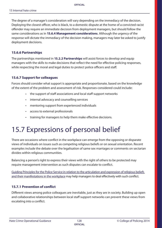The degree of a manager's consideration will vary depending on the immediacy of the decision. Deploying the closest officer, who is black, to a domestic dispute at the home of a convicted racist offender may require an immediate decision from deployment managers, but should follow the same considerations as in **[15.6.4 Management considerations](#page-133-0)**. Although the urgency of the response will dictate the immediacy of the decision making, managers may later be asked to justify deployment decisions.

#### **15.6.6 Partnerships**

The partnerships mentioned in **[15.2.2 Partnerships](#page-130-0)** will assist forces to develop and equip managers with the skills to make decisions that reflect the need for effective policing responses, while respecting the moral and legal duties to protect police officers and staff.

#### **15.6.7 Support for colleagues**

Forces should consider what support is appropriate and proportionate, based on the knowledge of the extent of the problem and assessment of risk. Responses considered could include:

- the support of staff associations and local staff support networks
- • internal advocacy and counselling services
- mentoring support from experienced individuals
- • access to external professionals
- training for managers to help them make effective decisions.

# 15.7 Expressions of personal belief

There are occasions where conflict in the workplace can emerge from the opposing or disparate views of individuals on issues such as competing religious beliefs or on sexual orientation. Recent examples include the debate over the legalisation of same sex marriages or comments on sectarian divides within religious communities.

Balancing a person's right to express their views with the right of others to be protected may require management intervention as such disputes can escalate to conflict.

[Guiding Principles for the Police Service in relation to the articulation and expression of religious beliefs](http://www.acpo.police.uk/documents/edhr/2008/200805-edhr-religious-beliefs.pdf)  [and their manifestations in the workplace](http://www.acpo.police.uk/documents/edhr/2008/200805-edhr-religious-beliefs.pdf) may help managers to deal effectively with such conflict.

#### **15.7.1 Prevention of conflict**

Different views among police colleagues are inevitable, just as they are in society. Building up open and collaborative relationships between local staff support networks can prevent these views from escalating into a conflict.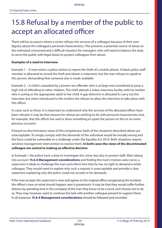# 15.8 Refusal by a member of the public to accept an allocated officer

There will be occasions where a victim refuses the services of a colleague because of their own bigotry about the colleague's personal characteristics. This presents a potential source of abuse to the individual concerned and a difficult situation for managers, who will need to balance the duty to serve the public with legal duties to protect colleagues from abuse.

#### **Examples of a need to intervene**

Example 1 – A man enters a police station to report the theft of a mobile phone. A black police staff member is allocated to record the theft and obtain a statement, but the man refuses to speak to this person, demanding that someone else is made available.

Example 2 – A child is assaulted by a known sex offender who is at large and considered to pose a high-risk of offending to other children. The child attends a video-interview facility with his mother who is acting as the appropriate adult to her child. A gay detective is allocated to carry out the interview, but when introduced to the mother she refuses to allow the interview to take place with this officer.

In cases such as these, it is important to understand why the services of the allocated officer have been refused. It may be that reasons for refusal are nothing to do with personal characteristics but, for example, that the officer has said or done something to upset the person on this or on some previous occasion.

If based on discriminatory views of the complainant, both of the situations described above are unacceptable. To simply comply with the demands of the individual would be morally wrong and the force could be vulnerable to a challenge under the Equality Act 2010. Both situations require sensitive management intervention to resolve them. **In both cases the views of the discriminated colleague are central to making an effective decision**.

In Example 1 the police have a duty to investigate the crime, but also to protect staff. After taking into account **[15.6.4 Management considerations](#page-133-0)** and finding the man's motives were racist, a supervisor is likely to challenge the man and inform him that he has no right to demand a white colleague. They would need to explain why such a request is unacceptable and provide a clear statement explaining why the police could not accede to his demands.

If the man accepts the supervisor's view and agrees to the original officer progressing the incident, the officer's view on what should happen next is paramount. It may be that they would suffer further distress by spending time in the company of the man they know to be a racist, and choose not to do so. They may, however, want to continue the task with another colleague present to support them. In all instances **[15.6.4 Management considerations](#page-133-0)** should be followed and recorded.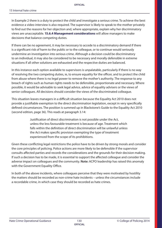In Example 2 there is a duty to protect the child and investigate a serious crime. To achieve the best evidence a video interview is also required. The supervisor is likely to speak to the mother privately to find out the reasons for her objection and, where appropriate, explain why her discriminatory views are unacceptable. **[15.6.4 Management considerations](#page-133-0)** will allow managers to make decisions that balance competing duties.

If there can be no agreement, it may be necessary to accede to a discriminatory demand if there is a significant risk of harm to the public or to the colleague, or to continue would seriously undermine an investigation into serious crime. Although a decision could be discriminatory to an individual, it may also be considered to be necessary and morally defensible in extreme situations if all other solutions are exhausted and the respective duties are balanced.

In this instance each option available to supervisors is unpalatable, particularly if there is no way of resolving the two competing duties, ie, to ensure equality for the officer, and to protect the child from abuse where there is no legal power to remove the mother's authority. The response to any breach of rights such as human rights needs to be defensible, proportionate and necessary. Where possible, it would be advisable to seek legal advice, advice of equality advisers or the views of senior colleagues. All decisions should consider the views of the discriminated colleague.

This situation leaves managers in a difficult situation because the Equality Act 2010 does not provide a justifiable exemption to the direct discrimination legislation, except in very specifically defined circumstances. The position is summed up in Blackstone's Guide to the Equality Act 2010 (second edition, page 36). This reads at paragraph 3.14:

> Justification of direct discrimination is not possible under the Act, unless the less favourable treatment is because of age. Treatment which falls within the definition of direct discrimination will be unlawful unless the Act makes specific provision exempting the type of treatment experienced from the scope of its prohibitions.

Given these conflicting legal restrictions the police have to be driven by strong morals and consider the core principles of policing. Police actions are more likely to be defensible if the supervisor consults affected parties and records the considerations and the grounds for their decision making. If such a decision has to be made, it is essential to support the affected colleague and consider the adverse impact on colleagues and the community. **Note:** ACPO leadership has raised this anomaly with the Government Equality Office.

In both of the above incidents, where colleagues perceive that they were motivated by hostility the matters should be recorded as non-crime hate incidents – unless the circumstances include a recordable crime, in which case they should be recorded as hate crimes.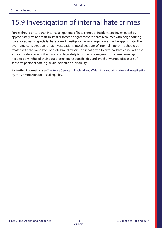# 15.9 Investigation of internal hate crimes

Forces should ensure that internal allegations of hate crimes or incidents are investigated by appropriately trained staff. In smaller forces an agreement to share resources with neighbouring forces or access to specialist hate crime investigators from a larger force may be appropriate. The overriding consideration is that investigations into allegations of internal hate crime should be treated with the same level of professional expertise as that given to external hate crime, with the extra considerations of the moral and legal duty to protect colleagues from abuse. Investigators need to be mindful of their data protection responsibilities and avoid unwanted disclosure of sensitive personal data, eg, sexual orientation, disability.

For further information see [The Police Service in England and Wales Final report of a formal investigation](http://www.report-it.org.uk/files/08_03_05_cre.pdf) by the Commission for Racial Equality.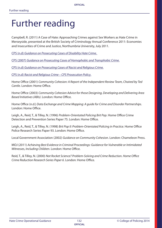# Further reading

Campbell, R. (2011) A Case of Hate: Approaching Crimes against Sex Workers as Hate Crime in Merseyside, presented at the British Society of Criminology Annual Conference 2011: Economies and Insecurities of Crime and Justice, Northumbria University, July 2011.

CPS (n.d) *[Guidance on Prosecuting Cases of Disability Hate Crime](https://www.cps.gov.uk/legal/d_to_g/disability_hate_crime/)*.

CPS (2007) *[Guidance on Prosecuting Cases of Homophobic and Transphobic Crime](http://www.cps.gov.uk/publications/docs/htc_policy.pdf)*.

CPS (n.d) *[Guidance on Prosecuting Cases of Racist and Religious Crime](https://www.cps.gov.uk/legal/p_to_r/racist_and_religious_crime/)*.

CPS (n.d) *[Racist and Religious Crime – CPS Prosecution Policy](http://www.cps.gov.uk/publications/prosecution/rrpbcrbook.html)*.

Home Office (2001) *Community Cohesion: A Report of the Independent Review Team, Chaired by Ted Cantle*. London: Home Office.

Home Office (2003) *Community Cohesion Advice for those Designing, Developing and Delivering Area Based Initiatives (ABIs)*. London: Home Office.

Home Office (n.d.) *Data Exchange and Crime Mapping: A guide for Crime and Disorder Partnerships*. London: Home Office.

Leigh, A., Reid, T., & Tilley, N. (1996) *Problem-Orientated Policing Brit Pop*. Home Office Crime Detection and Prevention Series Paper 75. London: Home Office.

Leigh, A., Reid, T., & Tilley, N. (1998) *Brit Pop II: Problem-Orientated Policing in Practice*. Home Office Police Research Series Paper 93. London: Home Office.

Local Government Association (2002) *Guidance on Community Cohesion*. London: Chameleon Press.

MOJ (2011) *Achieving Best Evidence in Criminal Proceedings: Guidance for Vulnerable or Intimidated Witnesses, Including Children*. London: Home Office.

Reid, T., & Tilley, N. (2000) *Not Rocket Science? Problem-Solving and Crime Reduction. Home Office Crime Reduction Research Series Paper 6*. London: Home Office.